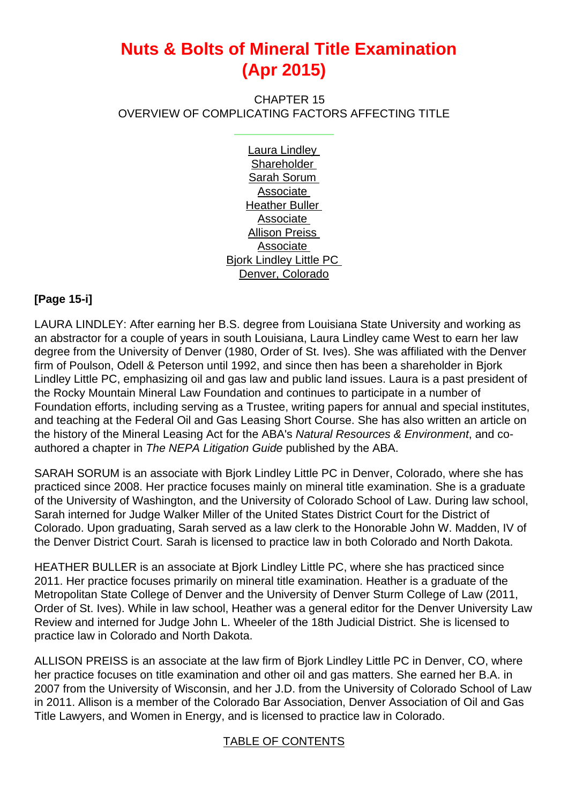# **Nuts & Bolts of Mineral Title Examination (Apr 2015)**

CHAPTER 15 OVERVIEW OF COMPLICATING FACTORS AFFECTING TITLE

> Laura Lindley **Shareholder** Sarah Sorum Associate Heather Buller Associate Allison Preiss Associate Bjork Lindley Little PC Denver, Colorado

### **[Page 15-i]**

LAURA LINDLEY: After earning her B.S. degree from Louisiana State University and working as an abstractor for a couple of years in south Louisiana, Laura Lindley came West to earn her law degree from the University of Denver (1980, Order of St. Ives). She was affiliated with the Denver firm of Poulson, Odell & Peterson until 1992, and since then has been a shareholder in Bjork Lindley Little PC, emphasizing oil and gas law and public land issues. Laura is a past president of the Rocky Mountain Mineral Law Foundation and continues to participate in a number of Foundation efforts, including serving as a Trustee, writing papers for annual and special institutes, and teaching at the Federal Oil and Gas Leasing Short Course. She has also written an article on the history of the Mineral Leasing Act for the ABA's Natural Resources & Environment, and coauthored a chapter in The NEPA Litigation Guide published by the ABA.

SARAH SORUM is an associate with Bjork Lindley Little PC in Denver, Colorado, where she has practiced since 2008. Her practice focuses mainly on mineral title examination. She is a graduate of the University of Washington, and the University of Colorado School of Law. During law school, Sarah interned for Judge Walker Miller of the United States District Court for the District of Colorado. Upon graduating, Sarah served as a law clerk to the Honorable John W. Madden, IV of the Denver District Court. Sarah is licensed to practice law in both Colorado and North Dakota.

HEATHER BULLER is an associate at Bjork Lindley Little PC, where she has practiced since 2011. Her practice focuses primarily on mineral title examination. Heather is a graduate of the Metropolitan State College of Denver and the University of Denver Sturm College of Law (2011, Order of St. Ives). While in law school, Heather was a general editor for the Denver University Law Review and interned for Judge John L. Wheeler of the 18th Judicial District. She is licensed to practice law in Colorado and North Dakota.

ALLISON PREISS is an associate at the law firm of Bjork Lindley Little PC in Denver, CO, where her practice focuses on title examination and other oil and gas matters. She earned her B.A. in 2007 from the University of Wisconsin, and her J.D. from the University of Colorado School of Law in 2011. Allison is a member of the Colorado Bar Association, Denver Association of Oil and Gas Title Lawyers, and Women in Energy, and is licensed to practice law in Colorado.

### TABLE OF CONTENTS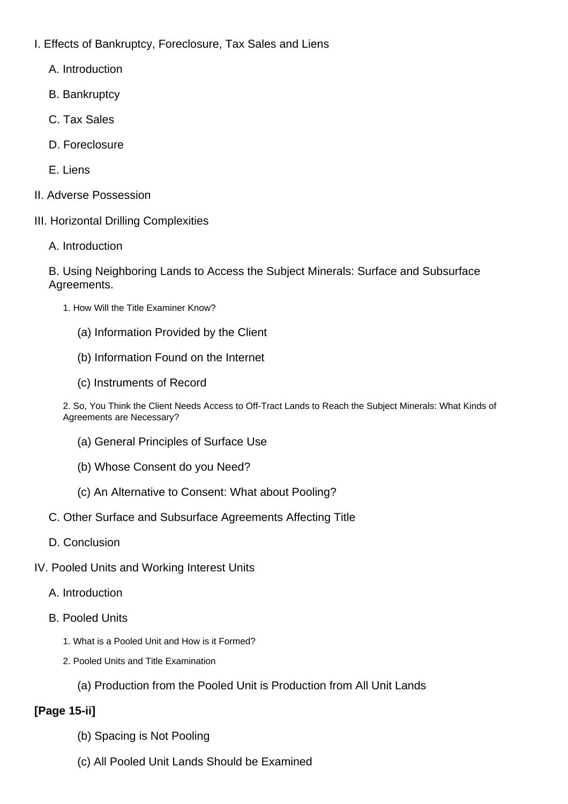- I. Effects of Bankruptcy, Foreclosure, Tax Sales and Liens
	- A. Introduction
	- B. Bankruptcy
	- C. Tax Sales
	- D. Foreclosure
	- E. Liens
- II. Adverse Possession
- III. Horizontal Drilling Complexities
	- A. Introduction

B. Using Neighboring Lands to Access the Subject Minerals: Surface and Subsurface Agreements.

- 1. How Will the Title Examiner Know?
	- (a) Information Provided by the Client
	- (b) Information Found on the Internet
	- (c) Instruments of Record

2. So, You Think the Client Needs Access to Off-Tract Lands to Reach the Subject Minerals: What Kinds of Agreements are Necessary?

- (a) General Principles of Surface Use
- (b) Whose Consent do you Need?
- (c) An Alternative to Consent: What about Pooling?
- C. Other Surface and Subsurface Agreements Affecting Title
- D. Conclusion
- IV. Pooled Units and Working Interest Units
	- A. Introduction
	- B. Pooled Units
		- 1. What is a Pooled Unit and How is it Formed?
		- 2. Pooled Units and Title Examination
			- (a) Production from the Pooled Unit is Production from All Unit Lands

## **[Page 15-ii]**

- (b) Spacing is Not Pooling
- (c) All Pooled Unit Lands Should be Examined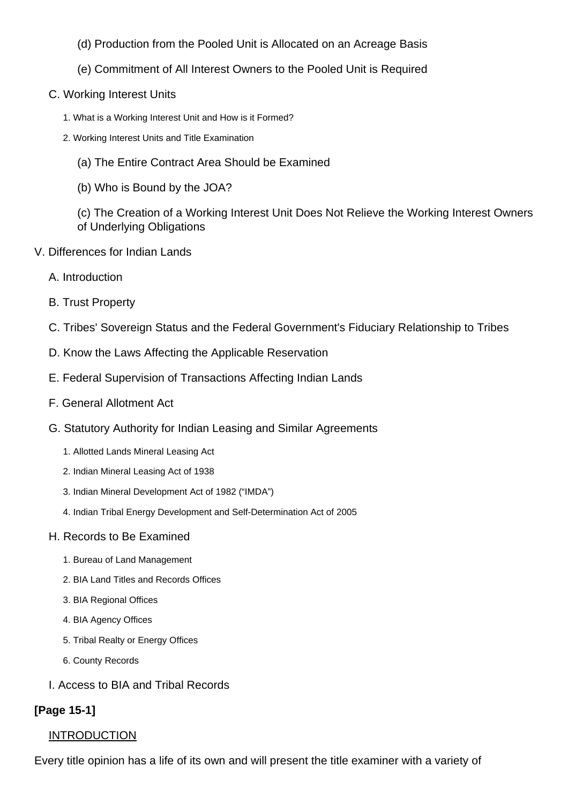- (d) Production from the Pooled Unit is Allocated on an Acreage Basis
- (e) Commitment of All Interest Owners to the Pooled Unit is Required
- C. Working Interest Units
	- 1. What is a Working Interest Unit and How is it Formed?
	- 2. Working Interest Units and Title Examination
		- (a) The Entire Contract Area Should be Examined
		- (b) Who is Bound by the JOA?

(c) The Creation of a Working Interest Unit Does Not Relieve the Working Interest Owners of Underlying Obligations

- V. Differences for Indian Lands
	- A. Introduction
	- B. Trust Property
	- C. Tribes' Sovereign Status and the Federal Government's Fiduciary Relationship to Tribes
	- D. Know the Laws Affecting the Applicable Reservation
	- E. Federal Supervision of Transactions Affecting Indian Lands
	- F. General Allotment Act
	- G. Statutory Authority for Indian Leasing and Similar Agreements
		- 1. Allotted Lands Mineral Leasing Act
		- 2. Indian Mineral Leasing Act of 1938
		- 3. Indian Mineral Development Act of 1982 ("IMDA")
		- 4. Indian Tribal Energy Development and Self-Determination Act of 2005

#### H. Records to Be Examined

- 1. Bureau of Land Management
- 2. BIA Land Titles and Records Offices
- 3. BIA Regional Offices
- 4. BIA Agency Offices
- 5. Tribal Realty or Energy Offices
- 6. County Records
- I. Access to BIA and Tribal Records

## **[Page 15-1]**

#### **INTRODUCTION**

Every title opinion has a life of its own and will present the title examiner with a variety of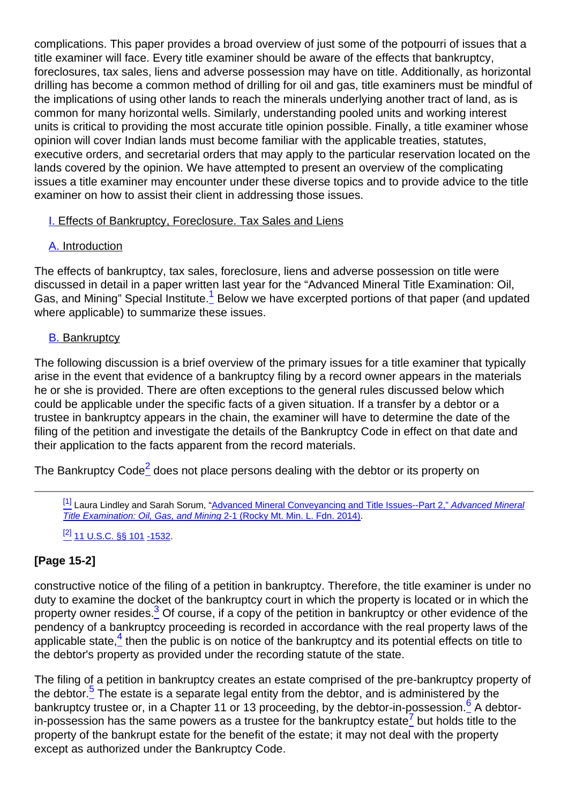complications. This paper provides a broad overview of just some of the potpourri of issues that a title examiner will face. Every title examiner should be aware of the effects that bankruptcy, foreclosures, tax sales, liens and adverse possession may have on title. Additionally, as horizontal drilling has become a common method of drilling for oil and gas, title examiners must be mindful of the implications of using other lands to reach the minerals underlying another tract of land, as is common for many horizontal wells. Similarly, understanding pooled units and working interest units is critical to providing the most accurate title opinion possible. Finally, a title examiner whose opinion will cover Indian lands must become familiar with the applicable treaties, statutes, executive orders, and secretarial orders that may apply to the particular reservation located on the lands covered by the opinion. We have attempted to present an overview of the complicating issues a title examiner may encounter under these diverse topics and to provide advice to the title examiner on how to assist their client in addressing those issues.

### I. Effects of Bankruptcy, Foreclosure. Tax Sales and Liens

### A. Introduction

<span id="page-3-0"></span>The effects of bankruptcy, tax sales, foreclosure, liens and adverse possession on title were discussed in detail in a paper written last year for the "Advanced Mineral Title Examination: Oil, Gas, and Mining" Special Institute.<sup>1</sup> Below we have excerpted portions of that paper (and updated where applicable) to summarize these issues.

### **B.** Bankruptcy

The following discussion is a brief overview of the primary issues for a title examiner that typically arise in the event that evidence of a bankruptcy filing by a record owner appears in the materials he or she is provided. There are often exceptions to the general rules discussed below which could be applicable under the specific facts of a given situation. If a transfer by a debtor or a trustee in bankruptcy appears in the chain, the examiner will have to determine the date of the filing of the petition and investigate the details of the Bankruptcy Code in effect on that date and their application to the facts apparent from the record materials.

<span id="page-3-1"></span>The Bankruptcy Code $_2^2$  does not place persons dealing with the debtor or its property on

[\[1\]](#page-3-0) Laura Lindley and Sarah Sorum, "[Advanced Mineral Conveyancing and Title Issues--Part 2,"](http://rmmlf.casemakerlibra.com/home/libra_2_rmmlf.aspx?doc=d:/data/RMMLF/Samples/2014%20Jan%20(Advanced%20Mineral%20Title%20Examination)/Chapter%202%20ADVANCED.htmampcurdoc=4ampp=11994#page2-1) [A](http://rmmlf.casemakerlibra.com/home/libra_2_rmmlf.aspx?doc=d:/data/RMMLF/Samples/2014%20Jan%20(Advanced%20Mineral%20Title%20Examination)/Chapter%202%20ADVANCED.htmampcurdoc=4ampp=11994#page2-1)dvanced Mineral Title Examination: Oil, Gas, and Mining [2-1 \(Rocky Mt. Min. L. Fdn. 2014\).](http://rmmlf.casemakerlibra.com/home/libra_2_rmmlf.aspx?doc=d:/data/RMMLF/Samples/2014%20Jan%20(Advanced%20Mineral%20Title%20Examination)/Chapter%202%20ADVANCED.htmampcurdoc=4ampp=11994#page2-1)

[\[2\]](#page-3-1) [11 U.S.C. §§ 101](http://links.casemakerlegal.com/federal/US/books/United_States_Code/browse?codesec=101amptitle=11ampci=45ampfn=Nuts%20amp%20Bolts%20of%20Mineral%20Title%20Examination%20(Apr%202015)) [-1532.](http://links.casemakerlegal.com/federal/US/books/United_States_Code/browse?codesec=1532amptitle=11ampci=45ampfn=Nuts%20amp%20Bolts%20of%20Mineral%20Title%20Examination%20(Apr%202015))

## **[Page 15-2]**

<span id="page-3-3"></span><span id="page-3-2"></span>constructive notice of the filing of a petition in bankruptcy. Therefore, the title examiner is under no duty to examine the docket of the bankruptcy court in which the property is located or in which the property owner resides.<sup>3</sup> Of course, if a copy of the petition in bankruptcy or other evidence of the pendency of a bankruptcy proceeding is recorded in accordance with the real property laws of the applicable state, $\frac{4}{5}$  then the public is on notice of the bankruptcy and its potential effects on title to the debtor's property as provided under the recording statute of the state.

<span id="page-3-6"></span><span id="page-3-5"></span><span id="page-3-4"></span>The filing of a petition in bankruptcy creates an estate comprised of the pre-bankruptcy property of the debtor. $\frac{5}{5}$  The estate is a separate legal entity from the debtor, and is administered by the bankruptcy trustee or, in a Chapter 11 or 13 proceeding, by the debtor-in-possession.<sup>6</sup> A debtorin-possession has the same powers as a trustee for the bankruptcy estate<sup>7</sup> but holds title to the property of the bankrupt estate for the benefit of the estate; it may not deal with the property except as authorized under the Bankruptcy Code.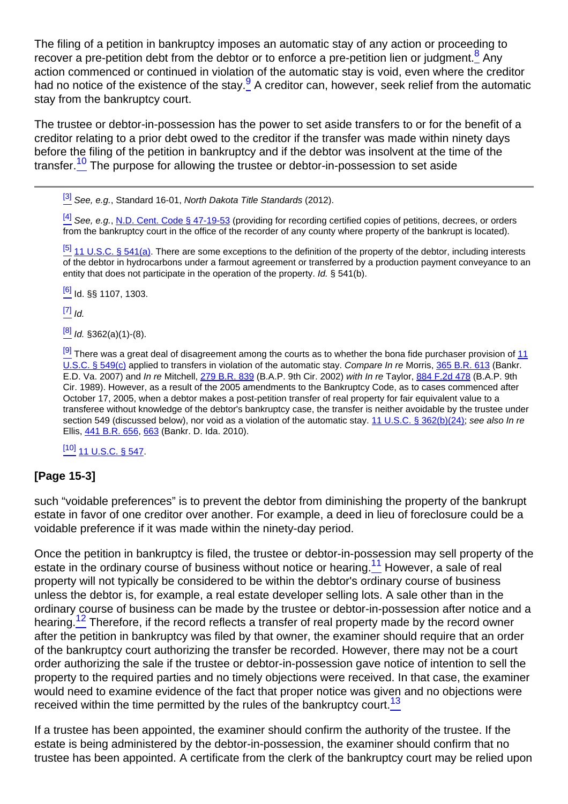<span id="page-4-1"></span><span id="page-4-0"></span>The filing of a petition in bankruptcy imposes an automatic stay of any action or proceeding to recover a pre-petition debt from the debtor or to enforce a pre-petition lien or judgment.<sup>8</sup> Any action commenced or continued in violation of the automatic stay is void, even where the creditor had no notice of the existence of the stay. A creditor can, however, seek relief from the automatic stay from the bankruptcy court.

<span id="page-4-2"></span>The trustee or debtor-in-possession has the power to set aside transfers to or for the benefit of a creditor relating to a prior debt owed to the creditor if the transfer was made within ninety days before the filing of the petition in bankruptcy and if the debtor was insolvent at the time of the transfer.<sup>10</sup> The purpose for allowing the trustee or debtor-in-possession to set aside

 $\left[3\right]$  See, e.g., Standard 16-01, North Dakota Title Standards (2012).

[\[4\]](#page-3-3) See, e.g., [N.D. Cent. Code § 47-19-53](http://links.casemakerlegal.com/states/ND/books/Code/browse?ci=45ampcodesec=47-19-53ampTitle=47ampfn=Nuts%20amp%20Bolts%20of%20Mineral%20Title%20Examination%20(Apr%202015)) (providing for recording certified copies of petitions, decrees, or orders from the bankruptcy court in the office of the recorder of any county where property of the bankrupt is located).

[\[5\]](#page-3-4) [11 U.S.C. § 541\(a\).](http://links.casemakerlegal.com/federal/US/books/United_States_Code/browse?codesec=541amptitle=11ampci=45#541(a)ampfn=Nuts%20amp%20Bolts%20of%20Mineral%20Title%20Examination%20(Apr%202015)) There are some exceptions to the definition of the property of the debtor, including interests of the debtor in hydrocarbons under a farmout agreement or transferred by a production payment conveyance to an entity that does not participate in the operation of the property. Id. § 541(b).

 $^{[6]}$  $^{[6]}$  $^{[6]}$  Id. §§ 1107, 1303.

 $[7]$   $\overline{1d}$ .

 $[8]$  *Id.* §362(a)(1)-(8).

 $[9]$  There was a great deal of disagreement among the courts as to whether the bona fide purchaser provision of  $11$ [U.S.C. § 549\(c\)](http://links.casemakerlegal.com/federal/US/books/United_States_Code/browse?codesec=549amptitle=11ampci=45#549(c)ampfn=Nuts%20amp%20Bolts%20of%20Mineral%20Title%20Examination%20(Apr%202015)) applied to transfers in violation of the automatic stay. Compare In re Morris, [365 B.R. 613](http://links.casemakerlegal.com/books/Case_Law/results?ci=45ampsearch[Cite]=365+B.R.+613ampfn=Nuts%20amp%20Bolts%20of%20Mineral%20Title%20Examination%20(Apr%202015)) (Bankr. E.D. Va. 2007) and In re Mitchell, [279 B.R. 839](http://links.casemakerlegal.com/books/Case_Law/results?ci=45ampsearch[Cite]=279+B.R.+839ampfn=Nuts%20amp%20Bolts%20of%20Mineral%20Title%20Examination%20(Apr%202015)) (B.A.P. 9th Cir. 2002) with In re Taylor, [884 F.2d 478](http://links.casemakerlegal.com/books/Case_Law/results?ci=45ampsearch[Cite]=884+F.2d+478ampfn=Nuts%20amp%20Bolts%20of%20Mineral%20Title%20Examination%20(Apr%202015)) (B.A.P. 9th Cir. 1989). However, as a result of the 2005 amendments to the Bankruptcy Code, as to cases commenced after October 17, 2005, when a debtor makes a post-petition transfer of real property for fair equivalent value to a transferee without knowledge of the debtor's bankruptcy case, the transfer is neither avoidable by the trustee under section 549 (discussed below), nor void as a violation of the automatic stay. [11 U.S.C. § 362\(b\)\(24\)](http://links.casemakerlegal.com/federal/US/books/United_States_Code/browse?codesec=362amptitle=11ampci=45#362(b)(24)ampfn=Nuts%20amp%20Bolts%20of%20Mineral%20Title%20Examination%20(Apr%202015)); see also In re Ellis, [441 B.R. 656,](http://links.casemakerlegal.com/books/Case_Law/results?ci=45ampsearch[Cite]=441+B.R.+656ampfn=Nuts%20amp%20Bolts%20of%20Mineral%20Title%20Examination%20(Apr%202015)) [663](http://links.casemakerlegal.com/books/Case_Law/results?ci=45ampsearch[Cite]=441+B.R.+663#page663ampfn=Nuts%20amp%20Bolts%20of%20Mineral%20Title%20Examination%20(Apr%202015)) (Bankr. D. Ida. 2010).

 $[10]$  [11 U.S.C. § 547.](http://links.casemakerlegal.com/federal/US/books/United_States_Code/browse?codesec=547amptitle=11ampci=45ampfn=Nuts%20amp%20Bolts%20of%20Mineral%20Title%20Examination%20(Apr%202015))

### **[Page 15-3]**

such "voidable preferences" is to prevent the debtor from diminishing the property of the bankrupt estate in favor of one creditor over another. For example, a deed in lieu of foreclosure could be a voidable preference if it was made within the ninety-day period.

<span id="page-4-4"></span><span id="page-4-3"></span>Once the petition in bankruptcy is filed, the trustee or debtor-in-possession may sell property of the estate in the ordinary course of business without notice or hearing.<sup>11</sup> However, a sale of real property will not typically be considered to be within the debtor's ordinary course of business unless the debtor is, for example, a real estate developer selling lots. A sale other than in the ordinary course of business can be made by the trustee or debtor-in-possession after notice and a hearing.<sup>12</sup> Therefore, if the record reflects a transfer of real property made by the record owner after the petition in bankruptcy was filed by that owner, the examiner should require that an order of the bankruptcy court authorizing the transfer be recorded. However, there may not be a court order authorizing the sale if the trustee or debtor-in-possession gave notice of intention to sell the property to the required parties and no timely objections were received. In that case, the examiner would need to examine evidence of the fact that proper notice was given and no objections were received within the time permitted by the rules of the bankruptcy court.<sup>13</sup>

<span id="page-4-6"></span><span id="page-4-5"></span>If a trustee has been appointed, the examiner should confirm the authority of the trustee. If the estate is being administered by the debtor-in-possession, the examiner should confirm that no trustee has been appointed. A certificate from the clerk of the bankruptcy court may be relied upon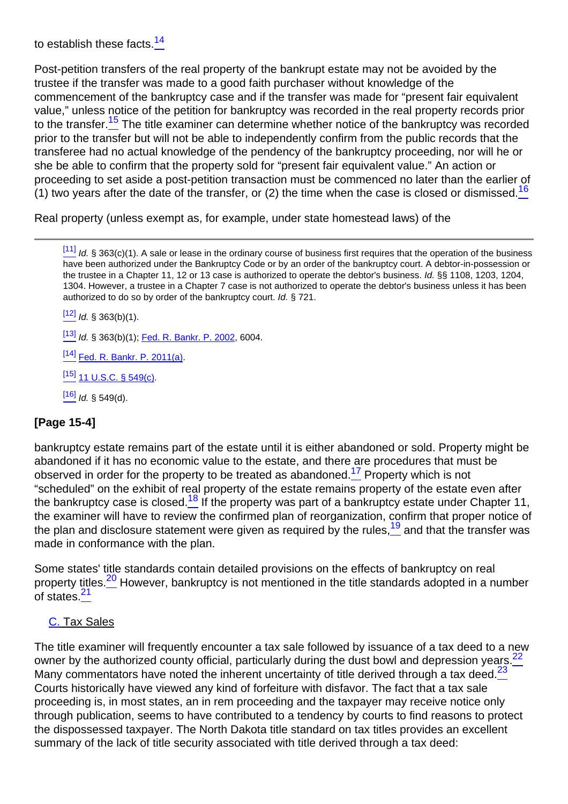to establish these facts.<sup>14</sup>

<span id="page-5-0"></span>Post-petition transfers of the real property of the bankrupt estate may not be avoided by the trustee if the transfer was made to a good faith purchaser without knowledge of the commencement of the bankruptcy case and if the transfer was made for "present fair equivalent value," unless notice of the petition for bankruptcy was recorded in the real property records prior to the transfer.<sup>15</sup> The title examiner can determine whether notice of the bankruptcy was recorded prior to the transfer but will not be able to independently confirm from the public records that the transferee had no actual knowledge of the pendency of the bankruptcy proceeding, nor will he or she be able to confirm that the property sold for "present fair equivalent value." An action or proceeding to set aside a post-petition transaction must be commenced no later than the earlier of (1) two years after the date of the transfer, or (2) the time when the case is closed or dismissed.<sup>16</sup>

<span id="page-5-1"></span>Real property (unless exempt as, for example, under state homestead laws) of the

 $\frac{[11]}{[11]}$  $\frac{[11]}{[11]}$  $\frac{[11]}{[11]}$  Id. § 363(c)(1). A sale or lease in the ordinary course of business first requires that the operation of the business have been authorized under the Bankruptcy Code or by an order of the bankruptcy court. A debtor-in-possession or the trustee in a Chapter 11, 12 or 13 case is authorized to operate the debtor's business. Id. §§ 1108, 1203, 1204, 1304. However, a trustee in a Chapter 7 case is not authorized to operate the debtor's business unless it has been authorized to do so by order of the bankruptcy court. Id. § 721.

 $[12]$  *Id.* § 363(b)(1).

 $[13]$  Id. § 363(b)(1); [Fed. R. Bankr. P. 2002](http://links.casemakerlegal.com/federal/US/books/Federal%20Court%20Rules/browse?codesec=2002amptitle=federal%20rules%20of%20bankruptcy%20procedure,%20consolidated%20and%20reconciledampci=45ampdatatype=Fampfn=Nuts%20amp%20Bolts%20of%20Mineral%20Title%20Examination%20(Apr%202015)), 6004.

 $[14]$  [Fed. R. Bankr. P. 2011\(a\).](http://links.casemakerlegal.com/federal/US/books/Federal%20Court%20Rules/browse?codesec=2011amptitle=federal%20rules%20of%20bankruptcy%20procedure,%20consolidated%20and%20reconciledampci=45ampdatatype=F#2011(a)ampfn=Nuts%20amp%20Bolts%20of%20Mineral%20Title%20Examination%20(Apr%202015))

 $[15]$  [11 U.S.C. § 549\(c\).](http://links.casemakerlegal.com/federal/US/books/United_States_Code/browse?codesec=549amptitle=11ampci=45#549(c)ampfn=Nuts%20amp%20Bolts%20of%20Mineral%20Title%20Examination%20(Apr%202015))

 $[16]$  *Id.* § 549(d).

## **[Page 15-4]**

<span id="page-5-3"></span><span id="page-5-2"></span>bankruptcy estate remains part of the estate until it is either abandoned or sold. Property might be abandoned if it has no economic value to the estate, and there are procedures that must be observed in order for the property to be treated as abandoned.<sup>17</sup> Property which is not "scheduled" on the exhibit of real property of the estate remains property of the estate even after the bankruptcy case is closed.<sup>18</sup> If the property was part of a bankruptcy estate under Chapter 11, the examiner will have to review the confirmed plan of reorganization, confirm that proper notice of the plan and disclosure statement were given as required by the rules, $\frac{19}{2}$  and that the transfer was made in conformance with the plan.

<span id="page-5-6"></span><span id="page-5-5"></span><span id="page-5-4"></span>Some states' title standards contain detailed provisions on the effects of bankruptcy on real property titles.<sup>20</sup> However, bankruptcy is not mentioned in the title standards adopted in a number of states.<sup>21</sup>

#### C. Tax Sales

<span id="page-5-8"></span><span id="page-5-7"></span>The title examiner will frequently encounter a tax sale followed by issuance of a tax deed to a new owner by the authorized county official, particularly during the dust bowl and depression years.<sup>22</sup> Many commentators have noted the inherent uncertainty of title derived through a tax deed.<sup>23</sup> Courts historically have viewed any kind of forfeiture with disfavor. The fact that a tax sale proceeding is, in most states, an in rem proceeding and the taxpayer may receive notice only through publication, seems to have contributed to a tendency by courts to find reasons to protect the dispossessed taxpayer. The North Dakota title standard on tax titles provides an excellent summary of the lack of title security associated with title derived through a tax deed: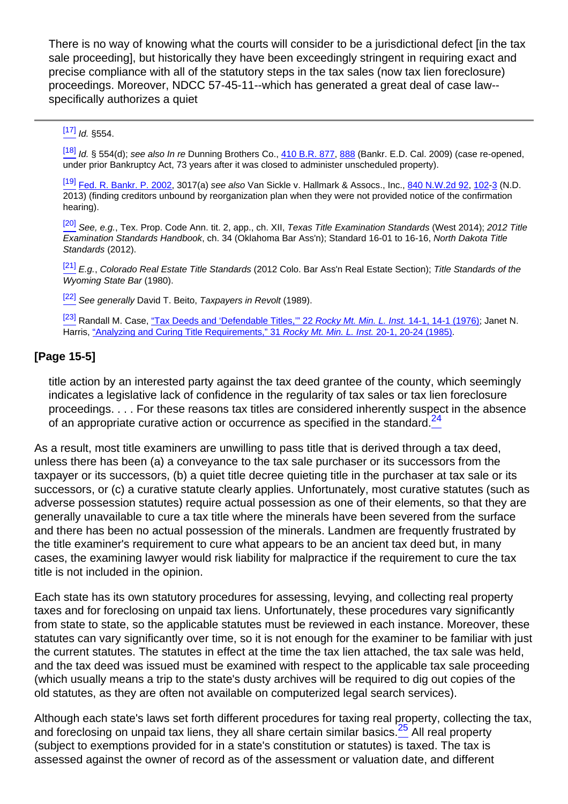There is no way of knowing what the courts will consider to be a jurisdictional defect [in the tax sale proceeding], but historically they have been exceedingly stringent in requiring exact and precise compliance with all of the statutory steps in the tax sales (now tax lien foreclosure) proceedings. Moreover, NDCC 57-45-11--which has generated a great deal of case law- specifically authorizes a quiet

### $[17]$  Id.  $$554$ .

[\[18\]](#page-5-3) Id. § 554(d); see also In re Dunning Brothers Co., [410 B.R. 877,](http://links.casemakerlegal.com/books/Case_Law/results?ci=45ampsearch[Cite]=410+B.R.+877ampfn=Nuts%20amp%20Bolts%20of%20Mineral%20Title%20Examination%20(Apr%202015)) [888](http://links.casemakerlegal.com/books/Case_Law/results?ci=45ampsearch[Cite]=410+B.R.+888#page888ampfn=Nuts%20amp%20Bolts%20of%20Mineral%20Title%20Examination%20(Apr%202015)) (Bankr. E.D. Cal. 2009) (case re-opened, under prior Bankruptcy Act, 73 years after it was closed to administer unscheduled property).

[\[19\]](#page-5-4) [Fed. R. Bankr. P. 2002,](http://links.casemakerlegal.com/federal/US/books/Federal%20Court%20Rules/browse?codesec=2002amptitle=federal%20rules%20of%20bankruptcy%20procedure,%20consolidated%20and%20reconciledampci=45ampdatatype=Fampfn=Nuts%20amp%20Bolts%20of%20Mineral%20Title%20Examination%20(Apr%202015)) 3017(a) see also Van Sickle v. Hallmark & Assocs., Inc., [840 N.W.2d 92,](http://links.casemakerlegal.com/books/Case_Law/results?ci=45ampsearch[Cite]=840+N.W.2d+92ampfn=Nuts%20amp%20Bolts%20of%20Mineral%20Title%20Examination%20(Apr%202015)) [102](http://links.casemakerlegal.com/books/Case_Law/results?ci=45ampsearch[Cite]=840+N.W.2d+102#page102ampfn=Nuts%20amp%20Bolts%20of%20Mineral%20Title%20Examination%20(Apr%202015))-[3](http://links.casemakerlegal.com/books/Case_Law/results?ci=45ampsearch[Cite]=840+N.W.2d+103#page103ampfn=Nuts%20amp%20Bolts%20of%20Mineral%20Title%20Examination%20(Apr%202015)) (N.D. 2013) (finding creditors unbound by reorganization plan when they were not provided notice of the confirmation hearing).

<sup>[\[20\]](#page-5-5)</sup> See, e.g., Tex. Prop. Code Ann. tit. 2, app., ch. XII, Texas Title Examination Standards (West 2014); 2012 Title Examination Standards Handbook, ch. 34 (Oklahoma Bar Ass'n); Standard 16-01 to 16-16, North Dakota Title Standards (2012).

<sup>[\[21\]](#page-5-6)</sup> E.g., Colorado Real Estate Title Standards (2012 Colo. Bar Ass'n Real Estate Section); Title Standards of the Wyoming State Bar (1980).

[\[22\]](#page-5-7) See generally David T. Beito, Taxpayers in Revolt (1989).

[\[23\]](#page-5-8) Randall M[.](http://rmmlf.casemakerlibra.com/home/libra_2_rmmlf.aspx?doc=d:/data/RMMLF/Samples/22%20Rocky%20Mt.%20Min.%20L.%20Inst.%20(1976)/Chapter%2014%20TAX%20DEEDS%20AND.htmampcurdoc=16ampp=12224#page14-1) Case, "Tax Deeds and 'Defendable Titles,"" 22 Rocky Mt. Min. L. Inst. [14-1, 14-1 \(1976\)](http://rmmlf.casemakerlibra.com/home/libra_2_rmmlf.aspx?doc=d:/data/RMMLF/Samples/22%20Rocky%20Mt.%20Min.%20L.%20Inst.%20(1976)/Chapter%2014%20TAX%20DEEDS%20AND.htmampcurdoc=16ampp=12224#page14-1); Janet N. Harris, ["Analyzing and Curing Title Requirements," 31](http://rmmlf.casemakerlibra.com/home/libra_2_rmmlf.aspx?doc=d:/data/RMMLF/Samples/31%20Rocky%20Mt.%20Min.%20L.%20Inst.%20(1985)/Chapter%2020%20ANALYZING%20AND.htmampcurdoc=22ampp=12234#page20-1) Rocky Mt[.](http://rmmlf.casemakerlibra.com/home/libra_2_rmmlf.aspx?doc=d:/data/RMMLF/Samples/31%20Rocky%20Mt.%20Min.%20L.%20Inst.%20(1985)/Chapter%2020%20ANALYZING%20AND.htmampcurdoc=22ampp=12234#page20-1) Min. L. Inst. [20-1, 20-24 \(1985\).](http://rmmlf.casemakerlibra.com/home/libra_2_rmmlf.aspx?doc=d:/data/RMMLF/Samples/31%20Rocky%20Mt.%20Min.%20L.%20Inst.%20(1985)/Chapter%2020%20ANALYZING%20AND.htmampcurdoc=22ampp=12234#page20-1)

### **[Page 15-5]**

title action by an interested party against the tax deed grantee of the county, which seemingly indicates a legislative lack of confidence in the regularity of tax sales or tax lien foreclosure proceedings. . . . For these reasons tax titles are considered inherently suspect in the absence of an appropriate curative action or occurrence as specified in the standard.<sup>24</sup>

<span id="page-6-0"></span>As a result, most title examiners are unwilling to pass title that is derived through a tax deed, unless there has been (a) a conveyance to the tax sale purchaser or its successors from the taxpayer or its successors, (b) a quiet title decree quieting title in the purchaser at tax sale or its successors, or (c) a curative statute clearly applies. Unfortunately, most curative statutes (such as adverse possession statutes) require actual possession as one of their elements, so that they are generally unavailable to cure a tax title where the minerals have been severed from the surface and there has been no actual possession of the minerals. Landmen are frequently frustrated by the title examiner's requirement to cure what appears to be an ancient tax deed but, in many cases, the examining lawyer would risk liability for malpractice if the requirement to cure the tax title is not included in the opinion.

Each state has its own statutory procedures for assessing, levying, and collecting real property taxes and for foreclosing on unpaid tax liens. Unfortunately, these procedures vary significantly from state to state, so the applicable statutes must be reviewed in each instance. Moreover, these statutes can vary significantly over time, so it is not enough for the examiner to be familiar with just the current statutes. The statutes in effect at the time the tax lien attached, the tax sale was held, and the tax deed was issued must be examined with respect to the applicable tax sale proceeding (which usually means a trip to the state's dusty archives will be required to dig out copies of the old statutes, as they are often not available on computerized legal search services).

<span id="page-6-1"></span>Although each state's laws set forth different procedures for taxing real property, collecting the tax, and foreclosing on unpaid tax liens, they all share certain similar basics.<sup>25</sup> All real property (subject to exemptions provided for in a state's constitution or statutes) is taxed. The tax is assessed against the owner of record as of the assessment or valuation date, and different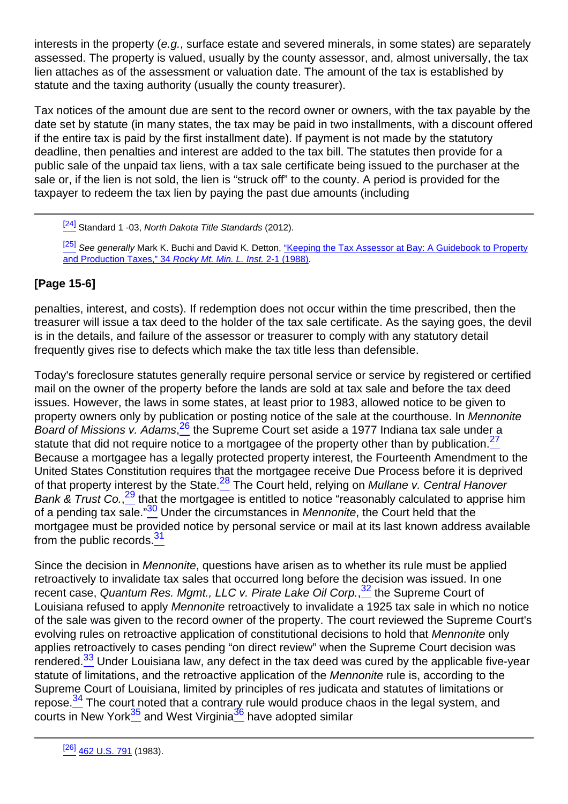interests in the property (e.g., surface estate and severed minerals, in some states) are separately assessed. The property is valued, usually by the county assessor, and, almost universally, the tax lien attaches as of the assessment or valuation date. The amount of the tax is established by statute and the taxing authority (usually the county treasurer).

Tax notices of the amount due are sent to the record owner or owners, with the tax payable by the date set by statute (in many states, the tax may be paid in two installments, with a discount offered if the entire tax is paid by the first installment date). If payment is not made by the statutory deadline, then penalties and interest are added to the tax bill. The statutes then provide for a public sale of the unpaid tax liens, with a tax sale certificate being issued to the purchaser at the sale or, if the lien is not sold, the lien is "struck off" to the county. A period is provided for the taxpayer to redeem the tax lien by paying the past due amounts (including

<sup>[\[25\]](#page-6-1)</sup> See generally Mark K. Buchi and David K. Detton, ["Keeping the Tax Assessor at Bay: A Guidebook to Property](http://rmmlf.casemakerlibra.com/home/libra_2_rmmlf.aspx?doc=d:/data/RMMLF/Samples/34%20Rocky%20Mt.%20Min.%20L.%20Inst.%20(1988)/Chapter%202%20KEEPING%20THE.htmampcurdoc=4ampp=12237#page2-1) [and Production Taxes," 34](http://rmmlf.casemakerlibra.com/home/libra_2_rmmlf.aspx?doc=d:/data/RMMLF/Samples/34%20Rocky%20Mt.%20Min.%20L.%20Inst.%20(1988)/Chapter%202%20KEEPING%20THE.htmampcurdoc=4ampp=12237#page2-1) Rocky Mt. Min. L. Inst[.](http://rmmlf.casemakerlibra.com/home/libra_2_rmmlf.aspx?doc=d:/data/RMMLF/Samples/34%20Rocky%20Mt.%20Min.%20L.%20Inst.%20(1988)/Chapter%202%20KEEPING%20THE.htmampcurdoc=4ampp=12237#page2-1) [2-1 \(1988\)](http://rmmlf.casemakerlibra.com/home/libra_2_rmmlf.aspx?doc=d:/data/RMMLF/Samples/34%20Rocky%20Mt.%20Min.%20L.%20Inst.%20(1988)/Chapter%202%20KEEPING%20THE.htmampcurdoc=4ampp=12237#page2-1).

## **[Page 15-6]**

penalties, interest, and costs). If redemption does not occur within the time prescribed, then the treasurer will issue a tax deed to the holder of the tax sale certificate. As the saying goes, the devil is in the details, and failure of the assessor or treasurer to comply with any statutory detail frequently gives rise to defects which make the tax title less than defensible.

<span id="page-7-1"></span><span id="page-7-0"></span>Today's foreclosure statutes generally require personal service or service by registered or certified mail on the owner of the property before the lands are sold at tax sale and before the tax deed issues. However, the laws in some states, at least prior to 1983, allowed notice to be given to property owners only by publication or posting notice of the sale at the courthouse. In Mennonite .<br>Board of Missions v. Adams, 26 the Supreme Court set aside a 1977 Indiana tax sale under a statute that did not require notice to a mortgagee of the property other than by publication.<sup>27</sup> Because a mortgagee has a legally protected property interest, the Fourteenth Amendment to the United States Constitution requires that the mortgagee receive Due Process before it is deprived of that property interest by the State. $\frac{28}{3}$  The Court held, relying on *Mullane v. Central Hanover* Bank & Trust Co.,<sup>29</sup> that the mortgagee is entitled to notice "reasonably calculated to apprise him of a pending tax sale."<sup>30</sup> Under the circumstances in *Mennonite*, the Court held that the mortgagee must be provided notice by personal service or mail at its last known address available from the public records.<sup>31</sup>

<span id="page-7-9"></span><span id="page-7-8"></span><span id="page-7-7"></span><span id="page-7-6"></span><span id="page-7-5"></span><span id="page-7-4"></span><span id="page-7-3"></span><span id="page-7-2"></span>Since the decision in Mennonite, questions have arisen as to whether its rule must be applied retroactively to invalidate tax sales that occurred long before the decision was issued. In one recent case, Quantum Res. Mgmt., LLC v. Pirate Lake Oil Corp.,<sup>32</sup> the Supreme Court of Louisiana refused to apply Mennonite retroactively to invalidate a 1925 tax sale in which no notice of the sale was given to the record owner of the property. The court reviewed the Supreme Court's evolving rules on retroactive application of constitutional decisions to hold that Mennonite only applies retroactively to cases pending "on direct review" when the Supreme Court decision was rendered.<sup>33</sup> Under Louisiana law, any defect in the tax deed was cured by the applicable five-year statute of limitations, and the retroactive application of the *Mennonite* rule is, according to the Supreme Court of Louisiana, limited by principles of res judicata and statutes of limitations or repose.<sup>34</sup> The court noted that a contrary rule would produce chaos in the legal system, and courts in New York<sup>35</sup> and West Virginia<sup>36</sup> have adopted similar

<sup>&</sup>lt;sup>[\[24\]](#page-6-0)</sup> Standard 1 -03, North Dakota Title Standards (2012).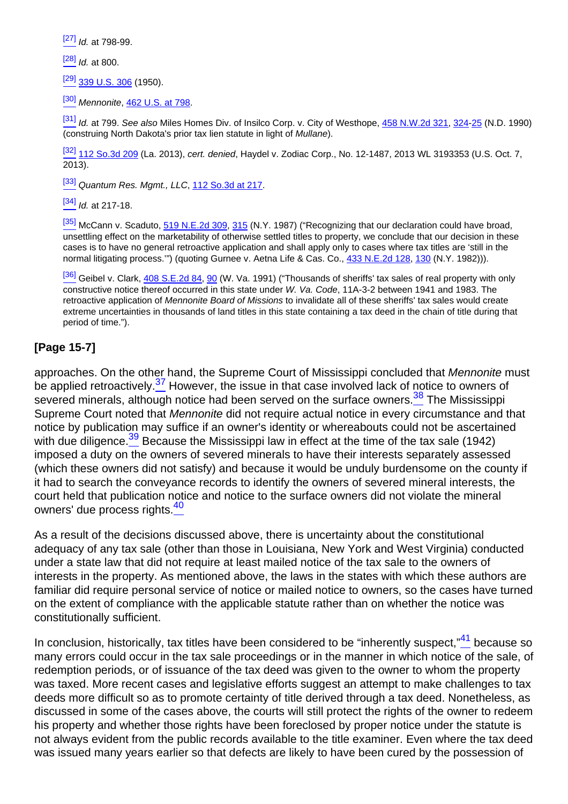$[27]$  *Id.* at 798-99.

 $[28]$  *Id.* at 800.

 $[29]$  [339 U.S. 306](http://links.casemakerlegal.com/books/Case_Law/results?ci=45ampsearch[Cite]=339+U.S.+306ampfn=Nuts%20amp%20Bolts%20of%20Mineral%20Title%20Examination%20(Apr%202015)) (1950).

[\[30\]](#page-7-4) Mennonite, [462 U.S. at 798](http://links.casemakerlegal.com/books/Case_Law/results?ci=45ampsearch[Cite]=462+U.S.+798#page798ampfn=Nuts%20amp%20Bolts%20of%20Mineral%20Title%20Examination%20(Apr%202015)).

[\[31\]](#page-7-5) Id. at 799. See also Miles Homes Div. of Insilco Corp. v. City of Westhope, [458 N.W.2d 321,](http://links.casemakerlegal.com/books/Case_Law/results?ci=45ampsearch[Cite]=458+N.W.2d+321ampfn=Nuts%20amp%20Bolts%20of%20Mineral%20Title%20Examination%20(Apr%202015)) [324](http://links.casemakerlegal.com/books/Case_Law/results?ci=45ampsearch[Cite]=458+N.W.2d+324#page324ampfn=Nuts%20amp%20Bolts%20of%20Mineral%20Title%20Examination%20(Apr%202015))[-25](http://links.casemakerlegal.com/books/Case_Law/results?ci=45ampsearch[Cite]=458+N.W.2d+325#page325ampfn=Nuts%20amp%20Bolts%20of%20Mineral%20Title%20Examination%20(Apr%202015)) (N.D. 1990) (construing North Dakota's prior tax lien statute in light of Mullane).

[\[32\]](#page-7-6) [112 So.3d 209](http://links.casemakerlegal.com/books/Case_Law/results?ci=45ampsearch[Cite]=112+So.3d+209ampfn=Nuts%20amp%20Bolts%20of%20Mineral%20Title%20Examination%20(Apr%202015)) (La. 2013), cert. denied, Haydel v. Zodiac Corp., No. 12-1487, 2013 WL 3193353 (U.S. Oct. 7,  $2013$ ).

[\[33\]](#page-7-7) Quantum Res. Mgmt., LLC, [112 So.3d at 217.](http://links.casemakerlegal.com/books/Case_Law/results?ci=45ampsearch[Cite]=112+So.3d+217#page217ampfn=Nuts%20amp%20Bolts%20of%20Mineral%20Title%20Examination%20(Apr%202015))

 $[34]$  *Id.* at 217-18.

[\[35\]](#page-7-9) McCann v. Scaduto, [519 N.E.2d 309](http://links.casemakerlegal.com/books/Case_Law/results?ci=45ampsearch[Cite]=519+N.E.2d+309ampfn=Nuts%20amp%20Bolts%20of%20Mineral%20Title%20Examination%20(Apr%202015)), [315](http://links.casemakerlegal.com/books/Case_Law/results?ci=45ampsearch[Cite]=519+N.E.2d+315#page315ampfn=Nuts%20amp%20Bolts%20of%20Mineral%20Title%20Examination%20(Apr%202015)) (N.Y. 1987) ("Recognizing that our declaration could have broad, unsettling effect on the marketability of otherwise settled titles to property, we conclude that our decision in these cases is to have no general retroactive application and shall apply only to cases where tax titles are 'still in the normal litigating process."") (quoting Gurnee v. Aetna Life & Cas. Co., [433 N.E.2d 128,](http://links.casemakerlegal.com/books/Case_Law/results?ci=45ampsearch[Cite]=433+N.E.2d+128ampfn=Nuts%20amp%20Bolts%20of%20Mineral%20Title%20Examination%20(Apr%202015)) [130](http://links.casemakerlegal.com/books/Case_Law/results?ci=45ampsearch[Cite]=433+N.E.2d+130#page130ampfn=Nuts%20amp%20Bolts%20of%20Mineral%20Title%20Examination%20(Apr%202015)) (N.Y. 1982))).

[\[36\]](#page-7-9) Geibel v. Clark, [408 S.E.2d 84](http://links.casemakerlegal.com/books/Case_Law/results?ci=45ampsearch[Cite]=408+S.E.2d+84ampfn=Nuts%20amp%20Bolts%20of%20Mineral%20Title%20Examination%20(Apr%202015)), [90](http://links.casemakerlegal.com/books/Case_Law/results?ci=45ampsearch[Cite]=408+S.E.2d+90#page90ampfn=Nuts%20amp%20Bolts%20of%20Mineral%20Title%20Examination%20(Apr%202015)) (W. Va. 1991) ("Thousands of sheriffs' tax sales of real property with only constructive notice thereof occurred in this state under W. Va. Code, 11A-3-2 between 1941 and 1983. The retroactive application of Mennonite Board of Missions to invalidate all of these sheriffs' tax sales would create extreme uncertainties in thousands of land titles in this state containing a tax deed in the chain of title during that period of time.").

### **[Page 15-7]**

<span id="page-8-2"></span><span id="page-8-1"></span><span id="page-8-0"></span>approaches. On the other hand, the Supreme Court of Mississippi concluded that Mennonite must be applied retroactively.<sup>37</sup> However, the issue in that case involved lack of notice to owners of severed minerals, although notice had been served on the surface owners.<sup>38</sup> The Mississippi Supreme Court noted that Mennonite did not require actual notice in every circumstance and that notice by publication may suffice if an owner's identity or whereabouts could not be ascertained with due diligence.  $39$  Because the Mississippi law in effect at the time of the tax sale (1942) imposed a duty on the owners of severed minerals to have their interests separately assessed (which these owners did not satisfy) and because it would be unduly burdensome on the county if it had to search the conveyance records to identify the owners of severed mineral interests, the court held that publication notice and notice to the surface owners did not violate the mineral owners' due process rights.<sup>40</sup>

<span id="page-8-3"></span>As a result of the decisions discussed above, there is uncertainty about the constitutional adequacy of any tax sale (other than those in Louisiana, New York and West Virginia) conducted under a state law that did not require at least mailed notice of the tax sale to the owners of interests in the property. As mentioned above, the laws in the states with which these authors are familiar did require personal service of notice or mailed notice to owners, so the cases have turned on the extent of compliance with the applicable statute rather than on whether the notice was constitutionally sufficient.

<span id="page-8-4"></span>In conclusion, historically, tax titles have been considered to be "inherently suspect,"<sup>41</sup> because so many errors could occur in the tax sale proceedings or in the manner in which notice of the sale, of redemption periods, or of issuance of the tax deed was given to the owner to whom the property was taxed. More recent cases and legislative efforts suggest an attempt to make challenges to tax deeds more difficult so as to promote certainty of title derived through a tax deed. Nonetheless, as discussed in some of the cases above, the courts will still protect the rights of the owner to redeem his property and whether those rights have been foreclosed by proper notice under the statute is not always evident from the public records available to the title examiner. Even where the tax deed was issued many years earlier so that defects are likely to have been cured by the possession of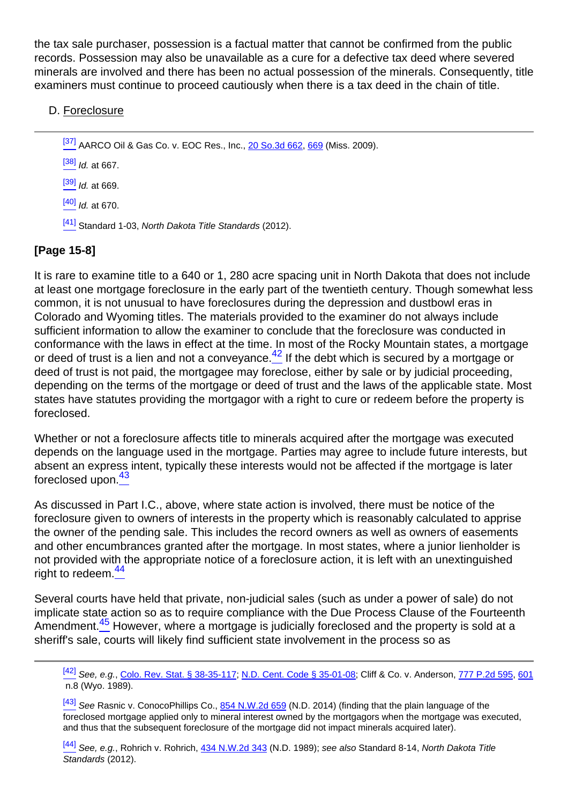the tax sale purchaser, possession is a factual matter that cannot be confirmed from the public records. Possession may also be unavailable as a cure for a defective tax deed where severed minerals are involved and there has been no actual possession of the minerals. Consequently, title examiners must continue to proceed cautiously when there is a tax deed in the chain of title.

### D. Foreclosure

[\[37\]](#page-8-0) AARCO Oil & Gas Co. v. EOC Res., Inc., [20 So.3d 662](http://links.casemakerlegal.com/books/Case_Law/results?ci=45ampsearch[Cite]=20+So.3d+662ampfn=Nuts%20amp%20Bolts%20of%20Mineral%20Title%20Examination%20(Apr%202015)), [669](http://links.casemakerlegal.com/books/Case_Law/results?ci=45ampsearch[Cite]=20+So.3d+669#page669ampfn=Nuts%20amp%20Bolts%20of%20Mineral%20Title%20Examination%20(Apr%202015)) (Miss, 2009).

- $[38]$  *Id.* at 667.
- $[39]$  *Id.* at 669.
- $[40]$  *Id.* at 670.

[\[41\]](#page-8-4) Standard 1-03, North Dakota Title Standards (2012).

## **[Page 15-8]**

<span id="page-9-0"></span>It is rare to examine title to a 640 or 1, 280 acre spacing unit in North Dakota that does not include at least one mortgage foreclosure in the early part of the twentieth century. Though somewhat less common, it is not unusual to have foreclosures during the depression and dustbowl eras in Colorado and Wyoming titles. The materials provided to the examiner do not always include sufficient information to allow the examiner to conclude that the foreclosure was conducted in conformance with the laws in effect at the time. In most of the Rocky Mountain states, a mortgage or deed of trust is a lien and not a conveyance. $\frac{42}{5}$  If the debt which is secured by a mortgage or deed of trust is not paid, the mortgagee may foreclose, either by sale or by judicial proceeding, depending on the terms of the mortgage or deed of trust and the laws of the applicable state. Most states have statutes providing the mortgagor with a right to cure or redeem before the property is foreclosed.

<span id="page-9-1"></span>Whether or not a foreclosure affects title to minerals acquired after the mortgage was executed depends on the language used in the mortgage. Parties may agree to include future interests, but absent an express intent, typically these interests would not be affected if the mortgage is later foreclosed upon.<sup>43</sup>

As discussed in Part I.C., above, where state action is involved, there must be notice of the foreclosure given to owners of interests in the property which is reasonably calculated to apprise the owner of the pending sale. This includes the record owners as well as owners of easements and other encumbrances granted after the mortgage. In most states, where a junior lienholder is not provided with the appropriate notice of a foreclosure action, it is left with an unextinguished right to redeem.<sup>44</sup>

<span id="page-9-3"></span><span id="page-9-2"></span>Several courts have held that private, non-judicial sales (such as under a power of sale) do not implicate state action so as to require compliance with the Due Process Clause of the Fourteenth Amendment.<sup>45</sup> However, where a mortgage is judicially foreclosed and the property is sold at a sheriff's sale, courts will likely find sufficient state involvement in the process so as

[\[42\]](#page-9-0) See, e.g., [Colo. Rev. Stat. § 38-35-117;](http://links.casemakerlegal.com/states/CO/books/Statutes/browse?ci=45ampcodesec=38-35-117ampTitle=38ampfn=Nuts%20amp%20Bolts%20of%20Mineral%20Title%20Examination%20(Apr%202015)) [N.D. Cent. Code § 35-01-08;](http://links.casemakerlegal.com/states/ND/books/Code/browse?ci=45ampcodesec=35-01-08ampTitle=35ampfn=Nuts%20amp%20Bolts%20of%20Mineral%20Title%20Examination%20(Apr%202015)) Cliff & Co. v. Anderson, [777 P.2d 595](http://links.casemakerlegal.com/books/Case_Law/results?ci=45ampsearch[Cite]=777+P.2d+595ampfn=Nuts%20amp%20Bolts%20of%20Mineral%20Title%20Examination%20(Apr%202015)), [601](http://links.casemakerlegal.com/books/Case_Law/results?ci=45ampsearch[Cite]=777+P.2d+601#page601ampfn=Nuts%20amp%20Bolts%20of%20Mineral%20Title%20Examination%20(Apr%202015)) n.8 (Wyo. 1989).

<sup>[\[43\]](#page-9-1)</sup> See Rasnic v. ConocoPhillips Co., [854 N.W.2d 659](http://links.casemakerlegal.com/books/Case_Law/results?ci=45ampsearch[Cite]=854+N.W.2d+659ampfn=Nuts%20amp%20Bolts%20of%20Mineral%20Title%20Examination%20(Apr%202015)) (N.D. 2014) (finding that the plain language of the foreclosed mortgage applied only to mineral interest owned by the mortgagors when the mortgage was executed, and thus that the subsequent foreclosure of the mortgage did not impact minerals acquired later).

[\[44\]](#page-9-2) See. e.a., Rohrich v. Rohrich, [434 N.W.2d 343](http://links.casemakerlegal.com/books/Case_Law/results?ci=45ampsearch[Cite]=434+N.W.2d+343ampfn=Nuts%20amp%20Bolts%20of%20Mineral%20Title%20Examination%20(Apr%202015)) (N.D. 1989); see also Standard 8-14, North Dakota Title Standards (2012).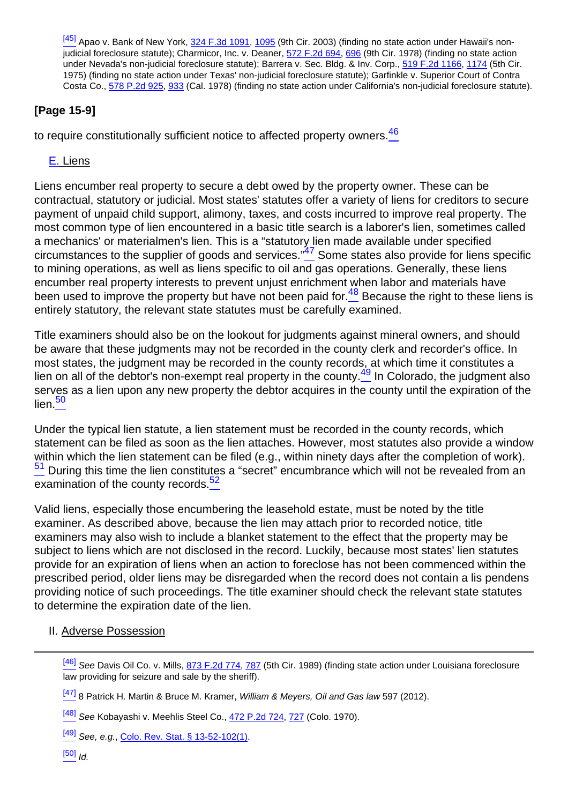[\[45\]](#page-9-3) Apao v. Bank of New York, [324 F.3d 1091,](http://links.casemakerlegal.com/books/Case_Law/results?ci=45ampsearch[Cite]=324+F.3d+1091ampfn=Nuts%20amp%20Bolts%20of%20Mineral%20Title%20Examination%20(Apr%202015)) [1095](http://links.casemakerlegal.com/books/Case_Law/results?ci=45ampsearch[Cite]=324+F.3d+1095#page1095ampfn=Nuts%20amp%20Bolts%20of%20Mineral%20Title%20Examination%20(Apr%202015)) (9th Cir. 2003) (finding no state action under Hawaii's nonjudicial foreclosure statute); Charmicor, Inc. v. Deaner, [572 F.2d 694,](http://links.casemakerlegal.com/books/Case_Law/results?ci=45ampsearch[Cite]=572+F.2d+694ampfn=Nuts%20amp%20Bolts%20of%20Mineral%20Title%20Examination%20(Apr%202015)) [696](http://links.casemakerlegal.com/books/Case_Law/results?ci=45ampsearch[Cite]=572+F.2d+696#page696ampfn=Nuts%20amp%20Bolts%20of%20Mineral%20Title%20Examination%20(Apr%202015)) (9th Cir. 1978) (finding no state action .<br>under Nevada's non-judicial foreclosure statute); Barrera v. Sec. Bldg. & Inv. Corp., [519 F.2d 1166](http://links.casemakerlegal.com/books/Case_Law/results?ci=45ampsearch[Cite]=519+F.2d+1166ampfn=Nuts%20amp%20Bolts%20of%20Mineral%20Title%20Examination%20(Apr%202015)), [1174](http://links.casemakerlegal.com/books/Case_Law/results?ci=45ampsearch[Cite]=519+F.2d+1174#page1174ampfn=Nuts%20amp%20Bolts%20of%20Mineral%20Title%20Examination%20(Apr%202015)) (5th Cir. 1975) (finding no state action under Texas' non-judicial foreclosure statute); Garfinkle v. Superior Court of Contra Costa Co., [578 P.2d 925](http://links.casemakerlegal.com/books/Case_Law/results?ci=45ampsearch[Cite]=578+P.2d+925ampfn=Nuts%20amp%20Bolts%20of%20Mineral%20Title%20Examination%20(Apr%202015)), [933](http://links.casemakerlegal.com/books/Case_Law/results?ci=45ampsearch[Cite]=578+P.2d+933#page933ampfn=Nuts%20amp%20Bolts%20of%20Mineral%20Title%20Examination%20(Apr%202015)) (Cal. 1978) (finding no state action under California's non-judicial foreclosure statute).

## **[Page 15-9]**

<span id="page-10-0"></span>to require constitutionally sufficient notice to affected property owners.<sup>46</sup>

### E. Liens

<span id="page-10-1"></span>Liens encumber real property to secure a debt owed by the property owner. These can be contractual, statutory or judicial. Most states' statutes offer a variety of liens for creditors to secure payment of unpaid child support, alimony, taxes, and costs incurred to improve real property. The most common type of lien encountered in a basic title search is a laborer's lien, sometimes called a mechanics' or materialmen's lien. This is a "statutory lien made available under specified circumstances to the supplier of goods and services. $^{47}_{4}$  Some states also provide for liens specific to mining operations, as well as liens specific to oil and gas operations. Generally, these liens encumber real property interests to prevent unjust enrichment when labor and materials have been used to improve the property but have not been paid for.  $48$  Because the right to these liens is entirely statutory, the relevant state statutes must be carefully examined.

<span id="page-10-3"></span><span id="page-10-2"></span>Title examiners should also be on the lookout for judgments against mineral owners, and should be aware that these judgments may not be recorded in the county clerk and recorder's office. In most states, the judgment may be recorded in the county records, at which time it constitutes a lien on all of the debtor's non-exempt real property in the county.<sup>49</sup> In Colorado, the judgment also serves as a lien upon any new property the debtor acquires in the county until the expiration of the lien. $50$ 

<span id="page-10-5"></span><span id="page-10-4"></span>Under the typical lien statute, a lien statement must be recorded in the county records, which statement can be filed as soon as the lien attaches. However, most statutes also provide a window within which the lien statement can be filed (e.g., within ninety days after the completion of work).  $\frac{51}{1}$  During this time the lien constitutes a "secret" encumbrance which will not be revealed from an examination of the county records.<sup>52</sup>

<span id="page-10-6"></span>Valid liens, especially those encumbering the leasehold estate, must be noted by the title examiner. As described above, because the lien may attach prior to recorded notice, title examiners may also wish to include a blanket statement to the effect that the property may be subject to liens which are not disclosed in the record. Luckily, because most states' lien statutes provide for an expiration of liens when an action to foreclose has not been commenced within the prescribed period, older liens may be disregarded when the record does not contain a lis pendens providing notice of such proceedings. The title examiner should check the relevant state statutes to determine the expiration date of the lien.

II. Adverse Possession

- <sup>[\[48\]](#page-10-2)</sup> See Kobayashi v. Meehlis Steel Co., [472 P.2d 724](http://links.casemakerlegal.com/books/Case_Law/results?ci=45ampsearch[Cite]=472+P.2d+724ampfn=Nuts%20amp%20Bolts%20of%20Mineral%20Title%20Examination%20(Apr%202015)), [727](http://links.casemakerlegal.com/books/Case_Law/results?ci=45ampsearch[Cite]=472+P.2d+727#page727ampfn=Nuts%20amp%20Bolts%20of%20Mineral%20Title%20Examination%20(Apr%202015)) (Colo. 1970).
- [\[49\]](#page-10-3) See, e.g., [Colo. Rev. Stat. § 13-52-102\(1\)](http://links.casemakerlegal.com/states/CO/books/Statutes/browse?ci=45ampcodesec=13-52-102ampTitle=13#13-52-102(1)ampfn=Nuts%20amp%20Bolts%20of%20Mineral%20Title%20Examination%20(Apr%202015)).
- $[50]$   $\frac{1}{d}$ .

[<sup>\[46\]</sup>](#page-10-0) See Davis Oil Co. v. Mills, [873 F.2d 774,](http://links.casemakerlegal.com/books/Case_Law/results?ci=45ampsearch[Cite]=873+F.2d+774ampfn=Nuts%20amp%20Bolts%20of%20Mineral%20Title%20Examination%20(Apr%202015)) [787](http://links.casemakerlegal.com/books/Case_Law/results?ci=45ampsearch[Cite]=873+F.2d+787#page787ampfn=Nuts%20amp%20Bolts%20of%20Mineral%20Title%20Examination%20(Apr%202015)) (5th Cir. 1989) (finding state action under Louisiana foreclosure law providing for seizure and sale by the sheriff).

[<sup>\[47\]</sup>](#page-10-1) 8 Patrick H. Martin & Bruce M. Kramer, William & Meyers, Oil and Gas law 597 (2012).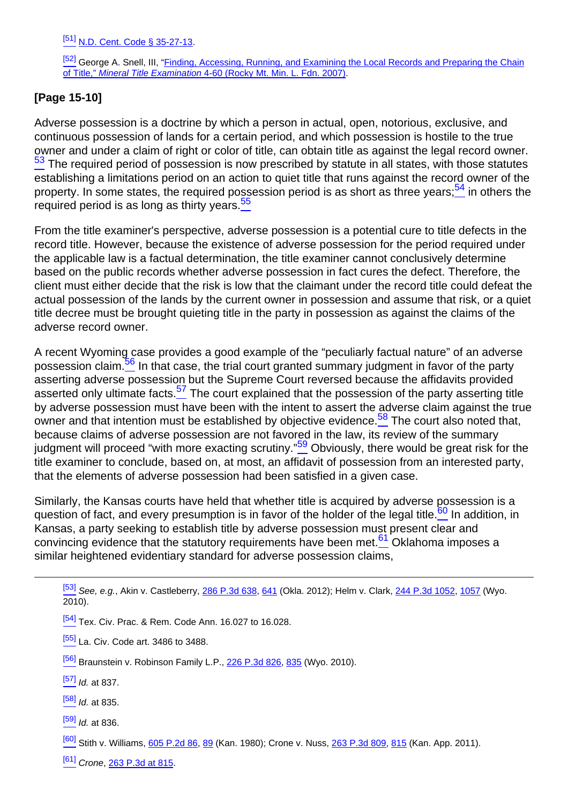[\[52\]](#page-10-6) George A. Snell, III, "[Finding, Accessing, Running, and Examining the Local Records and Preparing the Chain](http://rmmlf.casemakerlibra.com/home/libra_2_rmmlf.aspx?doc=d:/data/RMMLF/Samples/2007%20Sep%20(Mineral%20Title%20Examination)/Chapter%204%20FINDING,.htmampcurdoc=6ampp=12114#page4-60) [of Title,"](http://rmmlf.casemakerlibra.com/home/libra_2_rmmlf.aspx?doc=d:/data/RMMLF/Samples/2007%20Sep%20(Mineral%20Title%20Examination)/Chapter%204%20FINDING,.htmampcurdoc=6ampp=12114#page4-60) Mineral Title Examination [4-60 \(Rocky Mt. Min. L. Fdn. 2007\)](http://rmmlf.casemakerlibra.com/home/libra_2_rmmlf.aspx?doc=d:/data/RMMLF/Samples/2007%20Sep%20(Mineral%20Title%20Examination)/Chapter%204%20FINDING,.htmampcurdoc=6ampp=12114#page4-60).

### **[Page 15-10]**

<span id="page-11-0"></span>Adverse possession is a doctrine by which a person in actual, open, notorious, exclusive, and continuous possession of lands for a certain period, and which possession is hostile to the true owner and under a claim of right or color of title, can obtain title as against the legal record owner.  $\frac{53}{2}$  The required period of possession is now prescribed by statute in all states, with those statutes establishing a limitations period on an action to quiet title that runs against the record owner of the property. In some states, the required possession period is as short as three years: $54$  in others the required period is as long as thirty years.<sup>5</sup>

<span id="page-11-2"></span><span id="page-11-1"></span>From the title examiner's perspective, adverse possession is a potential cure to title defects in the record title. However, because the existence of adverse possession for the period required under the applicable law is a factual determination, the title examiner cannot conclusively determine based on the public records whether adverse possession in fact cures the defect. Therefore, the client must either decide that the risk is low that the claimant under the record title could defeat the actual possession of the lands by the current owner in possession and assume that risk, or a quiet title decree must be brought quieting title in the party in possession as against the claims of the adverse record owner.

<span id="page-11-5"></span><span id="page-11-4"></span><span id="page-11-3"></span>A recent Wyoming case provides a good example of the "peculiarly factual nature" of an adverse possession claim.<sup>56</sup> In that case, the trial court granted summary judgment in favor of the party asserting adverse possession but the Supreme Court reversed because the affidavits provided asserted only ultimate facts.<sup>57</sup> The court explained that the possession of the party asserting title by adverse possession must have been with the intent to assert the adverse claim against the true owner and that intention must be established by objective evidence.<sup>58</sup> The court also noted that, because claims of adverse possession are not favored in the law, its review of the summary judgment will proceed "with more exacting scrutiny."<sup>59</sup> Obviously, there would be great risk for the title examiner to conclude, based on, at most, an affidavit of possession from an interested party, that the elements of adverse possession had been satisfied in a given case.

<span id="page-11-8"></span><span id="page-11-7"></span><span id="page-11-6"></span>Similarly, the Kansas courts have held that whether title is acquired by adverse possession is a question of fact, and every presumption is in favor of the holder of the legal title.<sup>60</sup> In addition, in Kansas, a party seeking to establish title by adverse possession must present clear and convincing evidence that the statutory requirements have been met. $61$  Oklahoma imposes a similar heightened evidentiary standard for adverse possession claims,

[\[53\]](#page-11-0) See, e.g., Akin v. Castleberry, [286 P.3d 638](http://links.casemakerlegal.com/books/Case_Law/results?ci=45ampsearch[Cite]=286+P.3d+638ampfn=Nuts%20amp%20Bolts%20of%20Mineral%20Title%20Examination%20(Apr%202015)), [641](http://links.casemakerlegal.com/books/Case_Law/results?ci=45ampsearch[Cite]=286+P.3d+641#page641ampfn=Nuts%20amp%20Bolts%20of%20Mineral%20Title%20Examination%20(Apr%202015)) (Okla. 2012); Helm v. Clark, [244 P.3d 1052,](http://links.casemakerlegal.com/books/Case_Law/results?ci=45ampsearch[Cite]=244+P.3d+1052ampfn=Nuts%20amp%20Bolts%20of%20Mineral%20Title%20Examination%20(Apr%202015)) [1057](http://links.casemakerlegal.com/books/Case_Law/results?ci=45ampsearch[Cite]=244+P.3d+1057#page1057ampfn=Nuts%20amp%20Bolts%20of%20Mineral%20Title%20Examination%20(Apr%202015)) (Wyo. 2010).

 $[54]$  Tex. Civ. Prac. & Rem. Code Ann. 16.027 to 16.028.

[\[55\]](#page-11-2) La. Civ. Code art. 3486 to 3488.

[\[56\]](#page-11-3) Braunstein v. Robinson Family L.P., [226 P.3d 826,](http://links.casemakerlegal.com/books/Case_Law/results?ci=45ampsearch[Cite]=226+P.3d+826ampfn=Nuts%20amp%20Bolts%20of%20Mineral%20Title%20Examination%20(Apr%202015)) [835](http://links.casemakerlegal.com/books/Case_Law/results?ci=45ampsearch[Cite]=226+P.3d+835#page835ampfn=Nuts%20amp%20Bolts%20of%20Mineral%20Title%20Examination%20(Apr%202015)) (Wyo. 2010).

 $[57]$  *Id.* at 837.

 $[58]$  *Id.* at 835.

 $[59]$  *Id.* at 836.

<sup>[\[60\]](#page-11-7)</sup> Stith v. Williams, [605 P.2d 86](http://links.casemakerlegal.com/books/Case_Law/results?ci=45ampsearch[Cite]=605+P.2d+86ampfn=Nuts%20amp%20Bolts%20of%20Mineral%20Title%20Examination%20(Apr%202015)), [89](http://links.casemakerlegal.com/books/Case_Law/results?ci=45ampsearch[Cite]=605+P.2d+89#page89ampfn=Nuts%20amp%20Bolts%20of%20Mineral%20Title%20Examination%20(Apr%202015)) (Kan. 1980); Crone v. Nuss, [263 P.3d 809,](http://links.casemakerlegal.com/books/Case_Law/results?ci=45ampsearch[Cite]=263+P.3d+809ampfn=Nuts%20amp%20Bolts%20of%20Mineral%20Title%20Examination%20(Apr%202015)) [815](http://links.casemakerlegal.com/books/Case_Law/results?ci=45ampsearch[Cite]=263+P.3d+815#page815ampfn=Nuts%20amp%20Bolts%20of%20Mineral%20Title%20Examination%20(Apr%202015)) (Kan. App. 2011).

 $[61]$  Crone, [263 P.3d at 815.](http://links.casemakerlegal.com/books/Case_Law/results?ci=45ampsearch[Cite]=263+P.3d+815#page815ampfn=Nuts%20amp%20Bolts%20of%20Mineral%20Title%20Examination%20(Apr%202015))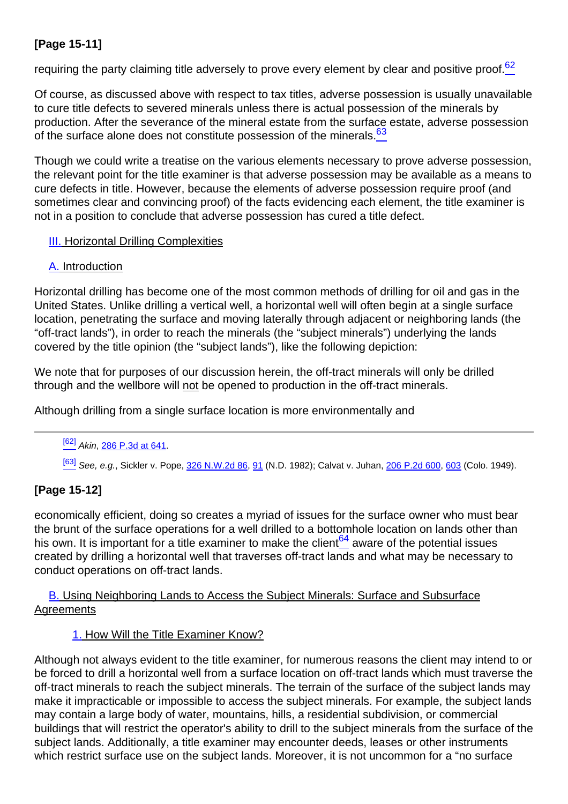## **[Page 15-11]**

<span id="page-12-0"></span>requiring the party claiming title adversely to prove every element by clear and positive proof.<sup>62</sup>

<span id="page-12-1"></span>Of course, as discussed above with respect to tax titles, adverse possession is usually unavailable to cure title defects to severed minerals unless there is actual possession of the minerals by production. After the severance of the mineral estate from the surface estate, adverse possession of the surface alone does not constitute possession of the minerals.<sup>63</sup>

Though we could write a treatise on the various elements necessary to prove adverse possession, the relevant point for the title examiner is that adverse possession may be available as a means to cure defects in title. However, because the elements of adverse possession require proof (and sometimes clear and convincing proof) of the facts evidencing each element, the title examiner is not in a position to conclude that adverse possession has cured a title defect.

### **III. Horizontal Drilling Complexities**

### A. Introduction

Horizontal drilling has become one of the most common methods of drilling for oil and gas in the United States. Unlike drilling a vertical well, a horizontal well will often begin at a single surface location, penetrating the surface and moving laterally through adjacent or neighboring lands (the "off-tract lands"), in order to reach the minerals (the "subject minerals") underlying the lands covered by the title opinion (the "subject lands"), like the following depiction:

We note that for purposes of our discussion herein, the off-tract minerals will only be drilled through and the wellbore will not be opened to production in the off-tract minerals.

Although drilling from a single surface location is more environmentally and

#### $[62]$  Akin, [286 P.3d at 641](http://links.casemakerlegal.com/books/Case_Law/results?ci=45ampsearch[Cite]=286+P.3d+641#page641ampfn=Nuts%20amp%20Bolts%20of%20Mineral%20Title%20Examination%20(Apr%202015)).

[\[63\]](#page-12-1) See, e.g., Sickler v. Pope, [326 N.W.2d 86](http://links.casemakerlegal.com/books/Case_Law/results?ci=45ampsearch[Cite]=326+N.W.2d+86ampfn=Nuts%20amp%20Bolts%20of%20Mineral%20Title%20Examination%20(Apr%202015)), [91](http://links.casemakerlegal.com/books/Case_Law/results?ci=45ampsearch[Cite]=326+N.W.2d+91#page91ampfn=Nuts%20amp%20Bolts%20of%20Mineral%20Title%20Examination%20(Apr%202015)) (N.D. 1982); Calvat v. Juhan, [206 P.2d 600,](http://links.casemakerlegal.com/books/Case_Law/results?ci=45ampsearch[Cite]=206+P.2d+600ampfn=Nuts%20amp%20Bolts%20of%20Mineral%20Title%20Examination%20(Apr%202015)) [603](http://links.casemakerlegal.com/books/Case_Law/results?ci=45ampsearch[Cite]=206+P.2d+603#page603ampfn=Nuts%20amp%20Bolts%20of%20Mineral%20Title%20Examination%20(Apr%202015)) (Colo. 1949).

## **[Page 15-12]**

<span id="page-12-2"></span>economically efficient, doing so creates a myriad of issues for the surface owner who must bear the brunt of the surface operations for a well drilled to a bottomhole location on lands other than his own. It is important for a title examiner to make the client<sup>64</sup> aware of the potential issues created by drilling a horizontal well that traverses off-tract lands and what may be necessary to conduct operations on off-tract lands.

### **B.** Using Neighboring Lands to Access the Subject Minerals: Surface and Subsurface **Agreements**

### 1. How Will the Title Examiner Know?

Although not always evident to the title examiner, for numerous reasons the client may intend to or be forced to drill a horizontal well from a surface location on off-tract lands which must traverse the off-tract minerals to reach the subject minerals. The terrain of the surface of the subject lands may make it impracticable or impossible to access the subject minerals. For example, the subject lands may contain a large body of water, mountains, hills, a residential subdivision, or commercial buildings that will restrict the operator's ability to drill to the subject minerals from the surface of the subject lands. Additionally, a title examiner may encounter deeds, leases or other instruments which restrict surface use on the subject lands. Moreover, it is not uncommon for a "no surface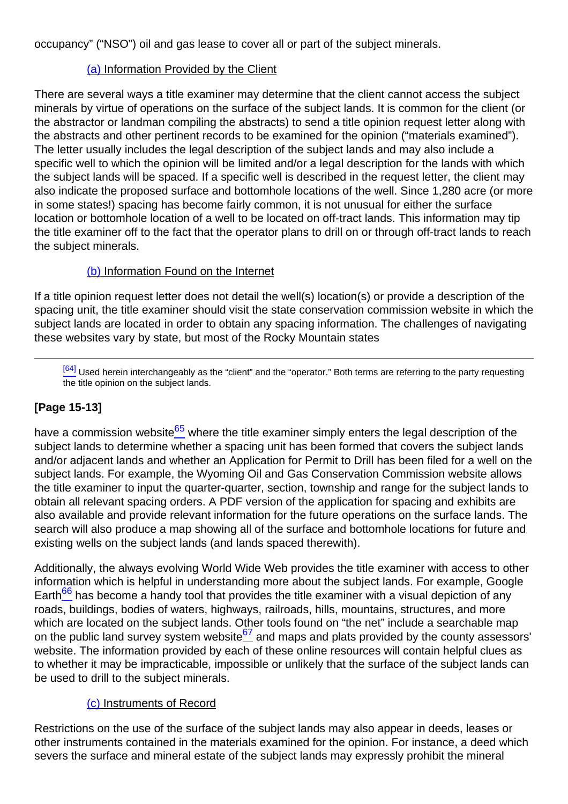occupancy" ("NSO") oil and gas lease to cover all or part of the subject minerals.

### (a) Information Provided by the Client

There are several ways a title examiner may determine that the client cannot access the subject minerals by virtue of operations on the surface of the subject lands. It is common for the client (or the abstractor or landman compiling the abstracts) to send a title opinion request letter along with the abstracts and other pertinent records to be examined for the opinion ("materials examined"). The letter usually includes the legal description of the subject lands and may also include a specific well to which the opinion will be limited and/or a legal description for the lands with which the subject lands will be spaced. If a specific well is described in the request letter, the client may also indicate the proposed surface and bottomhole locations of the well. Since 1,280 acre (or more in some states!) spacing has become fairly common, it is not unusual for either the surface location or bottomhole location of a well to be located on off-tract lands. This information may tip the title examiner off to the fact that the operator plans to drill on or through off-tract lands to reach the subject minerals.

## (b) Information Found on the Internet

If a title opinion request letter does not detail the well(s) location(s) or provide a description of the spacing unit, the title examiner should visit the state conservation commission website in which the subject lands are located in order to obtain any spacing information. The challenges of navigating these websites vary by state, but most of the Rocky Mountain states

 $[64]$  Used herein interchangeably as the "client" and the "operator." Both terms are referring to the party requesting the title opinion on the subject lands.

## **[Page 15-13]**

<span id="page-13-0"></span>have a commission website $65$  where the title examiner simply enters the legal description of the subject lands to determine whether a spacing unit has been formed that covers the subject lands and/or adjacent lands and whether an Application for Permit to Drill has been filed for a well on the subject lands. For example, the Wyoming Oil and Gas Conservation Commission website allows the title examiner to input the quarter-quarter, section, township and range for the subject lands to obtain all relevant spacing orders. A PDF version of the application for spacing and exhibits are also available and provide relevant information for the future operations on the surface lands. The search will also produce a map showing all of the surface and bottomhole locations for future and existing wells on the subject lands (and lands spaced therewith).

<span id="page-13-2"></span><span id="page-13-1"></span>Additionally, the always evolving World Wide Web provides the title examiner with access to other information which is helpful in understanding more about the subject lands. For example, Google Earth<sup>66</sup> has become a handy tool that provides the title examiner with a visual depiction of any roads, buildings, bodies of waters, highways, railroads, hills, mountains, structures, and more which are located on the subject lands. Other tools found on "the net" include a searchable map on the public land survey system website $67$  and maps and plats provided by the county assessors' website. The information provided by each of these online resources will contain helpful clues as to whether it may be impracticable, impossible or unlikely that the surface of the subject lands can be used to drill to the subject minerals.

### (c) Instruments of Record

Restrictions on the use of the surface of the subject lands may also appear in deeds, leases or other instruments contained in the materials examined for the opinion. For instance, a deed which severs the surface and mineral estate of the subject lands may expressly prohibit the mineral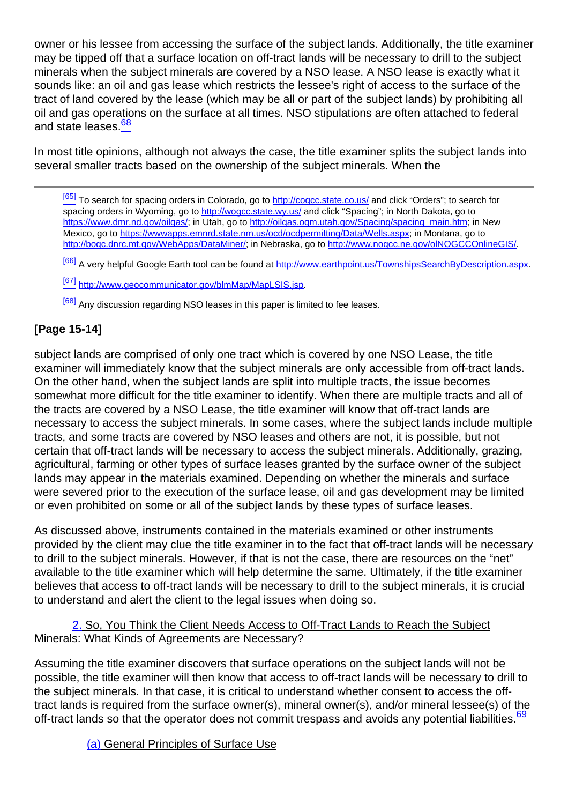owner or his lessee from accessing the surface of the subject lands. Additionally, the title examiner may be tipped off that a surface location on off-tract lands will be necessary to drill to the subject minerals when the subject minerals are covered by a NSO lease. A NSO lease is exactly what it sounds like: an oil and gas lease which restricts the lessee's right of access to the surface of the tract of land covered by the lease (which may be all or part of the subject lands) by prohibiting all oil and gas operations on the surface at all times. NSO stipulations are often attached to federal and state leases.<sup>68</sup>

<span id="page-14-0"></span>In most title opinions, although not always the case, the title examiner splits the subject lands into several smaller tracts based on the ownership of the subject minerals. When the

[\[65\]](#page-13-0) To search for spacing orders in Colorado, go to <http://cogcc.state.co.us/> and click "Orders"; to search for spacing orders in Wyoming, go to <http://wogcc.state.wy.us/> and click "Spacing"; in North Dakota, go to [https://www.dmr.nd.gov/oilgas/;](https://www.dmr.nd.gov/oilgas/) in Utah, go to [http://oilgas.ogm.utah.gov/Spacing/spacing\\_main.htm;](http://oilgas.ogm.utah.gov/Spacing/spacing_main.htm) in New Mexico, go to https://www.apps.emnrd.state.nm.us/ocd/ocdpermitting/Data/Wells.aspx; in Montana, go to [http://bogc.dnrc.mt.gov/WebApps/DataMiner/;](http://bogc.dnrc.mt.gov/WebApps/DataMiner/) in Nebraska, go to [http://www.nogcc.ne.gov/olNOGCCOnlineGIS/.](http://www.nogcc.ne.gov/olNOGCCOnlineGIS/)

[\[66\]](#page-13-1) A very helpful Google Earth tool can be found at <http://www.earthpoint.us/TownshipsSearchByDescription.aspx>.

[\[67\]](#page-13-2) <http://www.geocommunicator.gov/blmMap/MapLSIS.jsp>.

<sup>[\[68\]](#page-14-0)</sup> Any discussion regarding NSO leases in this paper is limited to fee leases.

## **[Page 15-14]**

subject lands are comprised of only one tract which is covered by one NSO Lease, the title examiner will immediately know that the subject minerals are only accessible from off-tract lands. On the other hand, when the subject lands are split into multiple tracts, the issue becomes somewhat more difficult for the title examiner to identify. When there are multiple tracts and all of the tracts are covered by a NSO Lease, the title examiner will know that off-tract lands are necessary to access the subject minerals. In some cases, where the subject lands include multiple tracts, and some tracts are covered by NSO leases and others are not, it is possible, but not certain that off-tract lands will be necessary to access the subject minerals. Additionally, grazing, agricultural, farming or other types of surface leases granted by the surface owner of the subject lands may appear in the materials examined. Depending on whether the minerals and surface were severed prior to the execution of the surface lease, oil and gas development may be limited or even prohibited on some or all of the subject lands by these types of surface leases.

As discussed above, instruments contained in the materials examined or other instruments provided by the client may clue the title examiner in to the fact that off-tract lands will be necessary to drill to the subject minerals. However, if that is not the case, there are resources on the "net" available to the title examiner which will help determine the same. Ultimately, if the title examiner believes that access to off-tract lands will be necessary to drill to the subject minerals, it is crucial to understand and alert the client to the legal issues when doing so.

### 2. So, You Think the Client Needs Access to Off-Tract Lands to Reach the Subject Minerals: What Kinds of Agreements are Necessary?

<span id="page-14-1"></span>Assuming the title examiner discovers that surface operations on the subject lands will not be possible, the title examiner will then know that access to off-tract lands will be necessary to drill to the subject minerals. In that case, it is critical to understand whether consent to access the offtract lands is required from the surface owner(s), mineral owner(s), and/or mineral lessee(s) of the off-tract lands so that the operator does not commit trespass and avoids any potential liabilities. $\frac{69}{6}$ 

(a) General Principles of Surface Use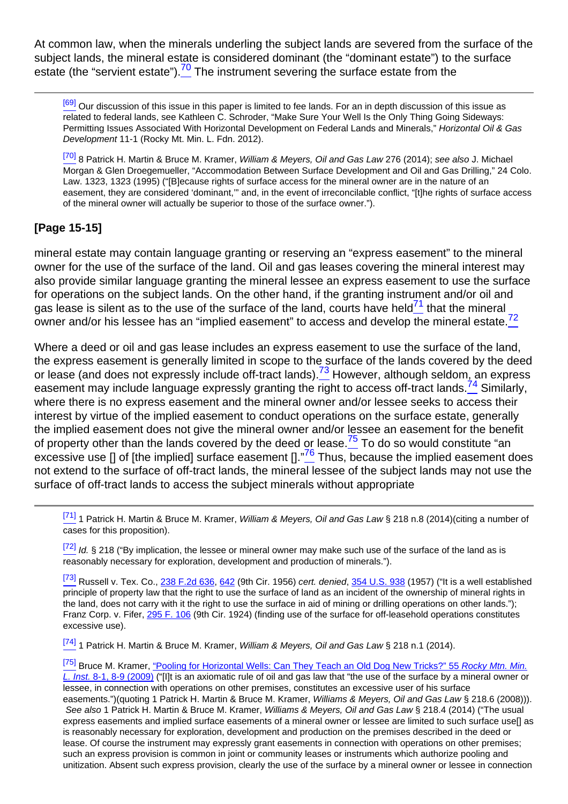<span id="page-15-0"></span>At common law, when the minerals underling the subject lands are severed from the surface of the subject lands, the mineral estate is considered dominant (the "dominant estate") to the surface estate (the "servient estate").<sup>70</sup> The instrument severing the surface estate from the

<sup>[\[69\]](#page-14-1)</sup> Our discussion of this issue in this paper is limited to fee lands. For an in depth discussion of this issue as related to federal lands, see Kathleen C. Schroder, "Make Sure Your Well Is the Only Thing Going Sideways: Permitting Issues Associated With Horizontal Development on Federal Lands and Minerals," Horizontal Oil & Gas Development 11-1 (Rocky Mt. Min. L. Fdn. 2012).

[\[70\]](#page-15-0) 8 Patrick H. Martin & Bruce M. Kramer, William & Meyers, Oil and Gas Law 276 (2014); see also J. Michael Morgan & Glen Droegemueller, "Accommodation Between Surface Development and Oil and Gas Drilling," 24 Colo. Law. 1323, 1323 (1995) ("[B]ecause rights of surface access for the mineral owner are in the nature of an easement, they are considered 'dominant,'" and, in the event of irreconcilable conflict, "[t]he rights of surface access of the mineral owner will actually be superior to those of the surface owner.").

## **[Page 15-15]**

<span id="page-15-1"></span>mineral estate may contain language granting or reserving an "express easement" to the mineral owner for the use of the surface of the land. Oil and gas leases covering the mineral interest may also provide similar language granting the mineral lessee an express easement to use the surface for operations on the subject lands. On the other hand, if the granting instrument and/or oil and gas lease is silent as to the use of the surface of the land, courts have held<sup>71</sup> that the mineral owner and/or his lessee has an "implied easement" to access and develop the mineral estate.<sup>72</sup>

<span id="page-15-5"></span><span id="page-15-4"></span><span id="page-15-3"></span><span id="page-15-2"></span>Where a deed or oil and gas lease includes an express easement to use the surface of the land, the express easement is generally limited in scope to the surface of the lands covered by the deed or lease (and does not expressly include off-tract lands). $\frac{73}{2}$  However, although seldom, an express easement may include language expressly granting the right to access off-tract lands.<sup>74</sup> Similarly, where there is no express easement and the mineral owner and/or lessee seeks to access their interest by virtue of the implied easement to conduct operations on the surface estate, generally the implied easement does not give the mineral owner and/or lessee an easement for the benefit of property other than the lands covered by the deed or lease. $\frac{75}{10}$  To do so would constitute "an excessive use  $\lceil \rceil$  of [the implied] surface easement  $\lceil \rceil$ .  $\frac{76}{7}$  Thus, because the implied easement does not extend to the surface of off-tract lands, the mineral lessee of the subject lands may not use the surface of off-tract lands to access the subject minerals without appropriate

<span id="page-15-6"></span> $^{[71]}$  $^{[71]}$  $^{[71]}$  1 Patrick H. Martin & Bruce M. Kramer, *William & Meyers, Oil and Gas Law* § 218 n.8 (2014)(citing a number of cases for this proposition).

[\[72\]](#page-15-2) Id. § 218 ("By implication, the lessee or mineral owner may make such use of the surface of the land as is reasonably necessary for exploration, development and production of minerals.").

[\[73\]](#page-15-3) Russell v. Tex. Co., [238 F.2d 636,](http://links.casemakerlegal.com/books/Case_Law/results?ci=45ampsearch[Cite]=238+F.2d+636ampfn=Nuts%20amp%20Bolts%20of%20Mineral%20Title%20Examination%20(Apr%202015)) [642](http://links.casemakerlegal.com/books/Case_Law/results?ci=45ampsearch[Cite]=238+F.2d+642#page642ampfn=Nuts%20amp%20Bolts%20of%20Mineral%20Title%20Examination%20(Apr%202015)) (9th Cir. 1956) cert. denied, [354 U.S. 938](http://links.casemakerlegal.com/books/Case_Law/results?ci=45ampsearch[Cite]=354+U.S.+938ampfn=Nuts%20amp%20Bolts%20of%20Mineral%20Title%20Examination%20(Apr%202015)) (1957) ("It is a well established  $\overline{p}$  principle of property law that the right to use the surface of land as an incident of the ownership of mineral rights in the land, does not carry with it the right to use the surface in aid of mining or drilling operations on other lands."); Franz Corp. v. Fifer, [295 F. 106](http://links.casemakerlegal.com/books/Case_Law/results?ci=45ampsearch[Cite]=295+F.+106ampfn=Nuts%20amp%20Bolts%20of%20Mineral%20Title%20Examination%20(Apr%202015)) (9th Cir. 1924) (finding use of the surface for off-leasehold operations constitutes excessive use).

[\[74\]](#page-15-4) 1 Patrick H. Martin & Bruce M. Kramer, William & Meyers, Oil and Gas Law § 218 n.1 (2014).

[\[75\]](#page-15-5) Bruce M. Kramer, ["Pooling for Horizontal Wells: Can They Teach an Old Dog New Tricks?" 55](http://rmmlf.casemakerlibra.com/home/libra_2_rmmlf.aspx?doc=d:/data/RMMLF/Samples/55%20Rocky%20Mt.%20Min.%20L.%20Inst.%20(2009)/Chapter%208%20POOLING%20FOR.htmampcurdoc=10ampp=12261#page8-1) Rocky Mtn. Min. L. Inst. [8-1, 8-9 \(2009\)](http://rmmlf.casemakerlibra.com/home/libra_2_rmmlf.aspx?doc=d:/data/RMMLF/Samples/55%20Rocky%20Mt.%20Min.%20L.%20Inst.%20(2009)/Chapter%208%20POOLING%20FOR.htmampcurdoc=10ampp=12261#page8-1) ("[I]t is an axiomatic rule of oil and gas law that "the use of the surface by a mineral owner or lessee, in connection with operations on other premises, constitutes an excessive user of his surface easements.")(quoting 1 Patrick H. Martin & Bruce M. Kramer, Williams & Meyers, Oil and Gas Law § 218.6 (2008))). See also 1 Patrick H. Martin & Bruce M. Kramer, Williams & Meyers, Oil and Gas Law § 218.4 (2014) ("The usual express easements and implied surface easements of a mineral owner or lessee are limited to such surface use[] as is reasonably necessary for exploration, development and production on the premises described in the deed or lease. Of course the instrument may expressly grant easements in connection with operations on other premises; such an express provision is common in joint or community leases or instruments which authorize pooling and unitization. Absent such express provision, clearly the use of the surface by a mineral owner or lessee in connection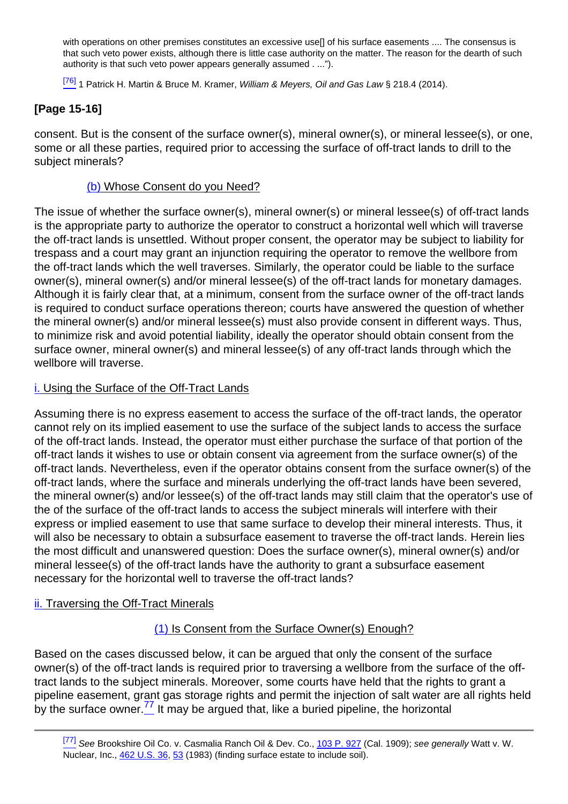with operations on other premises constitutes an excessive use[] of his surface easements .... The consensus is that such veto power exists, although there is little case authority on the matter. The reason for the dearth of such authority is that such veto power appears generally assumed . ...").

 $^{[76]}$  $^{[76]}$  $^{[76]}$  1 Patrick H. Martin & Bruce M. Kramer, William & Meyers, Oil and Gas Law § 218.4 (2014).

## **[Page 15-16]**

consent. But is the consent of the surface owner(s), mineral owner(s), or mineral lessee(s), or one, some or all these parties, required prior to accessing the surface of off-tract lands to drill to the subject minerals?

### (b) Whose Consent do you Need?

The issue of whether the surface owner(s), mineral owner(s) or mineral lessee(s) of off-tract lands is the appropriate party to authorize the operator to construct a horizontal well which will traverse the off-tract lands is unsettled. Without proper consent, the operator may be subject to liability for trespass and a court may grant an injunction requiring the operator to remove the wellbore from the off-tract lands which the well traverses. Similarly, the operator could be liable to the surface owner(s), mineral owner(s) and/or mineral lessee(s) of the off-tract lands for monetary damages. Although it is fairly clear that, at a minimum, consent from the surface owner of the off-tract lands is required to conduct surface operations thereon; courts have answered the question of whether the mineral owner(s) and/or mineral lessee(s) must also provide consent in different ways. Thus, to minimize risk and avoid potential liability, ideally the operator should obtain consent from the surface owner, mineral owner(s) and mineral lessee(s) of any off-tract lands through which the wellbore will traverse.

### i. Using the Surface of the Off-Tract Lands

Assuming there is no express easement to access the surface of the off-tract lands, the operator cannot rely on its implied easement to use the surface of the subject lands to access the surface of the off-tract lands. Instead, the operator must either purchase the surface of that portion of the off-tract lands it wishes to use or obtain consent via agreement from the surface owner(s) of the off-tract lands. Nevertheless, even if the operator obtains consent from the surface owner(s) of the off-tract lands, where the surface and minerals underlying the off-tract lands have been severed, the mineral owner(s) and/or lessee(s) of the off-tract lands may still claim that the operator's use of the of the surface of the off-tract lands to access the subject minerals will interfere with their express or implied easement to use that same surface to develop their mineral interests. Thus, it will also be necessary to obtain a subsurface easement to traverse the off-tract lands. Herein lies the most difficult and unanswered question: Does the surface owner(s), mineral owner(s) and/or mineral lessee(s) of the off-tract lands have the authority to grant a subsurface easement necessary for the horizontal well to traverse the off-tract lands?

### ii. Traversing the Off-Tract Minerals

### (1) Is Consent from the Surface Owner(s) Enough?

<span id="page-16-0"></span>Based on the cases discussed below, it can be argued that only the consent of the surface owner(s) of the off-tract lands is required prior to traversing a wellbore from the surface of the offtract lands to the subject minerals. Moreover, some courts have held that the rights to grant a pipeline easement, grant gas storage rights and permit the injection of salt water are all rights held by the surface owner. $\frac{77}{1}$  It may be argued that, like a buried pipeline, the horizontal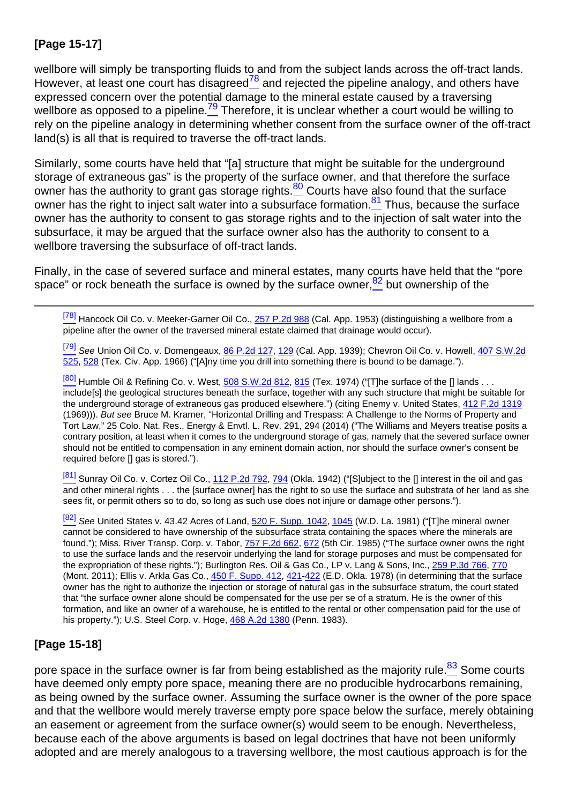## **[Page 15-17]**

<span id="page-17-1"></span><span id="page-17-0"></span>wellbore will simply be transporting fluids to and from the subject lands across the off-tract lands. However, at least one court has disagreed $\frac{78}{2}$  and rejected the pipeline analogy, and others have expressed concern over the potential damage to the mineral estate caused by a traversing wellbore as opposed to a pipeline.<sup>79</sup> Therefore, it is unclear whether a court would be willing to rely on the pipeline analogy in determining whether consent from the surface owner of the off-tract land(s) is all that is required to traverse the off-tract lands.

<span id="page-17-3"></span><span id="page-17-2"></span>Similarly, some courts have held that "[a] structure that might be suitable for the underground storage of extraneous gas" is the property of the surface owner, and that therefore the surface owner has the authority to grant gas storage rights. $\frac{80}{2}$  Courts have also found that the surface owner has the right to inject salt water into a subsurface formation.<sup>81</sup> Thus, because the surface owner has the authority to consent to gas storage rights and to the injection of salt water into the subsurface, it may be argued that the surface owner also has the authority to consent to a wellbore traversing the subsurface of off-tract lands.

<span id="page-17-4"></span>Finally, in the case of severed surface and mineral estates, many courts have held that the "pore space" or rock beneath the surface is owned by the surface owner,<sup>82</sup> but ownership of the

<sup>[\[78\]](#page-17-0)</sup> Hancock Oil Co. v. Meeker-Garner Oil Co., [257 P.2d 988](http://links.casemakerlegal.com/books/Case_Law/results?ci=45ampsearch[Cite]=257+P.2d+988ampfn=Nuts%20amp%20Bolts%20of%20Mineral%20Title%20Examination%20(Apr%202015)) (Cal. App. 1953) (distinguishing a wellbore from a pipeline after the owner of the traversed mineral estate claimed that drainage would occur).

<sup>[\[79\]](#page-17-1)</sup> See Union Oil Co. v. Domengeaux, [86 P.2d 127](http://links.casemakerlegal.com/books/Case_Law/results?ci=45ampsearch[Cite]=86+P.2d+127ampfn=Nuts%20amp%20Bolts%20of%20Mineral%20Title%20Examination%20(Apr%202015)), [129](http://links.casemakerlegal.com/books/Case_Law/results?ci=45ampsearch[Cite]=86+P.2d+129#page129ampfn=Nuts%20amp%20Bolts%20of%20Mineral%20Title%20Examination%20(Apr%202015)) (Cal. App. 1939); Chevron Oil Co. v. Howell, [407 S.W.2d](http://links.casemakerlegal.com/books/Case_Law/results?ci=45ampsearch[Cite]=407+S.W.2d+525ampfn=Nuts%20amp%20Bolts%20of%20Mineral%20Title%20Examination%20(Apr%202015)) [525](http://links.casemakerlegal.com/books/Case_Law/results?ci=45ampsearch[Cite]=407+S.W.2d+525ampfn=Nuts%20amp%20Bolts%20of%20Mineral%20Title%20Examination%20(Apr%202015)), [528](http://links.casemakerlegal.com/books/Case_Law/results?ci=45ampsearch[Cite]=407+S.W.2d+528#page528ampfn=Nuts%20amp%20Bolts%20of%20Mineral%20Title%20Examination%20(Apr%202015)) (Tex. Civ. App. 1966) ("[A]ny time you drill into something there is bound to be damage.").

[\[80\]](#page-17-2) Humble Oil & Refining Co. v. West, [508 S.W.2d 812](http://links.casemakerlegal.com/books/Case_Law/results?ci=45ampsearch[Cite]=508+S.W.2d+812ampfn=Nuts%20amp%20Bolts%20of%20Mineral%20Title%20Examination%20(Apr%202015)), [815](http://links.casemakerlegal.com/books/Case_Law/results?ci=45ampsearch[Cite]=508+S.W.2d+815#page815ampfn=Nuts%20amp%20Bolts%20of%20Mineral%20Title%20Examination%20(Apr%202015)) (Tex. 1974) ("[T]he surface of the [] lands . . . include[s] the geological structures beneath the surface, together with any such structure that might be suitable for the underground storage of extraneous gas produced elsewhere.") (citing Enemy v. United States, [412 F.2d 1319](http://links.casemakerlegal.com/books/Case_Law/results?ci=45ampsearch[Cite]=412+F.2d+1319ampfn=Nuts%20amp%20Bolts%20of%20Mineral%20Title%20Examination%20(Apr%202015)) (1969))). But see Bruce M. Kramer, "Horizontal Drilling and Trespass: A Challenge to the Norms of Property and Tort Law," 25 Colo. Nat. Res., Energy & Envtl. L. Rev. 291, 294 (2014) ("The Williams and Meyers treatise posits a contrary position, at least when it comes to the underground storage of gas, namely that the severed surface owner should not be entitled to compensation in any eminent domain action, nor should the surface owner's consent be required before [] gas is stored.").

[\[81\]](#page-17-3) Sunray Oil Co. v. Cortez Oil Co., [112 P.2d 792](http://links.casemakerlegal.com/books/Case_Law/results?ci=45ampsearch[Cite]=112+P.2d+792ampfn=Nuts%20amp%20Bolts%20of%20Mineral%20Title%20Examination%20(Apr%202015)), [794](http://links.casemakerlegal.com/books/Case_Law/results?ci=45ampsearch[Cite]=112+P.2d+794#page794ampfn=Nuts%20amp%20Bolts%20of%20Mineral%20Title%20Examination%20(Apr%202015)) (Okla. 1942) ("[S]ubject to the [] interest in the oil and gas and other mineral rights . . . the [surface owner] has the right to so use the surface and substrata of her land as she sees fit, or permit others so to do, so long as such use does not injure or damage other persons.").

[\[82\]](#page-17-4) See United States v. 43.42 Acres of Land, [520 F. Supp. 1042,](http://links.casemakerlegal.com/books/Case_Law/results?ci=45ampsearch[Cite]=520+F.SUPP.+1042ampfn=Nuts%20amp%20Bolts%20of%20Mineral%20Title%20Examination%20(Apr%202015)) [1045](http://links.casemakerlegal.com/books/Case_Law/results?ci=45ampsearch[Cite]=520+F.SUPP.+1045#page1045ampfn=Nuts%20amp%20Bolts%20of%20Mineral%20Title%20Examination%20(Apr%202015)) (W.D. La. 1981) ("[T]he mineral owner cannot be considered to have ownership of the subsurface strata containing the spaces where the minerals are found."); Miss. River Transp. Corp. v. Tabor, [757 F.2d 662](http://links.casemakerlegal.com/books/Case_Law/results?ci=45ampsearch[Cite]=757+F.2d+662ampfn=Nuts%20amp%20Bolts%20of%20Mineral%20Title%20Examination%20(Apr%202015)), [672](http://links.casemakerlegal.com/books/Case_Law/results?ci=45ampsearch[Cite]=757+F.2d+672#page672ampfn=Nuts%20amp%20Bolts%20of%20Mineral%20Title%20Examination%20(Apr%202015)) (5th Cir. 1985) ("The surface owner owns the right to use the surface lands and the reservoir underlying the land for storage purposes and must be compensated for the expropriation of these rights."); Burlington Res. Oil & Gas Co., LP v. Lang & Sons, Inc., [259 P.3d 766,](http://links.casemakerlegal.com/books/Case_Law/results?ci=45ampsearch[Cite]=259+P.3d+766ampfn=Nuts%20amp%20Bolts%20of%20Mineral%20Title%20Examination%20(Apr%202015)) [770](http://links.casemakerlegal.com/books/Case_Law/results?ci=45ampsearch[Cite]=259+P.3d+770#page770ampfn=Nuts%20amp%20Bolts%20of%20Mineral%20Title%20Examination%20(Apr%202015)) (Mont. 2011); Ellis v. Arkla Gas Co., [450 F. Supp. 412,](http://links.casemakerlegal.com/books/Case_Law/results?ci=45ampsearch[Cite]=450+F.SUPP.+412ampfn=Nuts%20amp%20Bolts%20of%20Mineral%20Title%20Examination%20(Apr%202015)) [421](http://links.casemakerlegal.com/books/Case_Law/results?ci=45ampsearch[Cite]=450+F.SUPP.+421#page421ampfn=Nuts%20amp%20Bolts%20of%20Mineral%20Title%20Examination%20(Apr%202015))[-422](http://links.casemakerlegal.com/books/Case_Law/results?ci=45ampsearch[Cite]=450+F.SUPP.+422#page422ampfn=Nuts%20amp%20Bolts%20of%20Mineral%20Title%20Examination%20(Apr%202015)) (E.D. Okla. 1978) (in determining that the surface owner has the right to authorize the injection or storage of natural gas in the subsurface stratum, the court stated that "the surface owner alone should be compensated for the use per se of a stratum. He is the owner of this formation, and like an owner of a warehouse, he is entitled to the rental or other compensation paid for the use of his property."); U.S. Steel Corp. v. Hoge,  $468$  A.2d 1380 (Penn. 1983).

## **[Page 15-18]**

<span id="page-17-5"></span>pore space in the surface owner is far from being established as the majority rule.<sup>83</sup> Some courts have deemed only empty pore space, meaning there are no producible hydrocarbons remaining, as being owned by the surface owner. Assuming the surface owner is the owner of the pore space and that the wellbore would merely traverse empty pore space below the surface, merely obtaining an easement or agreement from the surface owner(s) would seem to be enough. Nevertheless, because each of the above arguments is based on legal doctrines that have not been uniformly adopted and are merely analogous to a traversing wellbore, the most cautious approach is for the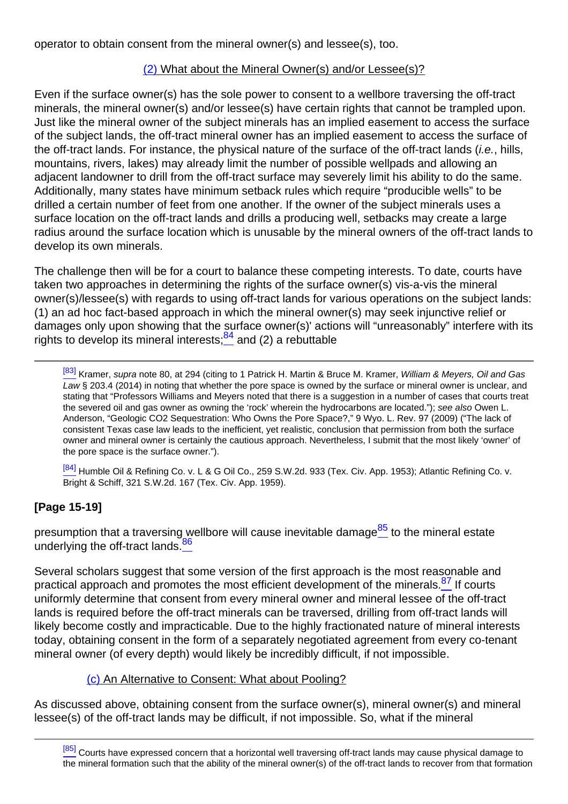operator to obtain consent from the mineral owner(s) and lessee(s), too.

### (2) What about the Mineral Owner(s) and/or Lessee(s)?

Even if the surface owner(s) has the sole power to consent to a wellbore traversing the off-tract minerals, the mineral owner(s) and/or lessee(s) have certain rights that cannot be trampled upon. Just like the mineral owner of the subject minerals has an implied easement to access the surface of the subject lands, the off-tract mineral owner has an implied easement to access the surface of the off-tract lands. For instance, the physical nature of the surface of the off-tract lands (i.e., hills, mountains, rivers, lakes) may already limit the number of possible wellpads and allowing an adjacent landowner to drill from the off-tract surface may severely limit his ability to do the same. Additionally, many states have minimum setback rules which require "producible wells" to be drilled a certain number of feet from one another. If the owner of the subject minerals uses a surface location on the off-tract lands and drills a producing well, setbacks may create a large radius around the surface location which is unusable by the mineral owners of the off-tract lands to develop its own minerals.

<span id="page-18-0"></span>The challenge then will be for a court to balance these competing interests. To date, courts have taken two approaches in determining the rights of the surface owner(s) vis-a-vis the mineral owner(s)/lessee(s) with regards to using off-tract lands for various operations on the subject lands: (1) an ad hoc fact-based approach in which the mineral owner(s) may seek injunctive relief or damages only upon showing that the surface owner(s)' actions will "unreasonably" interfere with its rights to develop its mineral interests; $\frac{84}{3}$  and (2) a rebuttable

[\[83\]](#page-17-5) Kramer, supra note 80, at 294 (citing to 1 Patrick H. Martin & Bruce M. Kramer, William & Meyers, Oil and Gas Law § 203.4 (2014) in noting that whether the pore space is owned by the surface or mineral owner is unclear, and stating that "Professors Williams and Meyers noted that there is a suggestion in a number of cases that courts treat the severed oil and gas owner as owning the 'rock' wherein the hydrocarbons are located."); see also Owen L. Anderson, "Geologic CO2 Sequestration: Who Owns the Pore Space?," 9 Wyo. L. Rev. 97 (2009) ("The lack of consistent Texas case law leads to the inefficient, yet realistic, conclusion that permission from both the surface owner and mineral owner is certainly the cautious approach. Nevertheless, I submit that the most likely 'owner' of the pore space is the surface owner.").

[\[84\]](#page-18-0) Humble Oil & Refining Co. v. L & G Oil Co., 259 S.W.2d. 933 (Tex. Civ. App. 1953); Atlantic Refining Co. v. Bright & Schiff, 321 S.W.2d. 167 (Tex. Civ. App. 1959).

## **[Page 15-19]**

<span id="page-18-2"></span><span id="page-18-1"></span>presumption that a traversing wellbore will cause inevitable damage<sup>85</sup> to the mineral estate underlying the off-tract lands.<sup>86</sup>

<span id="page-18-3"></span>Several scholars suggest that some version of the first approach is the most reasonable and practical approach and promotes the most efficient development of the minerals. $87$  If courts uniformly determine that consent from every mineral owner and mineral lessee of the off-tract lands is required before the off-tract minerals can be traversed, drilling from off-tract lands will likely become costly and impracticable. Due to the highly fractionated nature of mineral interests today, obtaining consent in the form of a separately negotiated agreement from every co-tenant mineral owner (of every depth) would likely be incredibly difficult, if not impossible.

### (c) An Alternative to Consent: What about Pooling?

As discussed above, obtaining consent from the surface owner(s), mineral owner(s) and mineral lessee(s) of the off-tract lands may be difficult, if not impossible. So, what if the mineral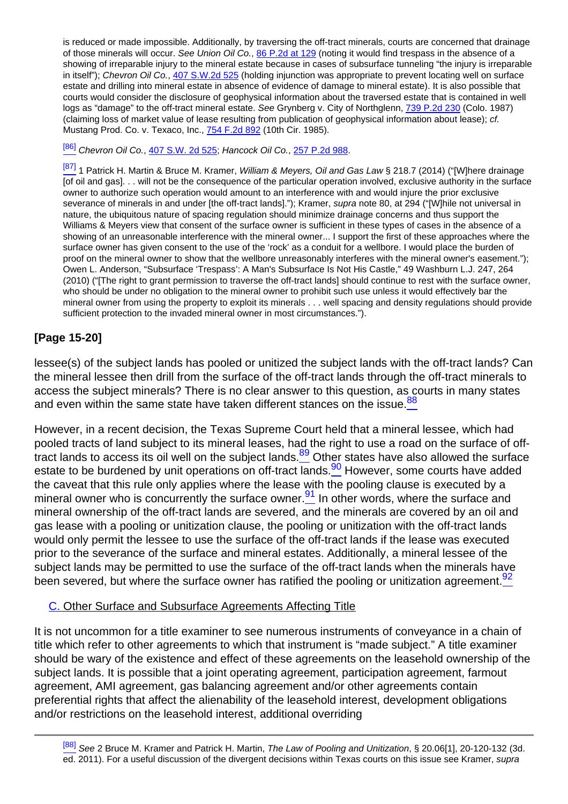is reduced or made impossible. Additionally, by traversing the off-tract minerals, courts are concerned that drainage of those minerals will occur. See Union Oil Co., [86 P.2d at 129](http://links.casemakerlegal.com/books/Case_Law/results?ci=45ampsearch[Cite]=86+P.2d+129#page129ampfn=Nuts%20amp%20Bolts%20of%20Mineral%20Title%20Examination%20(Apr%202015)) (noting it would find trespass in the absence of a showing of irreparable injury to the mineral estate because in cases of subsurface tunneling "the injury is irreparable in itself"); Chevron Oil Co., [407 S.W.2d 525](http://links.casemakerlegal.com/books/Case_Law/results?ci=45ampsearch[Cite]=407+S.W.2d+525ampfn=Nuts%20amp%20Bolts%20of%20Mineral%20Title%20Examination%20(Apr%202015)) (holding injunction was appropriate to prevent locating well on surface estate and drilling into mineral estate in absence of evidence of damage to mineral estate). It is also possible that courts would consider the disclosure of geophysical information about the traversed estate that is contained in well logs as "damage" to the off-tract mineral estate. See Grynberg v. City of Northglenn, [739 P.2d 230](http://links.casemakerlegal.com/books/Case_Law/results?ci=45ampsearch[Cite]=739+P.2d+230ampfn=Nuts%20amp%20Bolts%20of%20Mineral%20Title%20Examination%20(Apr%202015)) (Colo. 1987) (claiming loss of market value of lease resulting from publication of geophysical information about lease); cf. Mustang Prod. Co. v. Texaco, Inc., [754 F.2d 892](http://links.casemakerlegal.com/books/Case_Law/results?ci=45ampsearch[Cite]=754+F.2d+892ampfn=Nuts%20amp%20Bolts%20of%20Mineral%20Title%20Examination%20(Apr%202015)) (10th Cir. 1985).

[\[86\]](#page-18-2) Chevron Oil Co., [407 S.W. 2d 525](http://links.casemakerlegal.com/books/Case_Law/results?ci=45ampsearch[Cite]=407+S.W.+2d+525ampfn=Nuts%20amp%20Bolts%20of%20Mineral%20Title%20Examination%20(Apr%202015)); Hancock Oil Co., [257 P.2d 988.](http://links.casemakerlegal.com/books/Case_Law/results?ci=45ampsearch[Cite]=257+P.2d+988ampfn=Nuts%20amp%20Bolts%20of%20Mineral%20Title%20Examination%20(Apr%202015))

[\[87\]](#page-18-3) 1 Patrick H. Martin & Bruce M. Kramer, William & Meyers, Oil and Gas Law § 218.7 (2014) ("[W]here drainage [of oil and gas]. . . will not be the consequence of the particular operation involved, exclusive authority in the surface owner to authorize such operation would amount to an interference with and would injure the prior exclusive severance of minerals in and under [the off-tract lands]."); Kramer, *supra* note 80, at 294 ("[W]hile not universal in nature, the ubiquitous nature of spacing regulation should minimize drainage concerns and thus support the Williams & Meyers view that consent of the surface owner is sufficient in these types of cases in the absence of a showing of an unreasonable interference with the mineral owner... I support the first of these approaches where the surface owner has given consent to the use of the 'rock' as a conduit for a wellbore. I would place the burden of proof on the mineral owner to show that the wellbore unreasonably interferes with the mineral owner's easement."); Owen L. Anderson, "Subsurface 'Trespass': A Man's Subsurface Is Not His Castle," 49 Washburn L.J. 247, 264 (2010) ("[The right to grant permission to traverse the off-tract lands] should continue to rest with the surface owner, who should be under no obligation to the mineral owner to prohibit such use unless it would effectively bar the mineral owner from using the property to exploit its minerals . . . well spacing and density regulations should provide sufficient protection to the invaded mineral owner in most circumstances.").

## **[Page 15-20]**

<span id="page-19-0"></span>lessee(s) of the subject lands has pooled or unitized the subject lands with the off-tract lands? Can the mineral lessee then drill from the surface of the off-tract lands through the off-tract minerals to access the subject minerals? There is no clear answer to this question, as courts in many states and even within the same state have taken different stances on the issue.<sup>88</sup>

<span id="page-19-3"></span><span id="page-19-2"></span><span id="page-19-1"></span>However, in a recent decision, the Texas Supreme Court held that a mineral lessee, which had pooled tracts of land subject to its mineral leases, had the right to use a road on the surface of offtract lands to access its oil well on the subject lands. $\frac{89}{2}$  Other states have also allowed the surface estate to be burdened by unit operations on off-tract lands.<sup>90</sup> However, some courts have added the caveat that this rule only applies where the lease with the pooling clause is executed by a mineral owner who is concurrently the surface owner.<sup>91</sup> In other words, where the surface and mineral ownership of the off-tract lands are severed, and the minerals are covered by an oil and gas lease with a pooling or unitization clause, the pooling or unitization with the off-tract lands would only permit the lessee to use the surface of the off-tract lands if the lease was executed prior to the severance of the surface and mineral estates. Additionally, a mineral lessee of the subject lands may be permitted to use the surface of the off-tract lands when the minerals have been severed, but where the surface owner has ratified the pooling or unitization agreement.  $92$ 

## <span id="page-19-4"></span>C. Other Surface and Subsurface Agreements Affecting Title

It is not uncommon for a title examiner to see numerous instruments of conveyance in a chain of title which refer to other agreements to which that instrument is "made subject." A title examiner should be wary of the existence and effect of these agreements on the leasehold ownership of the subject lands. It is possible that a joint operating agreement, participation agreement, farmout agreement, AMI agreement, gas balancing agreement and/or other agreements contain preferential rights that affect the alienability of the leasehold interest, development obligations and/or restrictions on the leasehold interest, additional overriding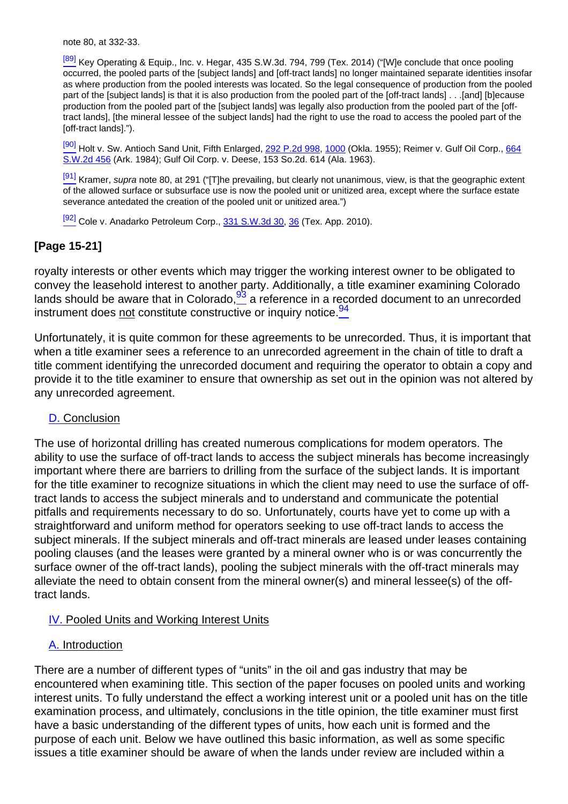note 80, at 332-33.

[\[89\]](#page-19-1) Key Operating & Equip., Inc. v. Hegar, 435 S.W.3d. 794, 799 (Tex. 2014) ("[W]e conclude that once pooling occurred, the pooled parts of the [subject lands] and [off-tract lands] no longer maintained separate identities insofar as where production from the pooled interests was located. So the legal consequence of production from the pooled part of the [subject lands] is that it is also production from the pooled part of the [off-tract lands] . . .[and] [b]ecause production from the pooled part of the [subject lands] was legally also production from the pooled part of the [offtract lands], [the mineral lessee of the subject lands] had the right to use the road to access the pooled part of the [off-tract lands].").

[\[90\]](#page-19-2) Holt v. Sw. Antioch Sand Unit, Fifth Enlarged, [292 P.2d 998](http://links.casemakerlegal.com/books/Case_Law/results?ci=45ampsearch[Cite]=292+P.2d+998ampfn=Nuts%20amp%20Bolts%20of%20Mineral%20Title%20Examination%20(Apr%202015)), [1000](http://links.casemakerlegal.com/books/Case_Law/results?ci=45ampsearch[Cite]=292+P.2d+1000#page1000ampfn=Nuts%20amp%20Bolts%20of%20Mineral%20Title%20Examination%20(Apr%202015)) (Okla. 1955); Reimer v. Gulf Oil Corp., [664](http://links.casemakerlegal.com/books/Case_Law/results?ci=45ampsearch[Cite]=664+S.W.2d+456ampfn=Nuts%20amp%20Bolts%20of%20Mineral%20Title%20Examination%20(Apr%202015)) [S.W.2d 456](http://links.casemakerlegal.com/books/Case_Law/results?ci=45ampsearch[Cite]=664+S.W.2d+456ampfn=Nuts%20amp%20Bolts%20of%20Mineral%20Title%20Examination%20(Apr%202015)) (Ark. 1984); Gulf Oil Corp. v. Deese, 153 So.2d. 614 (Ala. 1963).

[\[91\]](#page-19-3) Kramer, supra note 80, at 291 ("[T]he prevailing, but clearly not unanimous, view, is that the geographic extent of the allowed surface or subsurface use is now the pooled unit or unitized area, except where the surface estate severance antedated the creation of the pooled unit or unitized area.")

<sup>[\[92\]](#page-19-4)</sup> Cole v. Anadarko Petroleum Corp., [331 S.W.3d 30](http://links.casemakerlegal.com/books/Case_Law/results?ci=45ampsearch[Cite]=331+S.W.3d+30ampfn=Nuts%20amp%20Bolts%20of%20Mineral%20Title%20Examination%20(Apr%202015)), [36](http://links.casemakerlegal.com/books/Case_Law/results?ci=45ampsearch[Cite]=331+S.W.3d+36#page36ampfn=Nuts%20amp%20Bolts%20of%20Mineral%20Title%20Examination%20(Apr%202015)) (Tex. App. 2010).

## **[Page 15-21]**

<span id="page-20-1"></span><span id="page-20-0"></span>royalty interests or other events which may trigger the working interest owner to be obligated to convey the leasehold interest to another party. Additionally, a title examiner examining Colorado lands should be aware that in Colorado, $\frac{93}{2}$  a reference in a recorded document to an unrecorded instrument does not constitute constructive or inquiry notice.<sup>94</sup>

Unfortunately, it is quite common for these agreements to be unrecorded. Thus, it is important that when a title examiner sees a reference to an unrecorded agreement in the chain of title to draft a title comment identifying the unrecorded document and requiring the operator to obtain a copy and provide it to the title examiner to ensure that ownership as set out in the opinion was not altered by any unrecorded agreement.

### D. Conclusion

The use of horizontal drilling has created numerous complications for modem operators. The ability to use the surface of off-tract lands to access the subject minerals has become increasingly important where there are barriers to drilling from the surface of the subject lands. It is important for the title examiner to recognize situations in which the client may need to use the surface of offtract lands to access the subject minerals and to understand and communicate the potential pitfalls and requirements necessary to do so. Unfortunately, courts have yet to come up with a straightforward and uniform method for operators seeking to use off-tract lands to access the subject minerals. If the subject minerals and off-tract minerals are leased under leases containing pooling clauses (and the leases were granted by a mineral owner who is or was concurrently the surface owner of the off-tract lands), pooling the subject minerals with the off-tract minerals may alleviate the need to obtain consent from the mineral owner(s) and mineral lessee(s) of the offtract lands.

### IV. Pooled Units and Working Interest Units

#### A. Introduction

There are a number of different types of "units" in the oil and gas industry that may be encountered when examining title. This section of the paper focuses on pooled units and working interest units. To fully understand the effect a working interest unit or a pooled unit has on the title examination process, and ultimately, conclusions in the title opinion, the title examiner must first have a basic understanding of the different types of units, how each unit is formed and the purpose of each unit. Below we have outlined this basic information, as well as some specific issues a title examiner should be aware of when the lands under review are included within a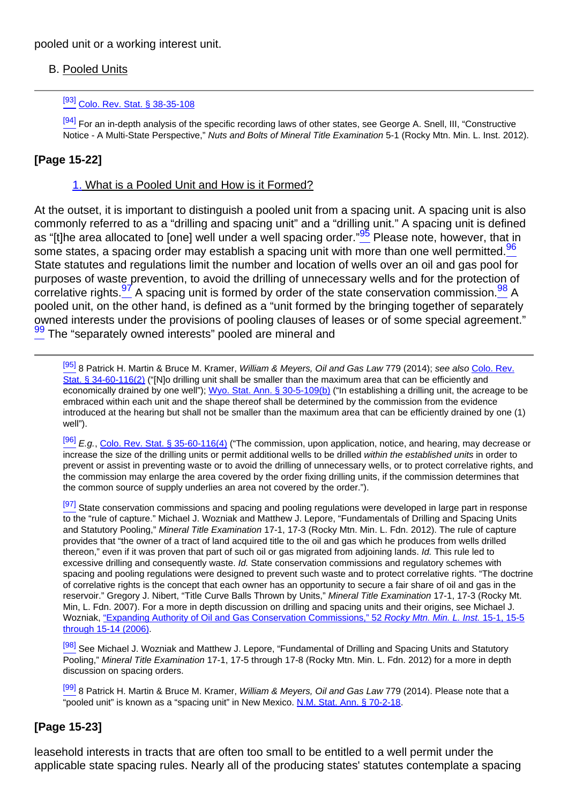pooled unit or a working interest unit.

#### B. Pooled Units

#### [\[93\]](#page-20-0) [Colo. Rev. Stat. § 38-35-108](http://links.casemakerlegal.com/states/CO/books/Statutes/browse?ci=45ampcodesec=38-35-108ampTitle=38ampfn=Nuts%20amp%20Bolts%20of%20Mineral%20Title%20Examination%20(Apr%202015))

 $[94]$  For an in-depth analysis of the specific recording laws of other states, see George A. Snell, III, "Constructive Notice - A Multi-State Perspective," Nuts and Bolts of Mineral Title Examination 5-1 (Rocky Mtn. Min. L. Inst. 2012).

### **[Page 15-22]**

#### 1. What is a Pooled Unit and How is it Formed?

<span id="page-21-2"></span><span id="page-21-1"></span><span id="page-21-0"></span>At the outset, it is important to distinguish a pooled unit from a spacing unit. A spacing unit is also commonly referred to as a "drilling and spacing unit" and a "drilling unit." A spacing unit is defined as "[t]he area allocated to [one] well under a well spacing order."<sup>95</sup> Please note, however, that in some states, a spacing order may establish a spacing unit with more than one well permitted.<sup>96</sup> State statutes and regulations limit the number and location of wells over an oil and gas pool for purposes of waste prevention, to avoid the drilling of unnecessary wells and for the protection of correlative rights.  $\frac{97}{9}$  A spacing unit is formed by order of the state conservation commission.  $\frac{98}{9}$  A pooled unit, on the other hand, is defined as a "unit formed by the bringing together of separately owned interests under the provisions of pooling clauses of leases or of some special agreement."  $\frac{99}{9}$  The "separately owned interests" pooled are mineral and

<span id="page-21-3"></span><sup>[\[95\]](#page-21-0)</sup> 8 Patrick H. Martin & Bruce M. Kramer, *William & Meyers, Oil and Gas Law 779* (2014); see also [Colo. Rev.](http://links.casemakerlegal.com/states/CO/books/Statutes/browse?ci=45ampcodesec=34-60-116ampTitle=34#34-60-116(2)ampfn=Nuts%20amp%20Bolts%20of%20Mineral%20Title%20Examination%20(Apr%202015)) [Stat. § 34-60-116\(2\)](http://links.casemakerlegal.com/states/CO/books/Statutes/browse?ci=45ampcodesec=34-60-116ampTitle=34#34-60-116(2)ampfn=Nuts%20amp%20Bolts%20of%20Mineral%20Title%20Examination%20(Apr%202015)) ("[N]o drilling unit shall be smaller than the maximum area that can be efficiently and economically drained by one well"); [Wyo. Stat. Ann. § 30-5-109\(b\)](http://links.casemakerlegal.com/states/WY/books/Statutes/browse?codesec=30-5-109ampci=45amptitle=30#30-5-109(b)ampfn=Nuts%20amp%20Bolts%20of%20Mineral%20Title%20Examination%20(Apr%202015)) ("In establishing a drilling unit, the acreage to be embraced within each unit and the shape thereof shall be determined by the commission from the evidence introduced at the hearing but shall not be smaller than the maximum area that can be efficiently drained by one (1) well").

[\[96\]](#page-21-1) E.g., [Colo. Rev. Stat. § 35-60-116\(4\)](http://links.casemakerlegal.com/states/CO/books/Statutes/browse?ci=45ampcodesec=35-60-116ampTitle=35#35-60-116(4)ampfn=Nuts%20amp%20Bolts%20of%20Mineral%20Title%20Examination%20(Apr%202015)) ("The commission, upon application, notice, and hearing, may decrease or increase the size of the drilling units or permit additional wells to be drilled within the established units in order to prevent or assist in preventing waste or to avoid the drilling of unnecessary wells, or to protect correlative rights, and the commission may enlarge the area covered by the order fixing drilling units, if the commission determines that the common source of supply underlies an area not covered by the order.").

[\[97\]](#page-21-2) State conservation commissions and spacing and pooling regulations were developed in large part in response to the "rule of capture." Michael J. Wozniak and Matthew J. Lepore, "Fundamentals of Drilling and Spacing Units and Statutory Pooling," Mineral Title Examination 17-1, 17-3 (Rocky Mtn. Min. L. Fdn. 2012). The rule of capture provides that "the owner of a tract of land acquired title to the oil and gas which he produces from wells drilled thereon," even if it was proven that part of such oil or gas migrated from adjoining lands. Id. This rule led to excessive drilling and consequently waste. Id. State conservation commissions and regulatory schemes with spacing and pooling regulations were designed to prevent such waste and to protect correlative rights. "The doctrine of correlative rights is the concept that each owner has an opportunity to secure a fair share of oil and gas in the reservoir." Gregory J. Nibert, "Title Curve Balls Thrown by Units," Mineral Title Examination 17-1, 17-3 (Rocky Mt. Min, L. Fdn. 2007). For a more in depth discussion on drilling and spacing units and their origins, see Michael J. Wozniak, ["Expanding Authority of Oil and Gas Conservation Commissions," 52](http://rmmlf.casemakerlibra.com/home/libra_2_rmmlf.aspx?doc=d:/data/RMMLF/Samples/52%20Rocky%20Mt.%20Min.%20L.%20Inst.%20(2006)/Chapter%2015%20EXPANDING.htmampcurdoc=16ampp=12258#page15-1) [R](http://rmmlf.casemakerlibra.com/home/libra_2_rmmlf.aspx?doc=d:/data/RMMLF/Samples/52%20Rocky%20Mt.%20Min.%20L.%20Inst.%20(2006)/Chapter%2015%20EXPANDING.htmampcurdoc=16ampp=12258#page15-1)ocky Mtn. Min. L. Inst. [15-1, 15-5](http://rmmlf.casemakerlibra.com/home/libra_2_rmmlf.aspx?doc=d:/data/RMMLF/Samples/52%20Rocky%20Mt.%20Min.%20L.%20Inst.%20(2006)/Chapter%2015%20EXPANDING.htmampcurdoc=16ampp=12258#page15-1) [through 15-14 \(2006\)](http://rmmlf.casemakerlibra.com/home/libra_2_rmmlf.aspx?doc=d:/data/RMMLF/Samples/52%20Rocky%20Mt.%20Min.%20L.%20Inst.%20(2006)/Chapter%2015%20EXPANDING.htmampcurdoc=16ampp=12258#page15-1).

[\[98\]](#page-21-2) See Michael J. Wozniak and Matthew J. Lepore, "Fundamental of Drilling and Spacing Units and Statutory Pooling," Mineral Title Examination 17-1, 17-5 through 17-8 (Rocky Mtn. Min. L. Fdn. 2012) for a more in depth discussion on spacing orders.

<sup>[\[99\]](#page-21-3)</sup> 8 Patrick H. Martin & Bruce M. Kramer, *William & Meyers, Oil and Gas Law 779 (2014)*. Please note that a "pooled unit" is known as a "spacing unit" in New Mexico. [N.M. Stat. Ann. § 70-2-18.](http://links.casemakerlegal.com/states/NM/books/Statutes/browse?codesec=70-2-18ampci=45amptitle=70ampfn=Nuts%20amp%20Bolts%20of%20Mineral%20Title%20Examination%20(Apr%202015))

### **[Page 15-23]**

<span id="page-21-4"></span>leasehold interests in tracts that are often too small to be entitled to a well permit under the applicable state spacing rules. Nearly all of the producing states' statutes contemplate a spacing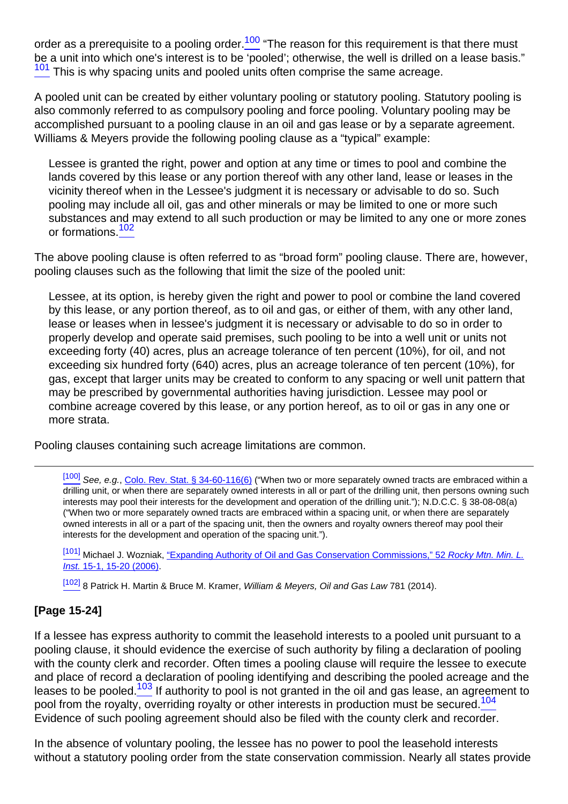<span id="page-22-0"></span>order as a prerequisite to a pooling order. $\frac{100}{2}$  "The reason for this requirement is that there must be a unit into which one's interest is to be 'pooled'; otherwise, the well is drilled on a lease basis." 101 This is why spacing units and pooled units often comprise the same acreage.

A pooled unit can be created by either voluntary pooling or statutory pooling. Statutory pooling is also commonly referred to as compulsory pooling and force pooling. Voluntary pooling may be accomplished pursuant to a pooling clause in an oil and gas lease or by a separate agreement. Williams & Meyers provide the following pooling clause as a "typical" example:

Lessee is granted the right, power and option at any time or times to pool and combine the lands covered by this lease or any portion thereof with any other land, lease or leases in the vicinity thereof when in the Lessee's judgment it is necessary or advisable to do so. Such pooling may include all oil, gas and other minerals or may be limited to one or more such substances and may extend to all such production or may be limited to any one or more zones or formations.<sup>102</sup>

<span id="page-22-1"></span>The above pooling clause is often referred to as "broad form" pooling clause. There are, however, pooling clauses such as the following that limit the size of the pooled unit:

Lessee, at its option, is hereby given the right and power to pool or combine the land covered by this lease, or any portion thereof, as to oil and gas, or either of them, with any other land, lease or leases when in lessee's judgment it is necessary or advisable to do so in order to properly develop and operate said premises, such pooling to be into a well unit or units not exceeding forty (40) acres, plus an acreage tolerance of ten percent (10%), for oil, and not exceeding six hundred forty (640) acres, plus an acreage tolerance of ten percent (10%), for gas, except that larger units may be created to conform to any spacing or well unit pattern that may be prescribed by governmental authorities having jurisdiction. Lessee may pool or combine acreage covered by this lease, or any portion hereof, as to oil or gas in any one or more strata.

Pooling clauses containing such acreage limitations are common.

[\[100\]](#page-21-4) See, e.g., [Colo. Rev. Stat. § 34-60-116\(6\)](http://links.casemakerlegal.com/states/CO/books/Statutes/browse?ci=45ampcodesec=34-60-116ampTitle=34#34-60-116(6)ampfn=Nuts%20amp%20Bolts%20of%20Mineral%20Title%20Examination%20(Apr%202015)) ("When two or more separately owned tracts are embraced within a drilling unit, or when there are separately owned interests in all or part of the drilling unit, then persons owning such interests may pool their interests for the development and operation of the drilling unit."); N.D.C.C. § 38-08-08(a) ("When two or more separately owned tracts are embraced within a spacing unit, or when there are separately owned interests in all or a part of the spacing unit, then the owners and royalty owners thereof may pool their interests for the development and operation of the spacing unit.").

[\[101\]](#page-22-0) Michael J. Wozniak, ["Expanding Authority of Oil and Gas Conservation Commissions," 52](http://rmmlf.casemakerlibra.com/home/libra_2_rmmlf.aspx?doc=d:/data/RMMLF/Samples/52%20Rocky%20Mt.%20Min.%20L.%20Inst.%20(2006)/Chapter%2015%20EXPANDING.htmampcurdoc=16ampp=12258#page15-1) Rocky Mtn. Min. L. Inst. [15-1, 15-20 \(2006\)](http://rmmlf.casemakerlibra.com/home/libra_2_rmmlf.aspx?doc=d:/data/RMMLF/Samples/52%20Rocky%20Mt.%20Min.%20L.%20Inst.%20(2006)/Chapter%2015%20EXPANDING.htmampcurdoc=16ampp=12258#page15-1).

[\[102\]](#page-22-1) 8 Patrick H. Martin & Bruce M. Kramer, William & Meyers, Oil and Gas Law 781 (2014).

## **[Page 15-24]**

<span id="page-22-2"></span>If a lessee has express authority to commit the leasehold interests to a pooled unit pursuant to a pooling clause, it should evidence the exercise of such authority by filing a declaration of pooling with the county clerk and recorder. Often times a pooling clause will require the lessee to execute and place of record a declaration of pooling identifying and describing the pooled acreage and the leases to be pooled.<sup>103</sup> If authority to pool is not granted in the oil and gas lease, an agreement to pool from the royalty, overriding royalty or other interests in production must be secured.<sup>104</sup> Evidence of such pooling agreement should also be filed with the county clerk and recorder.

<span id="page-22-3"></span>In the absence of voluntary pooling, the lessee has no power to pool the leasehold interests without a statutory pooling order from the state conservation commission. Nearly all states provide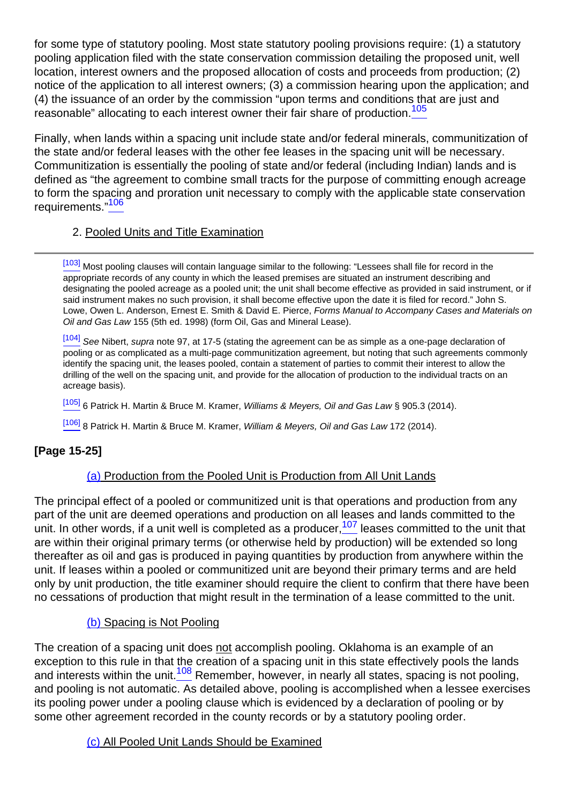for some type of statutory pooling. Most state statutory pooling provisions require: (1) a statutory pooling application filed with the state conservation commission detailing the proposed unit, well location, interest owners and the proposed allocation of costs and proceeds from production; (2) notice of the application to all interest owners; (3) a commission hearing upon the application; and (4) the issuance of an order by the commission "upon terms and conditions that are just and reasonable" allocating to each interest owner their fair share of production.<sup>105</sup>

<span id="page-23-1"></span><span id="page-23-0"></span>Finally, when lands within a spacing unit include state and/or federal minerals, communitization of the state and/or federal leases with the other fee leases in the spacing unit will be necessary. Communitization is essentially the pooling of state and/or federal (including Indian) lands and is defined as "the agreement to combine small tracts for the purpose of committing enough acreage to form the spacing and proration unit necessary to comply with the applicable state conservation requirements."<sup>106</sup>

### 2. Pooled Units and Title Examination

[\[103\]](#page-22-2) Most pooling clauses will contain language similar to the following: "Lessees shall file for record in the appropriate records of any county in which the leased premises are situated an instrument describing and designating the pooled acreage as a pooled unit; the unit shall become effective as provided in said instrument, or if said instrument makes no such provision, it shall become effective upon the date it is filed for record." John S. Lowe, Owen L. Anderson, Ernest E. Smith & David E. Pierce, Forms Manual to Accompany Cases and Materials on Oil and Gas Law 155 (5th ed. 1998) (form Oil, Gas and Mineral Lease).

[\[104\]](#page-22-3) See Nibert, supra note 97, at 17-5 (stating the agreement can be as simple as a one-page declaration of pooling or as complicated as a multi-page communitization agreement, but noting that such agreements commonly identify the spacing unit, the leases pooled, contain a statement of parties to commit their interest to allow the drilling of the well on the spacing unit, and provide for the allocation of production to the individual tracts on an acreage basis).

[\[105\]](#page-23-0) 6 Patrick H. Martin & Bruce M. Kramer, Williams & Meyers, Oil and Gas Law § 905.3 (2014).

[\[106\]](#page-23-1) 8 Patrick H. Martin & Bruce M. Kramer, William & Meyers, Oil and Gas Law 172 (2014).

## **[Page 15-25]**

### (a) Production from the Pooled Unit is Production from All Unit Lands

<span id="page-23-2"></span>The principal effect of a pooled or communitized unit is that operations and production from any part of the unit are deemed operations and production on all leases and lands committed to the unit. In other words, if a unit well is completed as a producer,  $107$  leases committed to the unit that are within their original primary terms (or otherwise held by production) will be extended so long thereafter as oil and gas is produced in paying quantities by production from anywhere within the unit. If leases within a pooled or communitized unit are beyond their primary terms and are held only by unit production, the title examiner should require the client to confirm that there have been no cessations of production that might result in the termination of a lease committed to the unit.

### (b) Spacing is Not Pooling

<span id="page-23-3"></span>The creation of a spacing unit does not accomplish pooling. Oklahoma is an example of an exception to this rule in that the creation of a spacing unit in this state effectively pools the lands and interests within the unit.<sup>108</sup> Remember, however, in nearly all states, spacing is not pooling, and pooling is not automatic. As detailed above, pooling is accomplished when a lessee exercises its pooling power under a pooling clause which is evidenced by a declaration of pooling or by some other agreement recorded in the county records or by a statutory pooling order.

### (c) All Pooled Unit Lands Should be Examined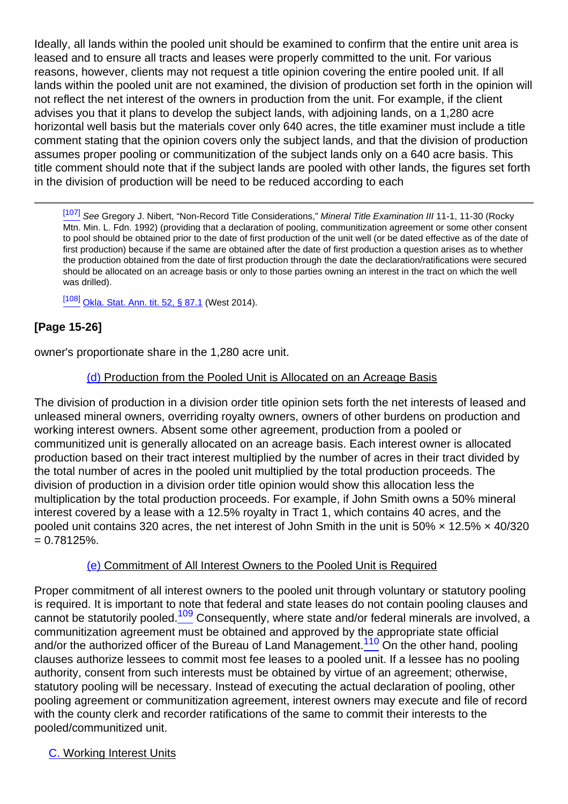Ideally, all lands within the pooled unit should be examined to confirm that the entire unit area is leased and to ensure all tracts and leases were properly committed to the unit. For various reasons, however, clients may not request a title opinion covering the entire pooled unit. If all lands within the pooled unit are not examined, the division of production set forth in the opinion will not reflect the net interest of the owners in production from the unit. For example, if the client advises you that it plans to develop the subject lands, with adjoining lands, on a 1,280 acre horizontal well basis but the materials cover only 640 acres, the title examiner must include a title comment stating that the opinion covers only the subject lands, and that the division of production assumes proper pooling or communitization of the subject lands only on a 640 acre basis. This title comment should note that if the subject lands are pooled with other lands, the figures set forth in the division of production will be need to be reduced according to each

[\[107\]](#page-23-2) See Gregory J. Nibert, "Non-Record Title Considerations," Mineral Title Examination III 11-1, 11-30 (Rocky Mtn. Min. L. Fdn. 1992) (providing that a declaration of pooling, communitization agreement or some other consent to pool should be obtained prior to the date of first production of the unit well (or be dated effective as of the date of first production) because if the same are obtained after the date of first production a question arises as to whether the production obtained from the date of first production through the date the declaration/ratifications were secured should be allocated on an acreage basis or only to those parties owning an interest in the tract on which the well was drilled).

[\[108\]](#page-23-3) [Okla. Stat. Ann. tit. 52, § 87.1](http://links.casemakerlegal.com/states/OK/books/Statutes/browse?ci=45ampcodesec=87.1amptitle=52ampfn=Nuts%20amp%20Bolts%20of%20Mineral%20Title%20Examination%20(Apr%202015)) (West 2014).

### **[Page 15-26]**

owner's proportionate share in the 1,280 acre unit.

#### (d) Production from the Pooled Unit is Allocated on an Acreage Basis

The division of production in a division order title opinion sets forth the net interests of leased and unleased mineral owners, overriding royalty owners, owners of other burdens on production and working interest owners. Absent some other agreement, production from a pooled or communitized unit is generally allocated on an acreage basis. Each interest owner is allocated production based on their tract interest multiplied by the number of acres in their tract divided by the total number of acres in the pooled unit multiplied by the total production proceeds. The division of production in a division order title opinion would show this allocation less the multiplication by the total production proceeds. For example, if John Smith owns a 50% mineral interest covered by a lease with a 12.5% royalty in Tract 1, which contains 40 acres, and the pooled unit contains 320 acres, the net interest of John Smith in the unit is 50%  $\times$  12.5%  $\times$  40/320  $= 0.78125%$ .

#### (e) Commitment of All Interest Owners to the Pooled Unit is Required

<span id="page-24-1"></span><span id="page-24-0"></span>Proper commitment of all interest owners to the pooled unit through voluntary or statutory pooling is required. It is important to note that federal and state leases do not contain pooling clauses and cannot be statutorily pooled.<sup>109</sup> Consequently, where state and/or federal minerals are involved, a communitization agreement must be obtained and approved by the appropriate state official and/or the authorized officer of the Bureau of Land Management.<sup>110</sup> On the other hand, pooling clauses authorize lessees to commit most fee leases to a pooled unit. If a lessee has no pooling authority, consent from such interests must be obtained by virtue of an agreement; otherwise, statutory pooling will be necessary. Instead of executing the actual declaration of pooling, other pooling agreement or communitization agreement, interest owners may execute and file of record with the county clerk and recorder ratifications of the same to commit their interests to the pooled/communitized unit.

#### C. Working Interest Units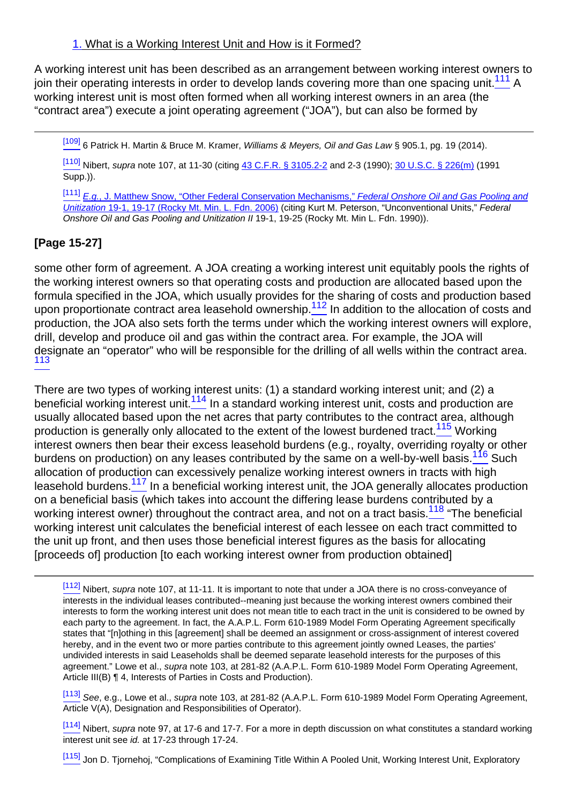### 1. What is a Working Interest Unit and How is it Formed?

<span id="page-25-0"></span>A working interest unit has been described as an arrangement between working interest owners to join their operating interests in order to develop lands covering more than one spacing unit. $\frac{111}{11}$  A working interest unit is most often formed when all working interest owners in an area (the "contract area") execute a joint operating agreement ("JOA"), but can also be formed by

[\[109\]](#page-24-0) 6 Patrick H. Martin & Bruce M. Kramer, Williams & Meyers, Oil and Gas Law § 905.1, pg. 19 (2014).

[\[110\]](#page-24-1) Nibert, *supra* note 107, at 11-30 (citing [43 C.F.R. § 3105.2-2](http://links.casemakerlegal.com/federal/US/books/Code_of_Federal_Regulations/browse?codesec=3105.2-2amptitle=43ampci=45ampfn=Nuts%20amp%20Bolts%20of%20Mineral%20Title%20Examination%20(Apr%202015)) and 2-3 (1990); [30 U.S.C. § 226\(m\)](http://links.casemakerlegal.com/federal/US/books/United_States_Code/browse?codesec=226amptitle=30ampci=45#226(m)ampfn=Nuts%20amp%20Bolts%20of%20Mineral%20Title%20Examination%20(Apr%202015)) (1991 Supp.)).

[\[111\]](#page-25-0) E.a.[, J. Matthew Snow, "Other Federal Conservation Mechanisms,"](http://rmmlf.casemakerlibra.com/home/libra_2_rmmlf.aspx?doc=d:/data/RMMLF/Samples/2006%20Nov%20(Federal%20Onshore%20Oil%20and%20Gas%20Pooling%20and%20Unitization)/Chapter%2019%20OTHER%20FEDERAL.htmampcurdoc=24ampp=12047#page19-1) Federal Onshore Oil and Gas Pooling and Unitization [19-1, 19-17 \(Rocky Mt. Min. L. Fdn. 2006\)](http://rmmlf.casemakerlibra.com/home/libra_2_rmmlf.aspx?doc=d:/data/RMMLF/Samples/2006%20Nov%20(Federal%20Onshore%20Oil%20and%20Gas%20Pooling%20and%20Unitization)/Chapter%2019%20OTHER%20FEDERAL.htmampcurdoc=24ampp=12047#page19-1) (citing Kurt M. Peterson, "Unconventional Units," Federal Onshore Oil and Gas Pooling and Unitization II 19-1, 19-25 (Rocky Mt. Min L. Fdn. 1990)).

## **[Page 15-27]**

<span id="page-25-1"></span>some other form of agreement. A JOA creating a working interest unit equitably pools the rights of the working interest owners so that operating costs and production are allocated based upon the formula specified in the JOA, which usually provides for the sharing of costs and production based upon proportionate contract area leasehold ownership.<sup>112</sup> In addition to the allocation of costs and production, the JOA also sets forth the terms under which the working interest owners will explore, drill, develop and produce oil and gas within the contract area. For example, the JOA will designate an "operator" who will be responsible for the drilling of all wells within the contract area. 113

<span id="page-25-6"></span><span id="page-25-5"></span><span id="page-25-4"></span><span id="page-25-3"></span><span id="page-25-2"></span>There are two types of working interest units: (1) a standard working interest unit; and (2) a beneficial working interest unit.<sup>114</sup> In a standard working interest unit, costs and production are usually allocated based upon the net acres that party contributes to the contract area, although production is generally only allocated to the extent of the lowest burdened tract.<sup>115</sup> Working interest owners then bear their excess leasehold burdens (e.g., royalty, overriding royalty or other burdens on production) on any leases contributed by the same on a well-by-well basis.<sup>116</sup> Such allocation of production can excessively penalize working interest owners in tracts with high leasehold burdens.<sup>117</sup> In a beneficial working interest unit, the JOA generally allocates production on a beneficial basis (which takes into account the differing lease burdens contributed by a working interest owner) throughout the contract area, and not on a tract basis.<sup>118</sup> "The beneficial working interest unit calculates the beneficial interest of each lessee on each tract committed to the unit up front, and then uses those beneficial interest figures as the basis for allocating [proceeds of] production [to each working interest owner from production obtained]

<span id="page-25-7"></span><sup>[\[112\]](#page-25-1)</sup> Nibert, supra note 107, at 11-11. It is important to note that under a JOA there is no cross-conveyance of interests in the individual leases contributed--meaning just because the working interest owners combined their interests to form the working interest unit does not mean title to each tract in the unit is considered to be owned by each party to the agreement. In fact, the A.A.P.L. Form 610-1989 Model Form Operating Agreement specifically states that "[n]othing in this [agreement] shall be deemed an assignment or cross-assignment of interest covered hereby, and in the event two or more parties contribute to this agreement jointly owned Leases, the parties' undivided interests in said Leaseholds shall be deemed separate leasehold interests for the purposes of this agreement." Lowe et al., supra note 103, at 281-82 (A.A.P.L. Form 610-1989 Model Form Operating Agreement, Article III(B) ¶ 4, Interests of Parties in Costs and Production).

[\[113\]](#page-25-2) See, e.g., Lowe et al., supra note 103, at 281-82 (A.A.P.L. Form 610-1989 Model Form Operating Agreement, Article V(A), Designation and Responsibilities of Operator).

[\[114\]](#page-25-3) Nibert, *supra* note 97, at 17-6 and 17-7. For a more in depth discussion on what constitutes a standard working interest unit see id. at 17-23 through 17-24.

[\[115\]](#page-25-4) Jon D. Tjornehoj, "Complications of Examining Title Within A Pooled Unit, Working Interest Unit, Exploratory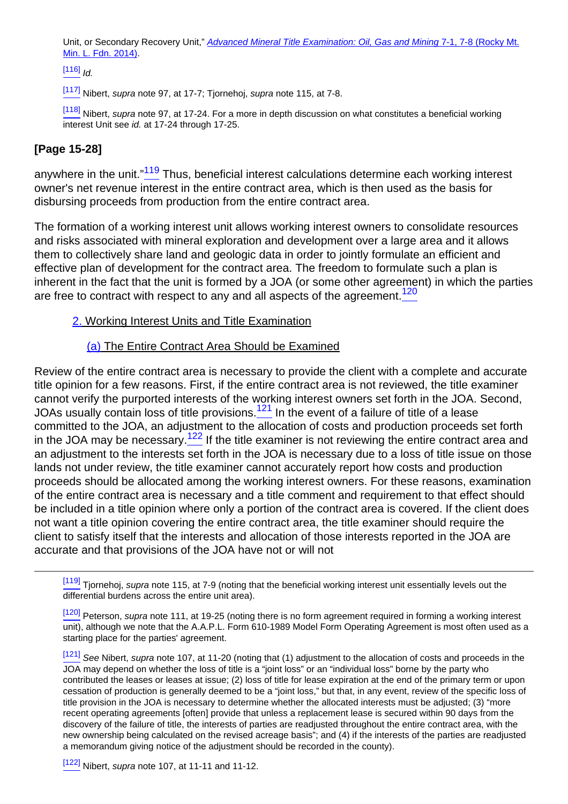Unit, or Secondary Recovery Unit," Advanced Mineral Title Examination: Oil, Gas and Mining [7-1, 7-8 \(Rocky Mt.](http://rmmlf.casemakerlibra.com/home/libra_2_rmmlf.aspx?doc=d:/data/RMMLF/Samples/2014%20Jan%20(Advanced%20Mineral%20Title%20Examination)/Chapter%207%20COMPLICATIONS.htmampcurdoc=9ampp=11994#page7-1) [Min. L. Fdn. 2014\).](http://rmmlf.casemakerlibra.com/home/libra_2_rmmlf.aspx?doc=d:/data/RMMLF/Samples/2014%20Jan%20(Advanced%20Mineral%20Title%20Examination)/Chapter%207%20COMPLICATIONS.htmampcurdoc=9ampp=11994#page7-1)

 $[116]$  Id.

[\[117\]](#page-25-6) Nibert, supra note 97, at 17-7; Tjornehoj, supra note 115, at 7-8.

[\[118\]](#page-25-7) Nibert, supra note 97, at 17-24. For a more in depth discussion on what constitutes a beneficial working interest Unit see id. at 17-24 through 17-25.

### **[Page 15-28]**

<span id="page-26-0"></span>anywhere in the unit."<sup>119</sup> Thus, beneficial interest calculations determine each working interest owner's net revenue interest in the entire contract area, which is then used as the basis for disbursing proceeds from production from the entire contract area.

<span id="page-26-1"></span>The formation of a working interest unit allows working interest owners to consolidate resources and risks associated with mineral exploration and development over a large area and it allows them to collectively share land and geologic data in order to jointly formulate an efficient and effective plan of development for the contract area. The freedom to formulate such a plan is inherent in the fact that the unit is formed by a JOA (or some other agreement) in which the parties are free to contract with respect to any and all aspects of the agreement. $\frac{120}{20}$ 

### 2. Working Interest Units and Title Examination

### (a) The Entire Contract Area Should be Examined

<span id="page-26-3"></span><span id="page-26-2"></span>Review of the entire contract area is necessary to provide the client with a complete and accurate title opinion for a few reasons. First, if the entire contract area is not reviewed, the title examiner cannot verify the purported interests of the working interest owners set forth in the JOA. Second, JOAs usually contain loss of title provisions.<sup>121</sup> In the event of a failure of title of a lease committed to the JOA, an adjustment to the allocation of costs and production proceeds set forth in the JOA may be necessary. $122$  If the title examiner is not reviewing the entire contract area and an adjustment to the interests set forth in the JOA is necessary due to a loss of title issue on those lands not under review, the title examiner cannot accurately report how costs and production proceeds should be allocated among the working interest owners. For these reasons, examination of the entire contract area is necessary and a title comment and requirement to that effect should be included in a title opinion where only a portion of the contract area is covered. If the client does not want a title opinion covering the entire contract area, the title examiner should require the client to satisfy itself that the interests and allocation of those interests reported in the JOA are accurate and that provisions of the JOA have not or will not

[\[119\]](#page-26-0) Tjornehoj, *supra* note 115, at 7-9 (noting that the beneficial working interest unit essentially levels out the differential burdens across the entire unit area).

<sup>[\[120\]](#page-26-1)</sup> Peterson, *supra* note 111, at 19-25 (noting there is no form agreement required in forming a working interest unit), although we note that the A.A.P.L. Form 610-1989 Model Form Operating Agreement is most often used as a starting place for the parties' agreement.

 $\frac{[121]}{[121]}$  $\frac{[121]}{[121]}$  $\frac{[121]}{[121]}$  See Nibert, supra note 107, at 11-20 (noting that (1) adjustment to the allocation of costs and proceeds in the JOA may depend on whether the loss of title is a "joint loss" or an "individual loss" borne by the party who contributed the leases or leases at issue; (2) loss of title for lease expiration at the end of the primary term or upon cessation of production is generally deemed to be a "joint loss," but that, in any event, review of the specific loss of title provision in the JOA is necessary to determine whether the allocated interests must be adjusted; (3) "more recent operating agreements [often] provide that unless a replacement lease is secured within 90 days from the discovery of the failure of title, the interests of parties are readjusted throughout the entire contract area, with the new ownership being calculated on the revised acreage basis"; and (4) if the interests of the parties are readjusted a memorandum giving notice of the adjustment should be recorded in the county).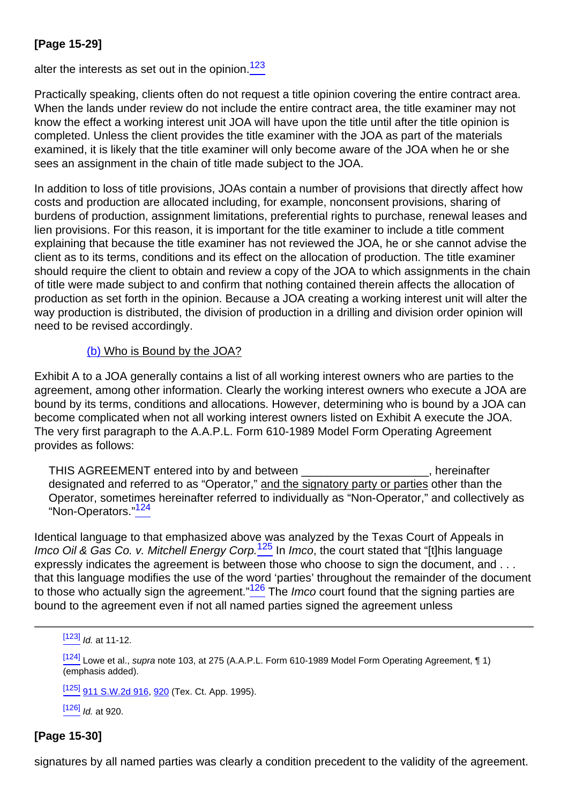## **[Page 15-29]**

<span id="page-27-0"></span>alter the interests as set out in the opinion. $123$ 

Practically speaking, clients often do not request a title opinion covering the entire contract area. When the lands under review do not include the entire contract area, the title examiner may not know the effect a working interest unit JOA will have upon the title until after the title opinion is completed. Unless the client provides the title examiner with the JOA as part of the materials examined, it is likely that the title examiner will only become aware of the JOA when he or she sees an assignment in the chain of title made subject to the JOA.

In addition to loss of title provisions, JOAs contain a number of provisions that directly affect how costs and production are allocated including, for example, nonconsent provisions, sharing of burdens of production, assignment limitations, preferential rights to purchase, renewal leases and lien provisions. For this reason, it is important for the title examiner to include a title comment explaining that because the title examiner has not reviewed the JOA, he or she cannot advise the client as to its terms, conditions and its effect on the allocation of production. The title examiner should require the client to obtain and review a copy of the JOA to which assignments in the chain of title were made subject to and confirm that nothing contained therein affects the allocation of production as set forth in the opinion. Because a JOA creating a working interest unit will alter the way production is distributed, the division of production in a drilling and division order opinion will need to be revised accordingly.

### (b) Who is Bound by the JOA?

Exhibit A to a JOA generally contains a list of all working interest owners who are parties to the agreement, among other information. Clearly the working interest owners who execute a JOA are bound by its terms, conditions and allocations. However, determining who is bound by a JOA can become complicated when not all working interest owners listed on Exhibit A execute the JOA. The very first paragraph to the A.A.P.L. Form 610-1989 Model Form Operating Agreement provides as follows:

THIS AGREEMENT entered into by and between **Fig. 10.13 and 2.13 and 2.13 and 2.13 and 2.13 and 2.13 and 2.13 and 2.13 and 2.13 and 2.13 and 2.13 and 2.13 and 2.13 and 2.13 and 2.13 and 2.13 and 2.13 and 2.13 and 2.13 and 2** designated and referred to as "Operator," and the signatory party or parties other than the Operator, sometimes hereinafter referred to individually as "Non-Operator," and collectively as "Non-Operators."<sup>124</sup>

<span id="page-27-3"></span><span id="page-27-2"></span><span id="page-27-1"></span>Identical language to that emphasized above was analyzed by the Texas Court of Appeals in Imco Oil & Gas Co. v. Mitchell Energy Corp.<sup>125</sup> In Imco, the court stated that "[t]his language expressly indicates the agreement is between those who choose to sign the document, and . . . that this language modifies the use of the word 'parties' throughout the remainder of the document to those who actually sign the agreement." $126$  The *Imco* court found that the signing parties are bound to the agreement even if not all named parties signed the agreement unless

 $[123]$  *Id.* at 11-12.

[\[124\]](#page-27-1) Lowe et al., supra note 103, at 275 (A.A.P.L. Form 610-1989 Model Form Operating Agreement, ¶ 1) (emphasis added).

[\[125\]](#page-27-2) [911 S.W.2d 916,](http://links.casemakerlegal.com/books/Case_Law/results?ci=45ampsearch[Cite]=911+S.W.2d+916ampfn=Nuts%20amp%20Bolts%20of%20Mineral%20Title%20Examination%20(Apr%202015)) [920](http://links.casemakerlegal.com/books/Case_Law/results?ci=45ampsearch[Cite]=911+S.W.2d+920#page920ampfn=Nuts%20amp%20Bolts%20of%20Mineral%20Title%20Examination%20(Apr%202015)) (Tex. Ct. App. 1995).

 $[126]$  *Id.* at 920.

### **[Page 15-30]**

<span id="page-27-4"></span>signatures by all named parties was clearly a condition precedent to the validity of the agreement.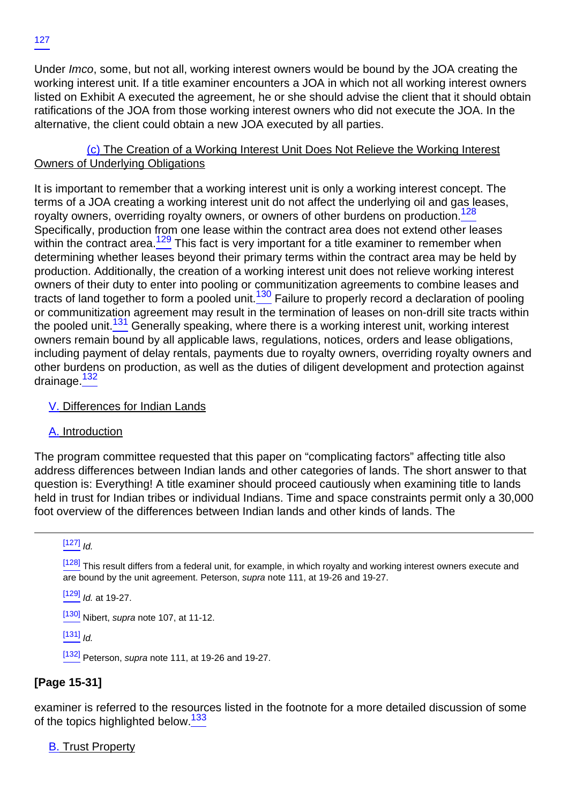Under Imco, some, but not all, working interest owners would be bound by the JOA creating the working interest unit. If a title examiner encounters a JOA in which not all working interest owners listed on Exhibit A executed the agreement, he or she should advise the client that it should obtain ratifications of the JOA from those working interest owners who did not execute the JOA. In the alternative, the client could obtain a new JOA executed by all parties.

(c) The Creation of a Working Interest Unit Does Not Relieve the Working Interest Owners of Underlying Obligations

<span id="page-28-2"></span><span id="page-28-1"></span><span id="page-28-0"></span>It is important to remember that a working interest unit is only a working interest concept. The terms of a JOA creating a working interest unit do not affect the underlying oil and gas leases, royalty owners, overriding royalty owners, or owners of other burdens on production.<sup>128</sup> Specifically, production from one lease within the contract area does not extend other leases within the contract area.<sup>129</sup> This fact is very important for a title examiner to remember when determining whether leases beyond their primary terms within the contract area may be held by production. Additionally, the creation of a working interest unit does not relieve working interest owners of their duty to enter into pooling or communitization agreements to combine leases and tracts of land together to form a pooled unit.<sup>130</sup> Failure to properly record a declaration of pooling or communitization agreement may result in the termination of leases on non-drill site tracts within the pooled unit.<sup>131</sup> Generally speaking, where there is a working interest unit, working interest owners remain bound by all applicable laws, regulations, notices, orders and lease obligations, including payment of delay rentals, payments due to royalty owners, overriding royalty owners and other burdens on production, as well as the duties of diligent development and protection against drainage.<sup>132</sup>

<span id="page-28-4"></span><span id="page-28-3"></span>V. Differences for Indian Lands

A. Introduction

The program committee requested that this paper on "complicating factors" affecting title also address differences between Indian lands and other categories of lands. The short answer to that question is: Everything! A title examiner should proceed cautiously when examining title to lands held in trust for Indian tribes or individual Indians. Time and space constraints permit only a 30,000 foot overview of the differences between Indian lands and other kinds of lands. The

## $[127]$   $Id.$

[\[128\]](#page-28-0) This result differs from a federal unit, for example, in which royalty and working interest owners execute and are bound by the unit agreement. Peterson, supra note 111, at 19-26 and 19-27.

 $[129]$  *Id.* at 19-27.

[\[130\]](#page-28-2) Nibert, supra note 107, at 11-12.

 $[131]$   $\overline{1}$ 

 $\frac{[132]}{[132]}$  $\frac{[132]}{[132]}$  $\frac{[132]}{[132]}$  Peterson, supra note 111, at 19-26 and 19-27.

## **[Page 15-31]**

<span id="page-28-5"></span>examiner is referred to the resources listed in the footnote for a more detailed discussion of some of the topics highlighted below.<sup>133</sup>

**B.** Trust Property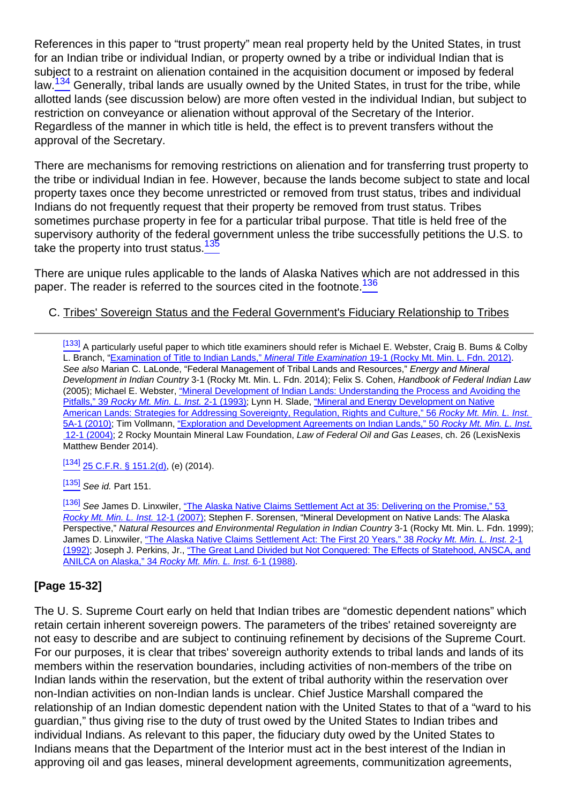<span id="page-29-0"></span>References in this paper to "trust property" mean real property held by the United States, in trust for an Indian tribe or individual Indian, or property owned by a tribe or individual Indian that is subject to a restraint on alienation contained in the acquisition document or imposed by federal law.<sup>134</sup> Generally, tribal lands are usually owned by the United States, in trust for the tribe, while allotted lands (see discussion below) are more often vested in the individual Indian, but subject to restriction on conveyance or alienation without approval of the Secretary of the Interior. Regardless of the manner in which title is held, the effect is to prevent transfers without the approval of the Secretary.

There are mechanisms for removing restrictions on alienation and for transferring trust property to the tribe or individual Indian in fee. However, because the lands become subject to state and local property taxes once they become unrestricted or removed from trust status, tribes and individual Indians do not frequently request that their property be removed from trust status. Tribes sometimes purchase property in fee for a particular tribal purpose. That title is held free of the supervisory authority of the federal government unless the tribe successfully petitions the U.S. to take the property into trust status.<sup>135</sup>

<span id="page-29-2"></span><span id="page-29-1"></span>There are unique rules applicable to the lands of Alaska Natives which are not addressed in this paper. The reader is referred to the sources cited in the footnote.<sup>136</sup>

### C. Tribes' Sovereign Status and the Federal Government's Fiduciary Relationship to Tribes

[\[133\]](#page-28-5) A particularly useful paper to which title examiners should refer is Michael E. Webster, Craig B. Bums & Colby L. Branch, "[Examination of Title to Indian Lands,"](http://rmmlf.casemakerlibra.com/home/libra_2_rmmlf.aspx?doc=d:/data/RMMLF/Samples/2012%20Feb%20(Mineral%20Title%20Examination)/Chapter%2019%20EXAMINATION.htmampcurdoc=23ampp=12112#page19-1) [M](http://rmmlf.casemakerlibra.com/home/libra_2_rmmlf.aspx?doc=d:/data/RMMLF/Samples/2012%20Feb%20(Mineral%20Title%20Examination)/Chapter%2019%20EXAMINATION.htmampcurdoc=23ampp=12112#page19-1)ineral Title Examination [19-1 \(Rocky Mt. Min. L. Fdn. 2012\).](http://rmmlf.casemakerlibra.com/home/libra_2_rmmlf.aspx?doc=d:/data/RMMLF/Samples/2012%20Feb%20(Mineral%20Title%20Examination)/Chapter%2019%20EXAMINATION.htmampcurdoc=23ampp=12112#page19-1) See also Marian C. LaLonde, "Federal Management of Tribal Lands and Resources," Energy and Mineral Development in Indian Country 3-1 (Rocky Mt. Min. L. Fdn. 2014); Felix S. Cohen, Handbook of Federal Indian Law (2005); Michael E. Webster, ["Mineral Development of Indian Lands: Understanding the Process and Avoiding the](http://rmmlf.casemakerlibra.com/home/libra_2_rmmlf.aspx?doc=d:/data/RMMLF/Samples/39%20Rocky%20Mt.%20Min.%20L.%20Inst.%20(1993)/Chapter%202%20MINERAL.htmampcurdoc=4ampp=12242#page2-1) [Pitfalls," 39](http://rmmlf.casemakerlibra.com/home/libra_2_rmmlf.aspx?doc=d:/data/RMMLF/Samples/39%20Rocky%20Mt.%20Min.%20L.%20Inst.%20(1993)/Chapter%202%20MINERAL.htmampcurdoc=4ampp=12242#page2-1) Rocky Mt. Min. L. Inst. [2-1 \(1993\)](http://rmmlf.casemakerlibra.com/home/libra_2_rmmlf.aspx?doc=d:/data/RMMLF/Samples/39%20Rocky%20Mt.%20Min.%20L.%20Inst.%20(1993)/Chapter%202%20MINERAL.htmampcurdoc=4ampp=12242#page2-1); Lynn H. Slade, ["Mineral and Energy Development on Native](http://rmmlf.casemakerlibra.com/home/libra_2_rmmlf.aspx?doc=d:/data/RMMLF/Samples/56%20Rocky%20Mt.%20Min.%20L.%20Inst.%20(2010)/Chapter%205A%20MINERAL%20AND.htmampcurdoc=7ampp=12262#page5A-1) [American Lands: Strategies for Addressing Sovereignty, Regulation, Rights and Culture," 56](http://rmmlf.casemakerlibra.com/home/libra_2_rmmlf.aspx?doc=d:/data/RMMLF/Samples/56%20Rocky%20Mt.%20Min.%20L.%20Inst.%20(2010)/Chapter%205A%20MINERAL%20AND.htmampcurdoc=7ampp=12262#page5A-1) [R](http://rmmlf.casemakerlibra.com/home/libra_2_rmmlf.aspx?doc=d:/data/RMMLF/Samples/56%20Rocky%20Mt.%20Min.%20L.%20Inst.%20(2010)/Chapter%205A%20MINERAL%20AND.htmampcurdoc=7ampp=12262#page5A-1)ocky Mt. Min. L. Inst. [5A-1 \(2010\);](http://rmmlf.casemakerlibra.com/home/libra_2_rmmlf.aspx?doc=d:/data/RMMLF/Samples/56%20Rocky%20Mt.%20Min.%20L.%20Inst.%20(2010)/Chapter%205A%20MINERAL%20AND.htmampcurdoc=7ampp=12262#page5A-1) Tim Vollmann, ["Exploration and Development Agreements on Indian Lands," 50](http://rmmlf.casemakerlibra.com/home/libra_2_rmmlf.aspx?doc=d:/data/RMMLF/Samples/50%20Rocky%20Mt.%20Min.%20L.%20Inst.%20(2004)/Chapter%2012%20EXPLORATION.htmampcurdoc=15ampp=12256#page12-1) Rocky Mt. Min. L. Inst. [12-1 \(2004\)](http://rmmlf.casemakerlibra.com/home/libra_2_rmmlf.aspx?doc=d:/data/RMMLF/Samples/50%20Rocky%20Mt.%20Min.%20L.%20Inst.%20(2004)/Chapter%2012%20EXPLORATION.htmampcurdoc=15ampp=12256#page12-1); 2 Rocky Mountain Mineral Law Foundation, Law of Federal Oil and Gas Leases, ch. 26 (LexisNexis Matthew Bender 2014).

 $\frac{[134]}{25}$  $\frac{[134]}{25}$  $\frac{[134]}{25}$  [25 C.F.R. § 151.2\(d\)](http://links.casemakerlegal.com/federal/US/books/Code_of_Federal_Regulations/browse?codesec=151.2amptitle=25ampci=45#151.2(d)ampfn=Nuts%20amp%20Bolts%20of%20Mineral%20Title%20Examination%20(Apr%202015)), (e) (2014).

 $[135]$  See id. Part 151.

[\[136\]](#page-29-2) See James D. Linxwiler, ["The Alaska Native Claims Settlement Act at 35: Delivering on the Promise," 53](http://rmmlf.casemakerlibra.com/home/libra_2_rmmlf.aspx?doc=d:/data/RMMLF/Samples/53%20Rocky%20Mt.%20Min.%20L.%20Inst.%20(2007)/Chapter%2012%20THE%20ALASKA.htmampcurdoc=15ampp=12259#page12-1) Rocky Mt. Min. L. Inst. [12-1 \(2007\)](http://rmmlf.casemakerlibra.com/home/libra_2_rmmlf.aspx?doc=d:/data/RMMLF/Samples/53%20Rocky%20Mt.%20Min.%20L.%20Inst.%20(2007)/Chapter%2012%20THE%20ALASKA.htmampcurdoc=15ampp=12259#page12-1); Stephen F. Sorensen, "Mineral Development on Native Lands: The Alaska Perspective," Natural Resources and Environmental Regulation in Indian Country 3-1 (Rocky Mt. Min. L. Fdn. 1999); James D. Linxwiler, ["The Alaska Native Claims Settlement Act: The First 20 Years," 38](http://rmmlf.casemakerlibra.com/home/libra_2_rmmlf.aspx?doc=d:/data/RMMLF/Samples/38%20Rocky%20Mt.%20Min.%20L.%20Inst.%20(1992)/Chapter%202%20THE%20ALASKA.htmampcurdoc=4ampp=12241#page2-1) Rocky Mt[.](http://rmmlf.casemakerlibra.com/home/libra_2_rmmlf.aspx?doc=d:/data/RMMLF/Samples/38%20Rocky%20Mt.%20Min.%20L.%20Inst.%20(1992)/Chapter%202%20THE%20ALASKA.htmampcurdoc=4ampp=12241#page2-1) Min. L. Inst. [2-1](http://rmmlf.casemakerlibra.com/home/libra_2_rmmlf.aspx?doc=d:/data/RMMLF/Samples/38%20Rocky%20Mt.%20Min.%20L.%20Inst.%20(1992)/Chapter%202%20THE%20ALASKA.htmampcurdoc=4ampp=12241#page2-1) [\(1992\);](http://rmmlf.casemakerlibra.com/home/libra_2_rmmlf.aspx?doc=d:/data/RMMLF/Samples/38%20Rocky%20Mt.%20Min.%20L.%20Inst.%20(1992)/Chapter%202%20THE%20ALASKA.htmampcurdoc=4ampp=12241#page2-1) Joseph J. Perkins, Jr., ["The Great Land Divided but Not Conquered: The Effects of Statehood, ANSCA, and](http://rmmlf.casemakerlibra.com/home/libra_2_rmmlf.aspx?doc=d:/data/RMMLF/Samples/34%20Rocky%20Mt.%20Min.%20L.%20Inst.%20(1988)/Chapter%206%20THE%20GREAT%20LAND.htmampcurdoc=8ampp=12237#page6-1) [ANILCA on Alaska," 34](http://rmmlf.casemakerlibra.com/home/libra_2_rmmlf.aspx?doc=d:/data/RMMLF/Samples/34%20Rocky%20Mt.%20Min.%20L.%20Inst.%20(1988)/Chapter%206%20THE%20GREAT%20LAND.htmampcurdoc=8ampp=12237#page6-1) Rocky Mt. Min. L. Inst[.](http://rmmlf.casemakerlibra.com/home/libra_2_rmmlf.aspx?doc=d:/data/RMMLF/Samples/34%20Rocky%20Mt.%20Min.%20L.%20Inst.%20(1988)/Chapter%206%20THE%20GREAT%20LAND.htmampcurdoc=8ampp=12237#page6-1) [6-1 \(1988\)](http://rmmlf.casemakerlibra.com/home/libra_2_rmmlf.aspx?doc=d:/data/RMMLF/Samples/34%20Rocky%20Mt.%20Min.%20L.%20Inst.%20(1988)/Chapter%206%20THE%20GREAT%20LAND.htmampcurdoc=8ampp=12237#page6-1).

## **[Page 15-32]**

The U. S. Supreme Court early on held that Indian tribes are "domestic dependent nations" which retain certain inherent sovereign powers. The parameters of the tribes' retained sovereignty are not easy to describe and are subject to continuing refinement by decisions of the Supreme Court. For our purposes, it is clear that tribes' sovereign authority extends to tribal lands and lands of its members within the reservation boundaries, including activities of non-members of the tribe on Indian lands within the reservation, but the extent of tribal authority within the reservation over non-Indian activities on non-Indian lands is unclear. Chief Justice Marshall compared the relationship of an Indian domestic dependent nation with the United States to that of a "ward to his guardian," thus giving rise to the duty of trust owed by the United States to Indian tribes and individual Indians. As relevant to this paper, the fiduciary duty owed by the United States to Indians means that the Department of the Interior must act in the best interest of the Indian in approving oil and gas leases, mineral development agreements, communitization agreements,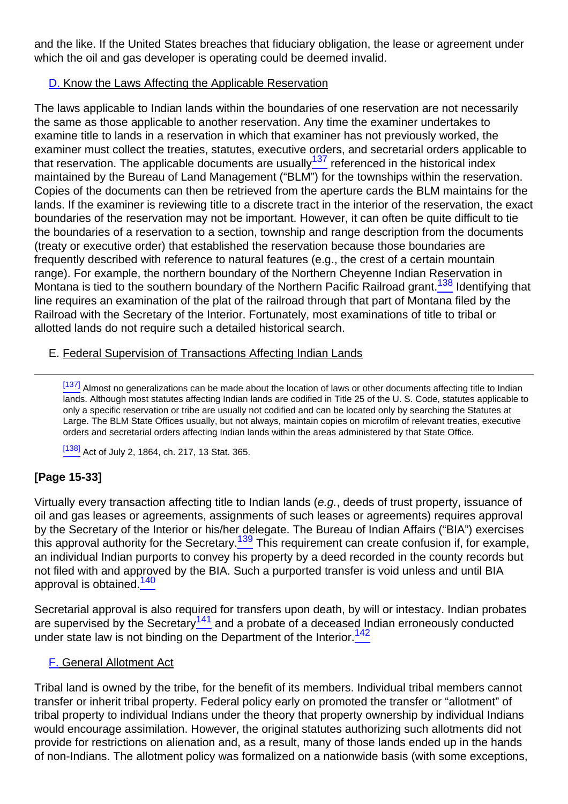and the like. If the United States breaches that fiduciary obligation, the lease or agreement under which the oil and gas developer is operating could be deemed invalid.

### D. Know the Laws Affecting the Applicable Reservation

<span id="page-30-0"></span>The laws applicable to Indian lands within the boundaries of one reservation are not necessarily the same as those applicable to another reservation. Any time the examiner undertakes to examine title to lands in a reservation in which that examiner has not previously worked, the examiner must collect the treaties, statutes, executive orders, and secretarial orders applicable to that reservation. The applicable documents are usually<sup>137</sup> referenced in the historical index maintained by the Bureau of Land Management ("BLM") for the townships within the reservation. Copies of the documents can then be retrieved from the aperture cards the BLM maintains for the lands. If the examiner is reviewing title to a discrete tract in the interior of the reservation, the exact boundaries of the reservation may not be important. However, it can often be quite difficult to tie the boundaries of a reservation to a section, township and range description from the documents (treaty or executive order) that established the reservation because those boundaries are frequently described with reference to natural features (e.g., the crest of a certain mountain range). For example, the northern boundary of the Northern Cheyenne Indian Reservation in Montana is tied to the southern boundary of the Northern Pacific Railroad grant.<sup>138</sup> Identifying that line requires an examination of the plat of the railroad through that part of Montana filed by the Railroad with the Secretary of the Interior. Fortunately, most examinations of title to tribal or allotted lands do not require such a detailed historical search.

### <span id="page-30-1"></span>E. Federal Supervision of Transactions Affecting Indian Lands

[\[137\]](#page-30-0) Almost no generalizations can be made about the location of laws or other documents affecting title to Indian lands. Although most statutes affecting Indian lands are codified in Title 25 of the U. S. Code, statutes applicable to only a specific reservation or tribe are usually not codified and can be located only by searching the Statutes at Large. The BLM State Offices usually, but not always, maintain copies on microfilm of relevant treaties, executive orders and secretarial orders affecting Indian lands within the areas administered by that State Office.

 $[138]$  Act of July 2, 1864, ch. 217, 13 Stat. 365.

## **[Page 15-33]**

<span id="page-30-2"></span>Virtually every transaction affecting title to Indian lands (e.g., deeds of trust property, issuance of oil and gas leases or agreements, assignments of such leases or agreements) requires approval by the Secretary of the Interior or his/her delegate. The Bureau of Indian Affairs ("BIA") exercises this approval authority for the Secretary.<sup>139</sup> This requirement can create confusion if, for example, an individual Indian purports to convey his property by a deed recorded in the county records but not filed with and approved by the BIA. Such a purported transfer is void unless and until BIA approval is obtained.<sup>140</sup>

<span id="page-30-5"></span><span id="page-30-4"></span><span id="page-30-3"></span>Secretarial approval is also required for transfers upon death, by will or intestacy. Indian probates are supervised by the Secretary<sup>141</sup> and a probate of a deceased Indian erroneously conducted under state law is not binding on the Department of the Interior.  $142$ 

### F. General Allotment Act

Tribal land is owned by the tribe, for the benefit of its members. Individual tribal members cannot transfer or inherit tribal property. Federal policy early on promoted the transfer or "allotment" of tribal property to individual Indians under the theory that property ownership by individual Indians would encourage assimilation. However, the original statutes authorizing such allotments did not provide for restrictions on alienation and, as a result, many of those lands ended up in the hands of non-Indians. The allotment policy was formalized on a nationwide basis (with some exceptions,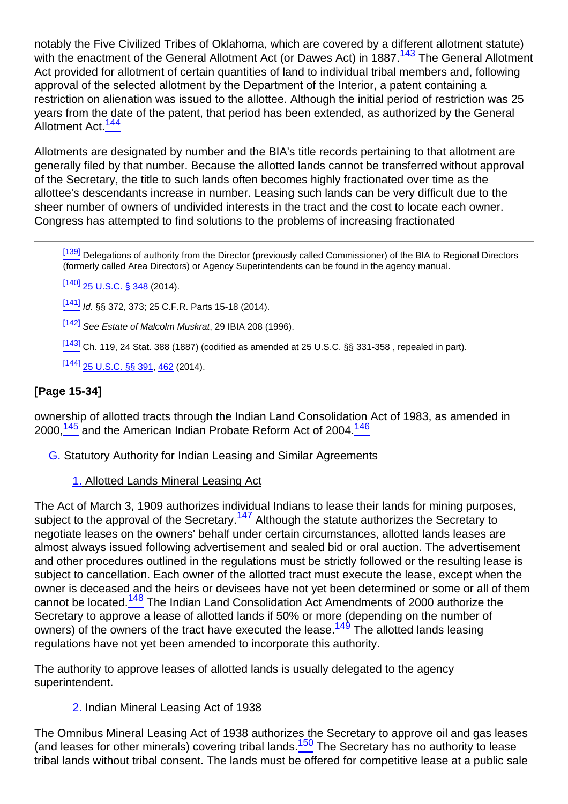<span id="page-31-0"></span>notably the Five Civilized Tribes of Oklahoma, which are covered by a different allotment statute) with the enactment of the General Allotment Act (or Dawes Act) in 1887.<sup>143</sup> The General Allotment Act provided for allotment of certain quantities of land to individual tribal members and, following approval of the selected allotment by the Department of the Interior, a patent containing a restriction on alienation was issued to the allottee. Although the initial period of restriction was 25 years from the date of the patent, that period has been extended, as authorized by the General Allotment Act.<sup>144</sup>

<span id="page-31-1"></span>Allotments are designated by number and the BIA's title records pertaining to that allotment are generally filed by that number. Because the allotted lands cannot be transferred without approval of the Secretary, the title to such lands often becomes highly fractionated over time as the allottee's descendants increase in number. Leasing such lands can be very difficult due to the sheer number of owners of undivided interests in the tract and the cost to locate each owner. Congress has attempted to find solutions to the problems of increasing fractionated

[\[139\]](#page-30-2) Delegations of authority from the Director (previously called Commissioner) of the BIA to Regional Directors (formerly called Area Directors) or Agency Superintendents can be found in the agency manual.

[\[140\]](#page-30-3) [25 U.S.C. § 348](http://links.casemakerlegal.com/federal/US/books/United_States_Code/browse?codesec=348amptitle=25ampci=45ampfn=Nuts%20amp%20Bolts%20of%20Mineral%20Title%20Examination%20(Apr%202015)) (2014).

[\[141\]](#page-30-4) Id. §§ 372, 373; 25 C.F.R. Parts 15-18 (2014).

[\[142\]](#page-30-5) See Estate of Malcolm Muskrat, 29 IBIA 208 (1996).

[\[143\]](#page-31-0) Ch. 119, 24 Stat. 388 (1887) (codified as amended at 25 U.S.C. §§ 331-358 , repealed in part).

[\[144\]](#page-31-1) [25 U.S.C. §§ 391](http://links.casemakerlegal.com/federal/US/books/United_States_Code/browse?codesec=391amptitle=25ampci=45ampfn=Nuts%20amp%20Bolts%20of%20Mineral%20Title%20Examination%20(Apr%202015)), [462](http://links.casemakerlegal.com/federal/US/books/United_States_Code/browse?codesec=462amptitle=25ampci=45ampfn=Nuts%20amp%20Bolts%20of%20Mineral%20Title%20Examination%20(Apr%202015)) (2014).

### **[Page 15-34]**

<span id="page-31-2"></span>ownership of allotted tracts through the Indian Land Consolidation Act of 1983, as amended in 2000,<sup>145</sup> and the American Indian Probate Reform Act of 2004.<sup>146</sup>

#### G. Statutory Authority for Indian Leasing and Similar Agreements

#### 1. Allotted Lands Mineral Leasing Act

<span id="page-31-3"></span>The Act of March 3, 1909 authorizes individual Indians to lease their lands for mining purposes, subject to the approval of the Secretary.<sup>147</sup> Although the statute authorizes the Secretary to negotiate leases on the owners' behalf under certain circumstances, allotted lands leases are almost always issued following advertisement and sealed bid or oral auction. The advertisement and other procedures outlined in the regulations must be strictly followed or the resulting lease is subject to cancellation. Each owner of the allotted tract must execute the lease, except when the owner is deceased and the heirs or devisees have not yet been determined or some or all of them cannot be located.<sup>148</sup> The Indian Land Consolidation Act Amendments of 2000 authorize the Secretary to approve a lease of allotted lands if 50% or more (depending on the number of owners) of the owners of the tract have executed the lease.<sup>149</sup> The allotted lands leasing regulations have not yet been amended to incorporate this authority.

<span id="page-31-5"></span><span id="page-31-4"></span>The authority to approve leases of allotted lands is usually delegated to the agency superintendent.

### 2. Indian Mineral Leasing Act of 1938

<span id="page-31-7"></span><span id="page-31-6"></span>The Omnibus Mineral Leasing Act of 1938 authorizes the Secretary to approve oil and gas leases (and leases for other minerals) covering tribal lands.<sup>150</sup> The Secretary has no authority to lease tribal lands without tribal consent. The lands must be offered for competitive lease at a public sale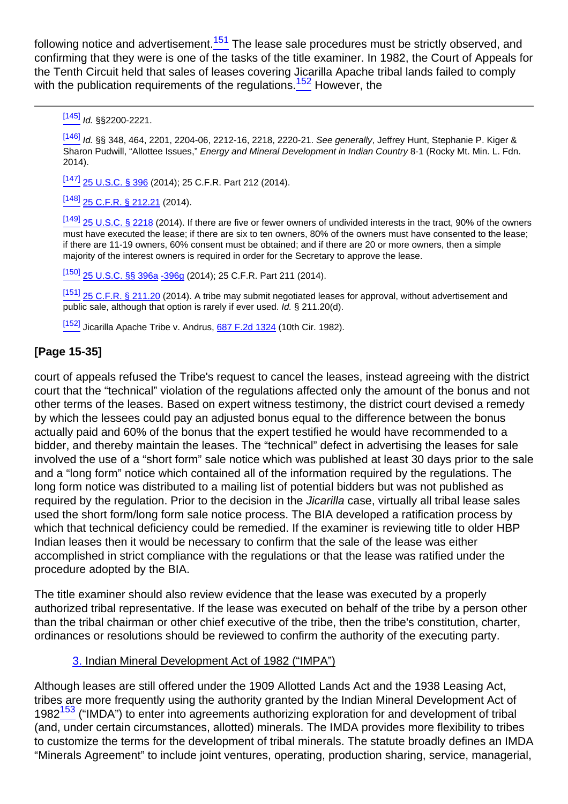<span id="page-32-0"></span>following notice and advertisement.<sup>151</sup> The lease sale procedures must be strictly observed, and confirming that they were is one of the tasks of the title examiner. In 1982, the Court of Appeals for the Tenth Circuit held that sales of leases covering Jicarilla Apache tribal lands failed to comply with the publication requirements of the regulations.<sup>152</sup> However, the

[\[145\]](#page-31-2) *Id.* §§2200-2221.

[\[146\]](#page-31-2) Id. §§ 348, 464, 2201, 2204-06, 2212-16, 2218, 2220-21. See generally, Jeffrey Hunt, Stephanie P. Kiger & Sharon Pudwill, "Allottee Issues," Energy and Mineral Development in Indian Country 8-1 (Rocky Mt. Min. L. Fdn. 2014).

[\[147\]](#page-31-3) [25 U.S.C. § 396](http://links.casemakerlegal.com/federal/US/books/United_States_Code/browse?codesec=396amptitle=25ampci=45ampfn=Nuts%20amp%20Bolts%20of%20Mineral%20Title%20Examination%20(Apr%202015)) (2014); 25 C.F.R. Part 212 (2014).

[\[148\]](#page-31-4) [25 C.F.R. § 212.21](http://links.casemakerlegal.com/federal/US/books/Code_of_Federal_Regulations/browse?codesec=212.21amptitle=25ampci=45ampfn=Nuts%20amp%20Bolts%20of%20Mineral%20Title%20Examination%20(Apr%202015)) (2014).

[\[149\]](#page-31-5) [25 U.S.C. § 2218](http://links.casemakerlegal.com/federal/US/books/United_States_Code/browse?codesec=2218amptitle=25ampci=45ampfn=Nuts%20amp%20Bolts%20of%20Mineral%20Title%20Examination%20(Apr%202015)) (2014). If there are five or fewer owners of undivided interests in the tract, 90% of the owners must have executed the lease; if there are six to ten owners, 80% of the owners must have consented to the lease; if there are 11-19 owners, 60% consent must be obtained; and if there are 20 or more owners, then a simple majority of the interest owners is required in order for the Secretary to approve the lease.

[\[150\]](#page-31-6) [25 U.S.C. §§ 396a](http://links.casemakerlegal.com/federal/US/books/United_States_Code/browse?codesec=396aamptitle=25ampci=45ampfn=Nuts%20amp%20Bolts%20of%20Mineral%20Title%20Examination%20(Apr%202015)) [-396g](http://links.casemakerlegal.com/federal/US/books/United_States_Code/browse?codesec=396gamptitle=25ampci=45ampfn=Nuts%20amp%20Bolts%20of%20Mineral%20Title%20Examination%20(Apr%202015)) (2014); 25 C.F.R. Part 211 (2014).

[\[151\]](#page-31-7) [25 C.F.R. § 211.20](http://links.casemakerlegal.com/federal/US/books/Code_of_Federal_Regulations/browse?codesec=211.20amptitle=25ampci=45ampfn=Nuts%20amp%20Bolts%20of%20Mineral%20Title%20Examination%20(Apr%202015)) (2014). A tribe may submit negotiated leases for approval, without advertisement and public sale, although that option is rarely if ever used. Id. § 211.20(d).

[\[152\]](#page-32-0) Jicarilla Apache Tribe v. Andrus, [687 F.2d 1324](http://links.casemakerlegal.com/books/Case_Law/results?ci=45ampsearch[Cite]=687+F.2d+1324ampfn=Nuts%20amp%20Bolts%20of%20Mineral%20Title%20Examination%20(Apr%202015)) (10th Cir. 1982).

## **[Page 15-35]**

court of appeals refused the Tribe's request to cancel the leases, instead agreeing with the district court that the "technical" violation of the regulations affected only the amount of the bonus and not other terms of the leases. Based on expert witness testimony, the district court devised a remedy by which the lessees could pay an adjusted bonus equal to the difference between the bonus actually paid and 60% of the bonus that the expert testified he would have recommended to a bidder, and thereby maintain the leases. The "technical" defect in advertising the leases for sale involved the use of a "short form" sale notice which was published at least 30 days prior to the sale and a "long form" notice which contained all of the information required by the regulations. The long form notice was distributed to a mailing list of potential bidders but was not published as required by the regulation. Prior to the decision in the Jicarilla case, virtually all tribal lease sales used the short form/long form sale notice process. The BIA developed a ratification process by which that technical deficiency could be remedied. If the examiner is reviewing title to older HBP Indian leases then it would be necessary to confirm that the sale of the lease was either accomplished in strict compliance with the regulations or that the lease was ratified under the procedure adopted by the BIA.

The title examiner should also review evidence that the lease was executed by a properly authorized tribal representative. If the lease was executed on behalf of the tribe by a person other than the tribal chairman or other chief executive of the tribe, then the tribe's constitution, charter, ordinances or resolutions should be reviewed to confirm the authority of the executing party.

### 3. Indian Mineral Development Act of 1982 ("IMPA")

<span id="page-32-2"></span><span id="page-32-1"></span>Although leases are still offered under the 1909 Allotted Lands Act and the 1938 Leasing Act, tribes are more frequently using the authority granted by the Indian Mineral Development Act of 1982<sup>153</sup> ("IMDA") to enter into agreements authorizing exploration for and development of tribal (and, under certain circumstances, allotted) minerals. The IMDA provides more flexibility to tribes to customize the terms for the development of tribal minerals. The statute broadly defines an IMDA "Minerals Agreement" to include joint ventures, operating, production sharing, service, managerial,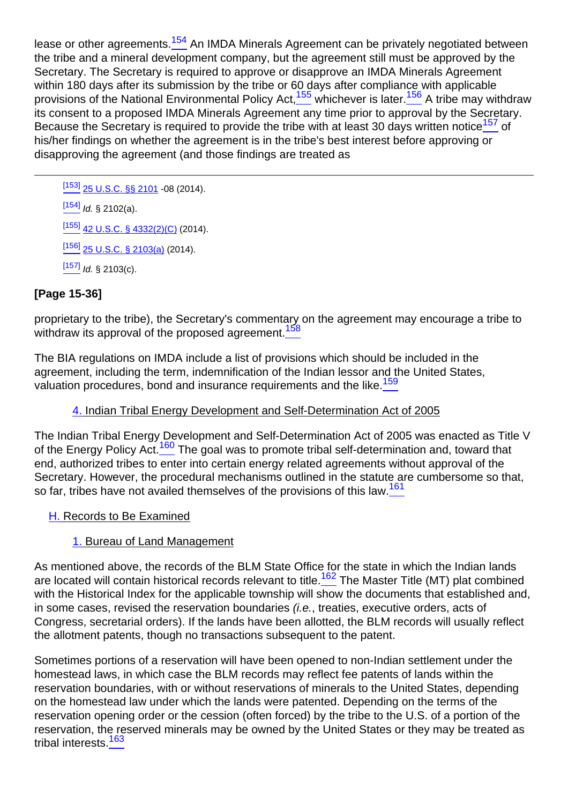<span id="page-33-1"></span><span id="page-33-0"></span>lease or other agreements.<sup>154</sup> An IMDA Minerals Agreement can be privately negotiated between the tribe and a mineral development company, but the agreement still must be approved by the Secretary. The Secretary is required to approve or disapprove an IMDA Minerals Agreement within 180 days after its submission by the tribe or 60 days after compliance with applicable provisions of the National Environmental Policy Act, $\frac{155}{2}$  whichever is later. $\frac{156}{2}$  A tribe may withdraw its consent to a proposed IMDA Minerals Agreement any time prior to approval by the Secretary. Because the Secretary is required to provide the tribe with at least 30 days written notice<sup>157</sup> of his/her findings on whether the agreement is in the tribe's best interest before approving or disapproving the agreement (and those findings are treated as

```
[153]25 U.S.C. §§ 2101 -08 (2014).
[154] Id. § 2102(a).
[155]42 U.S.C. § 4332(2)(C) (2014).
[156]25 U.S.C. § 2103(a) (2014).
[157]}{10} Id. § 2103(c).
```
## **[Page 15-36]**

<span id="page-33-2"></span>proprietary to the tribe), the Secretary's commentary on the agreement may encourage a tribe to withdraw its approval of the proposed agreement.<sup>158</sup>

<span id="page-33-3"></span>The BIA regulations on IMDA include a list of provisions which should be included in the agreement, including the term, indemnification of the Indian lessor and the United States, valuation procedures, bond and insurance requirements and the like.<sup>159</sup>

### 4. Indian Tribal Energy Development and Self-Determination Act of 2005

<span id="page-33-5"></span><span id="page-33-4"></span>The Indian Tribal Energy Development and Self-Determination Act of 2005 was enacted as Title V of the Energy Policy Act.<sup>160</sup> The goal was to promote tribal self-determination and, toward that end, authorized tribes to enter into certain energy related agreements without approval of the Secretary. However, the procedural mechanisms outlined in the statute are cumbersome so that, so far, tribes have not availed themselves of the provisions of this law.<sup>161</sup>

### **H. Records to Be Examined**

## 1. Bureau of Land Management

<span id="page-33-6"></span>As mentioned above, the records of the BLM State Office for the state in which the Indian lands are located will contain historical records relevant to title.<sup>162</sup> The Master Title (MT) plat combined with the Historical Index for the applicable township will show the documents that established and, in some cases, revised the reservation boundaries *(i.e.*, treaties, executive orders, acts of Congress, secretarial orders). If the lands have been allotted, the BLM records will usually reflect the allotment patents, though no transactions subsequent to the patent.

<span id="page-33-7"></span>Sometimes portions of a reservation will have been opened to non-Indian settlement under the homestead laws, in which case the BLM records may reflect fee patents of lands within the reservation boundaries, with or without reservations of minerals to the United States, depending on the homestead law under which the lands were patented. Depending on the terms of the reservation opening order or the cession (often forced) by the tribe to the U.S. of a portion of the reservation, the reserved minerals may be owned by the United States or they may be treated as tribal interests.<sup>163</sup>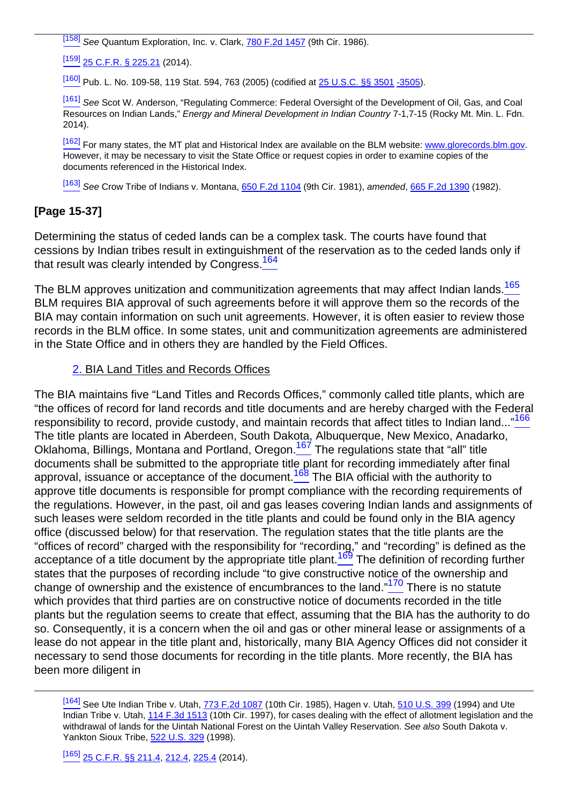[\[158\]](#page-33-2) See Quantum Exploration, Inc. v. Clark, **[780 F.2d 1457](http://links.casemakerlegal.com/books/Case_Law/results?ci=45ampsearch[Cite]=780+F.2d+1457ampfn=Nuts%20amp%20Bolts%20of%20Mineral%20Title%20Examination%20(Apr%202015))** (9th Cir. 1986).

[\[159\]](#page-33-3) [25 C.F.R. § 225.21](http://links.casemakerlegal.com/federal/US/books/Code_of_Federal_Regulations/browse?codesec=225.21amptitle=25ampci=45ampfn=Nuts%20amp%20Bolts%20of%20Mineral%20Title%20Examination%20(Apr%202015)) (2014).

[\[160\]](#page-33-4) Pub. L. No. 109-58, 119 Stat. 594, 763 (2005) (codified at **[25 U.S.C. §§ 3501](http://links.casemakerlegal.com/federal/US/books/United_States_Code/browse?codesec=3501amptitle=25ampci=45ampfn=Nuts%20amp%20Bolts%20of%20Mineral%20Title%20Examination%20(Apr%202015)) [-3505](http://links.casemakerlegal.com/federal/US/books/United_States_Code/browse?codesec=3505amptitle=25ampci=45ampfn=Nuts%20amp%20Bolts%20of%20Mineral%20Title%20Examination%20(Apr%202015))**).

[\[161\]](#page-33-5) See Scot W. Anderson, "Regulating Commerce: Federal Oversight of the Development of Oil, Gas, and Coal Resources on Indian Lands," Energy and Mineral Development in Indian Country 7-1,7-15 (Rocky Mt. Min. L. Fdn. 2014).

[\[162\]](#page-33-6) For many states, the MT plat and Historical Index are available on the BLM website: [www.glorecords.blm.gov.](http://www.glorecords.blm.gov) However, it may be necessary to visit the State Office or request copies in order to examine copies of the documents referenced in the Historical Index.

 $\frac{[163]}{[163]}$  $\frac{[163]}{[163]}$  $\frac{[163]}{[163]}$  See Crow Tribe of Indians v. Montana, [650 F.2d 1104](http://links.casemakerlegal.com/books/Case_Law/results?ci=45ampsearch[Cite]=650+F.2d+1104ampfn=Nuts%20amp%20Bolts%20of%20Mineral%20Title%20Examination%20(Apr%202015)) (9th Cir. 1981), amended, [665 F.2d 1390](http://links.casemakerlegal.com/books/Case_Law/results?ci=45ampsearch[Cite]=665+F.2d+1390ampfn=Nuts%20amp%20Bolts%20of%20Mineral%20Title%20Examination%20(Apr%202015)) (1982).

## **[Page 15-37]**

<span id="page-34-0"></span>Determining the status of ceded lands can be a complex task. The courts have found that cessions by Indian tribes result in extinguishment of the reservation as to the ceded lands only if that result was clearly intended by Congress.<sup>164</sup>

<span id="page-34-1"></span>The BLM approves unitization and communitization agreements that may affect Indian lands.<sup>165</sup> BLM requires BIA approval of such agreements before it will approve them so the records of the BIA may contain information on such unit agreements. However, it is often easier to review those records in the BLM office. In some states, unit and communitization agreements are administered in the State Office and in others they are handled by the Field Offices.

### 2. BIA Land Titles and Records Offices

<span id="page-34-5"></span><span id="page-34-4"></span><span id="page-34-3"></span><span id="page-34-2"></span>The BIA maintains five "Land Titles and Records Offices," commonly called title plants, which are "the offices of record for land records and title documents and are hereby charged with the Federal responsibility to record, provide custody, and maintain records that affect titles to Indian land..."<sup>166</sup> The title plants are located in Aberdeen, South Dakota, Albuquerque, New Mexico, Anadarko, Oklahoma, Billings, Montana and Portland, Oregon.<sup>167</sup> The regulations state that "all" title documents shall be submitted to the appropriate title plant for recording immediately after final approval, issuance or acceptance of the document.<sup>168</sup> The BIA official with the authority to approve title documents is responsible for prompt compliance with the recording requirements of the regulations. However, in the past, oil and gas leases covering Indian lands and assignments of such leases were seldom recorded in the title plants and could be found only in the BIA agency office (discussed below) for that reservation. The regulation states that the title plants are the "offices of record" charged with the responsibility for "recording," and "recording" is defined as the acceptance of a title document by the appropriate title plant.<sup>169</sup> The definition of recording further states that the purposes of recording include "to give constructive notice of the ownership and change of ownership and the existence of encumbrances to the land."<sup>170</sup> There is no statute which provides that third parties are on constructive notice of documents recorded in the title plants but the regulation seems to create that effect, assuming that the BIA has the authority to do so. Consequently, it is a concern when the oil and gas or other mineral lease or assignments of a lease do not appear in the title plant and, historically, many BIA Agency Offices did not consider it necessary to send those documents for recording in the title plants. More recently, the BIA has been more diligent in

<span id="page-34-6"></span>[<sup>\[164\]</sup>](#page-34-0) See Ute Indian Tribe v. Utah, [773 F.2d 1087](http://links.casemakerlegal.com/books/Case_Law/results?ci=45ampsearch[Cite]=773+F.2d+1087ampfn=Nuts%20amp%20Bolts%20of%20Mineral%20Title%20Examination%20(Apr%202015)) (10th Cir. 1985), Hagen v. Utah, [510 U.S. 399](http://links.casemakerlegal.com/books/Case_Law/results?ci=45ampsearch[Cite]=510+U.S.+399ampfn=Nuts%20amp%20Bolts%20of%20Mineral%20Title%20Examination%20(Apr%202015)) (1994) and Ute Indian Tribe v. Utah, [114 F.3d 1513](http://links.casemakerlegal.com/books/Case_Law/results?ci=45ampsearch[Cite]=114+F.3d+1513ampfn=Nuts%20amp%20Bolts%20of%20Mineral%20Title%20Examination%20(Apr%202015)) (10th Cir. 1997), for cases dealing with the effect of allotment legislation and the withdrawal of lands for the Uintah National Forest on the Uintah Valley Reservation. See also South Dakota v. Yankton Sioux Tribe, [522 U.S. 329](http://links.casemakerlegal.com/books/Case_Law/results?ci=45ampsearch[Cite]=522+U.S.+329ampfn=Nuts%20amp%20Bolts%20of%20Mineral%20Title%20Examination%20(Apr%202015)) (1998).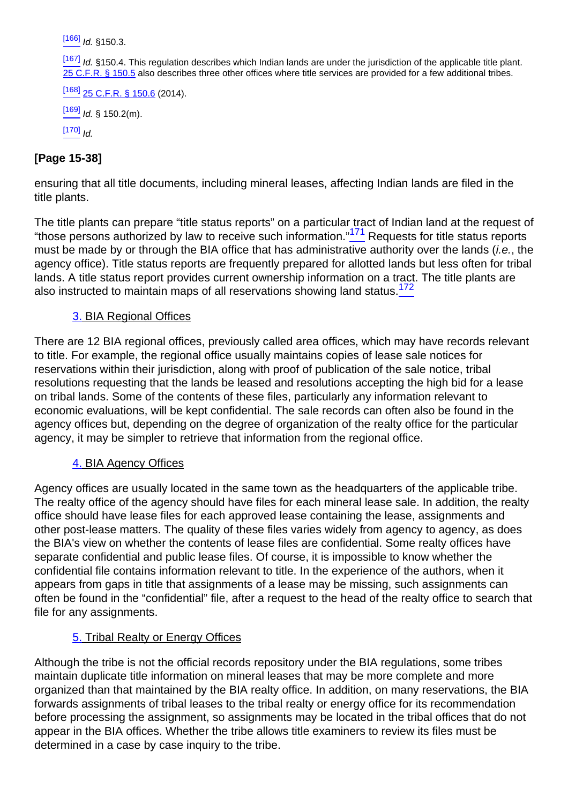$[166]$  *Id.* §150.3. [\[167\]](#page-34-3) Id. §150.4. This regulation describes which Indian lands are under the jurisdiction of the applicable title plant. [25 C.F.R. § 150.5](http://links.casemakerlegal.com/federal/US/books/Code_of_Federal_Regulations/browse?codesec=150.5amptitle=25ampci=45ampfn=Nuts%20amp%20Bolts%20of%20Mineral%20Title%20Examination%20(Apr%202015)) also describes three other offices where title services are provided for a few additional tribes. [\[168\]](#page-34-4) [25 C.F.R. § 150.6](http://links.casemakerlegal.com/federal/US/books/Code_of_Federal_Regulations/browse?codesec=150.6amptitle=25ampci=45ampfn=Nuts%20amp%20Bolts%20of%20Mineral%20Title%20Examination%20(Apr%202015)) (2014).  $[169]$  *Id.* § 150.2(m).  $[170]$  Id.

## **[Page 15-38]**

ensuring that all title documents, including mineral leases, affecting Indian lands are filed in the title plants.

<span id="page-35-1"></span><span id="page-35-0"></span>The title plants can prepare "title status reports" on a particular tract of Indian land at the request of "those persons authorized by law to receive such information."<sup>171</sup> Requests for title status reports must be made by or through the BIA office that has administrative authority over the lands *(i.e., the* agency office). Title status reports are frequently prepared for allotted lands but less often for tribal lands. A title status report provides current ownership information on a tract. The title plants are also instructed to maintain maps of all reservations showing land status.<sup>172</sup>

### 3. BIA Regional Offices

There are 12 BIA regional offices, previously called area offices, which may have records relevant to title. For example, the regional office usually maintains copies of lease sale notices for reservations within their jurisdiction, along with proof of publication of the sale notice, tribal resolutions requesting that the lands be leased and resolutions accepting the high bid for a lease on tribal lands. Some of the contents of these files, particularly any information relevant to economic evaluations, will be kept confidential. The sale records can often also be found in the agency offices but, depending on the degree of organization of the realty office for the particular agency, it may be simpler to retrieve that information from the regional office.

## 4. BIA Agency Offices

Agency offices are usually located in the same town as the headquarters of the applicable tribe. The realty office of the agency should have files for each mineral lease sale. In addition, the realty office should have lease files for each approved lease containing the lease, assignments and other post-lease matters. The quality of these files varies widely from agency to agency, as does the BIA's view on whether the contents of lease files are confidential. Some realty offices have separate confidential and public lease files. Of course, it is impossible to know whether the confidential file contains information relevant to title. In the experience of the authors, when it appears from gaps in title that assignments of a lease may be missing, such assignments can often be found in the "confidential" file, after a request to the head of the realty office to search that file for any assignments.

### 5. Tribal Realty or Energy Offices

Although the tribe is not the official records repository under the BIA regulations, some tribes maintain duplicate title information on mineral leases that may be more complete and more organized than that maintained by the BIA realty office. In addition, on many reservations, the BIA forwards assignments of tribal leases to the tribal realty or energy office for its recommendation before processing the assignment, so assignments may be located in the tribal offices that do not appear in the BIA offices. Whether the tribe allows title examiners to review its files must be determined in a case by case inquiry to the tribe.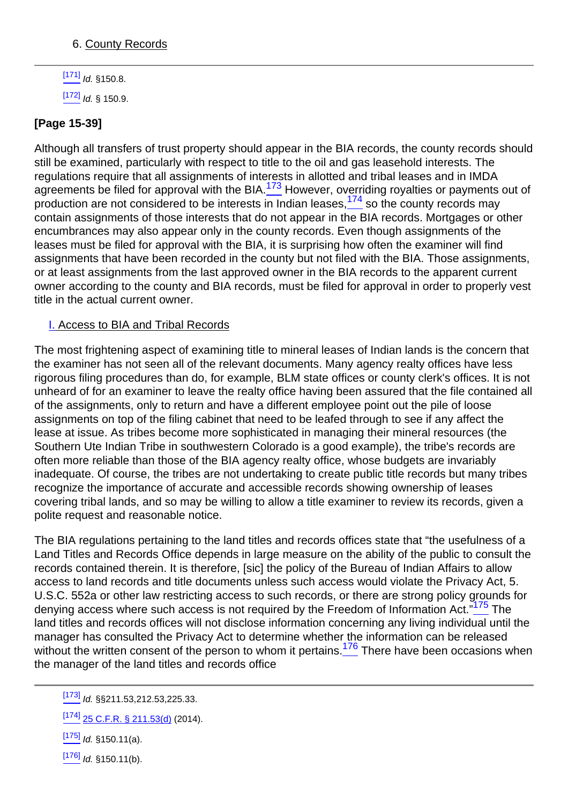### 6. County Records

 $[171]$  Id. §150.8.  $\frac{[172]}{1}$  $\frac{[172]}{1}$  $\frac{[172]}{1}$  Id. § 150.9.

### **[Page 15-39]**

<span id="page-36-1"></span><span id="page-36-0"></span>Although all transfers of trust property should appear in the BIA records, the county records should still be examined, particularly with respect to title to the oil and gas leasehold interests. The regulations require that all assignments of interests in allotted and tribal leases and in IMDA agreements be filed for approval with the BIA. $173$  However, overriding royalties or payments out of production are not considered to be interests in Indian leases,  $174$  so the county records may contain assignments of those interests that do not appear in the BIA records. Mortgages or other encumbrances may also appear only in the county records. Even though assignments of the leases must be filed for approval with the BIA, it is surprising how often the examiner will find assignments that have been recorded in the county but not filed with the BIA. Those assignments, or at least assignments from the last approved owner in the BIA records to the apparent current owner according to the county and BIA records, must be filed for approval in order to properly vest title in the actual current owner.

#### I. Access to BIA and Tribal Records

The most frightening aspect of examining title to mineral leases of Indian lands is the concern that the examiner has not seen all of the relevant documents. Many agency realty offices have less rigorous filing procedures than do, for example, BLM state offices or county clerk's offices. It is not unheard of for an examiner to leave the realty office having been assured that the file contained all of the assignments, only to return and have a different employee point out the pile of loose assignments on top of the filing cabinet that need to be leafed through to see if any affect the lease at issue. As tribes become more sophisticated in managing their mineral resources (the Southern Ute Indian Tribe in southwestern Colorado is a good example), the tribe's records are often more reliable than those of the BIA agency realty office, whose budgets are invariably inadequate. Of course, the tribes are not undertaking to create public title records but many tribes recognize the importance of accurate and accessible records showing ownership of leases covering tribal lands, and so may be willing to allow a title examiner to review its records, given a polite request and reasonable notice.

<span id="page-36-2"></span>The BIA regulations pertaining to the land titles and records offices state that "the usefulness of a Land Titles and Records Office depends in large measure on the ability of the public to consult the records contained therein. It is therefore, [sic] the policy of the Bureau of Indian Affairs to allow access to land records and title documents unless such access would violate the Privacy Act, 5. U.S.C. 552a or other law restricting access to such records, or there are strong policy grounds for denying access where such access is not required by the Freedom of Information Act."<sup>175</sup> The land titles and records offices will not disclose information concerning any living individual until the manager has consulted the Privacy Act to determine whether the information can be released without the written consent of the person to whom it pertains.<sup>176</sup> There have been occasions when the manager of the land titles and records office

<span id="page-36-3"></span> $\frac{[173]}{10}$  $\frac{[173]}{10}$  $\frac{[173]}{10}$  Id. §§211.53,212.53,225.33.

```
[175] Id. $150.11(a).
```
 $[176]$  *Id.* §150.11(b).

 $[174]$  [25 C.F.R. § 211.53\(d\)](http://links.casemakerlegal.com/federal/US/books/Code_of_Federal_Regulations/browse?codesec=211.53amptitle=25ampci=45#211.53(d)ampfn=Nuts%20amp%20Bolts%20of%20Mineral%20Title%20Examination%20(Apr%202015)) (2014).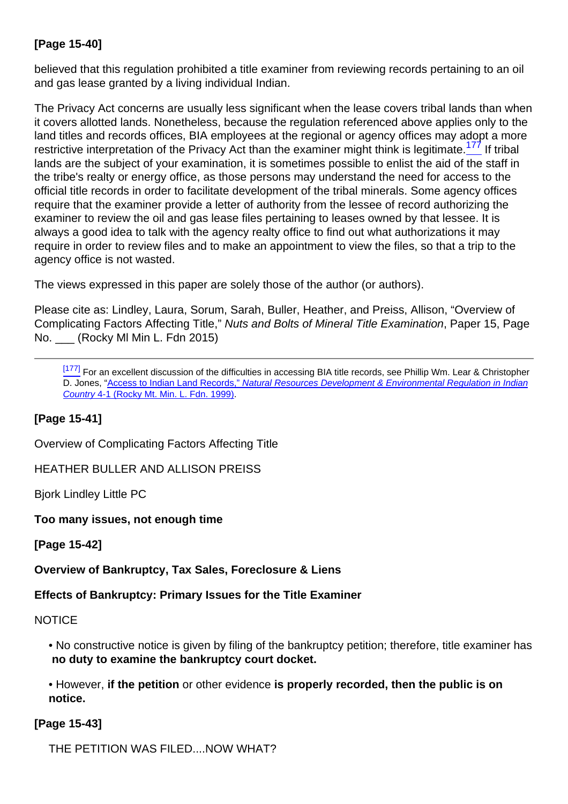## **[Page 15-40]**

believed that this regulation prohibited a title examiner from reviewing records pertaining to an oil and gas lease granted by a living individual Indian.

<span id="page-37-0"></span>The Privacy Act concerns are usually less significant when the lease covers tribal lands than when it covers allotted lands. Nonetheless, because the regulation referenced above applies only to the land titles and records offices, BIA employees at the regional or agency offices may adopt a more restrictive interpretation of the Privacy Act than the examiner might think is legitimate.<sup>177</sup> If tribal lands are the subject of your examination, it is sometimes possible to enlist the aid of the staff in the tribe's realty or energy office, as those persons may understand the need for access to the official title records in order to facilitate development of the tribal minerals. Some agency offices require that the examiner provide a letter of authority from the lessee of record authorizing the examiner to review the oil and gas lease files pertaining to leases owned by that lessee. It is always a good idea to talk with the agency realty office to find out what authorizations it may require in order to review files and to make an appointment to view the files, so that a trip to the agency office is not wasted.

The views expressed in this paper are solely those of the author (or authors).

Please cite as: Lindley, Laura, Sorum, Sarah, Buller, Heather, and Preiss, Allison, "Overview of Complicating Factors Affecting Title," Nuts and Bolts of Mineral Title Examination, Paper 15, Page No. \_\_\_ (Rocky Ml Min L. Fdn 2015)

[\[177\]](#page-37-0) For an excellent discussion of the difficulties in accessing BIA title records, see Phillip Wm. Lear & Christopher D. Jones, ["Access to Indian Land Records,"](http://rmmlf.casemakerlibra.com/home/libra_2_rmmlf.aspx?doc=d:/data/RMMLF/Samples/1999%20May%20(Natural%20Resources%20Development%20and%20Environmental%20Regulation%20in%20Indian%20Country)/Chapter%204%20ACCESS%20TO.htmampcurdoc=7ampp=12135#page4-1) [N](http://rmmlf.casemakerlibra.com/home/libra_2_rmmlf.aspx?doc=d:/data/RMMLF/Samples/1999%20May%20(Natural%20Resources%20Development%20and%20Environmental%20Regulation%20in%20Indian%20Country)/Chapter%204%20ACCESS%20TO.htmampcurdoc=7ampp=12135#page4-1)atural Resources Development & Environmental Regulation in Indian Country [4-1 \(Rocky Mt. Min. L. Fdn. 1999\)](http://rmmlf.casemakerlibra.com/home/libra_2_rmmlf.aspx?doc=d:/data/RMMLF/Samples/1999%20May%20(Natural%20Resources%20Development%20and%20Environmental%20Regulation%20in%20Indian%20Country)/Chapter%204%20ACCESS%20TO.htmampcurdoc=7ampp=12135#page4-1).

### **[Page 15-41]**

Overview of Complicating Factors Affecting Title

HEATHER BULLER AND ALLISON PREISS

Bjork Lindley Little PC

**Too many issues, not enough time**

**[Page 15-42]**

**Overview of Bankruptcy, Tax Sales, Foreclosure & Liens**

**Effects of Bankruptcy: Primary Issues for the Title Examiner**

**NOTICE** 

• No constructive notice is given by filing of the bankruptcy petition; therefore, title examiner has **no duty to examine the bankruptcy court docket.**

• However, **if the petition** or other evidence **is properly recorded, then the public is on notice.**

## **[Page 15-43]**

THE PETITION WAS FILED....NOW WHAT?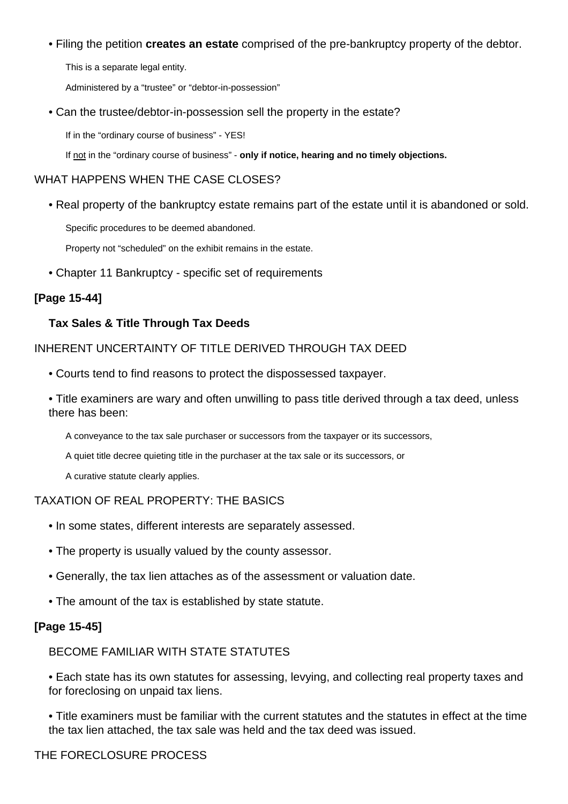• Filing the petition **creates an estate** comprised of the pre-bankruptcy property of the debtor.

This is a separate legal entity.

Administered by a "trustee" or "debtor-in-possession"

• Can the trustee/debtor-in-possession sell the property in the estate?

If in the "ordinary course of business" - YES!

If not in the "ordinary course of business" - **only if notice, hearing and no timely objections.**

### WHAT HAPPENS WHEN THE CASE CLOSES?

• Real property of the bankruptcy estate remains part of the estate until it is abandoned or sold.

Specific procedures to be deemed abandoned.

Property not "scheduled" on the exhibit remains in the estate.

• Chapter 11 Bankruptcy - specific set of requirements

#### **[Page 15-44]**

#### **Tax Sales & Title Through Tax Deeds**

#### INHERENT UNCERTAINTY OF TITLE DERIVED THROUGH TAX DEED

• Courts tend to find reasons to protect the dispossessed taxpayer.

• Title examiners are wary and often unwilling to pass title derived through a tax deed, unless there has been:

A conveyance to the tax sale purchaser or successors from the taxpayer or its successors,

A quiet title decree quieting title in the purchaser at the tax sale or its successors, or

A curative statute clearly applies.

#### TAXATION OF REAL PROPERTY: THE BASICS

- In some states, different interests are separately assessed.
- The property is usually valued by the county assessor.
- Generally, the tax lien attaches as of the assessment or valuation date.
- The amount of the tax is established by state statute.

#### **[Page 15-45]**

#### BECOME FAMILIAR WITH STATE STATUTES

• Each state has its own statutes for assessing, levying, and collecting real property taxes and for foreclosing on unpaid tax liens.

• Title examiners must be familiar with the current statutes and the statutes in effect at the time the tax lien attached, the tax sale was held and the tax deed was issued.

#### THE FORECLOSURE PROCESS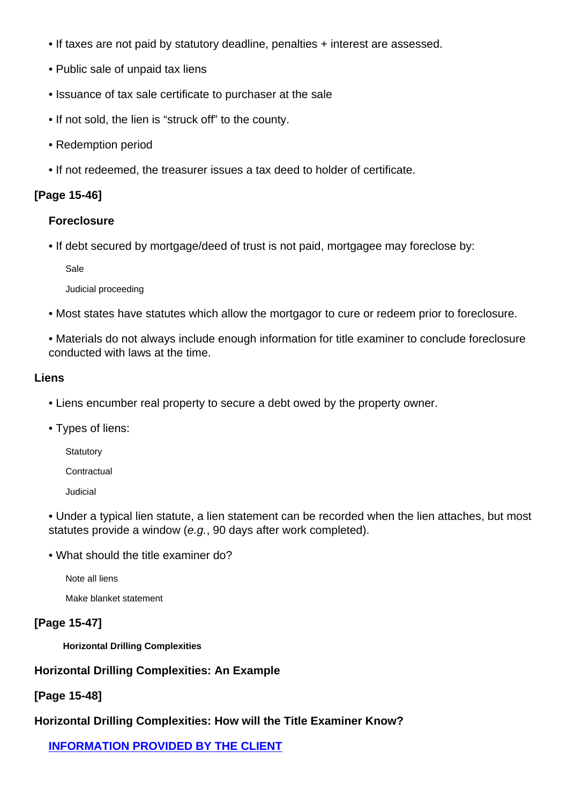- If taxes are not paid by statutory deadline, penalties + interest are assessed.
- Public sale of unpaid tax liens
- Issuance of tax sale certificate to purchaser at the sale
- If not sold, the lien is "struck off" to the county.
- Redemption period
- If not redeemed, the treasurer issues a tax deed to holder of certificate.

### **[Page 15-46]**

#### **Foreclosure**

• If debt secured by mortgage/deed of trust is not paid, mortgagee may foreclose by:

Sale

Judicial proceeding

- Most states have statutes which allow the mortgagor to cure or redeem prior to foreclosure.
- Materials do not always include enough information for title examiner to conclude foreclosure conducted with laws at the time.

#### **Liens**

- Liens encumber real property to secure a debt owed by the property owner.
- Types of liens:
	- **Statutory**
	- **Contractual**

Judicial

- Under a typical lien statute, a lien statement can be recorded when the lien attaches, but most statutes provide a window (e.g., 90 days after work completed).
- What should the title examiner do?

Note all liens

Make blanket statement

### **[Page 15-47]**

**Horizontal Drilling Complexities**

### **Horizontal Drilling Complexities: An Example**

### **[Page 15-48]**

**Horizontal Drilling Complexities: How will the Title Examiner Know?**

**INFORMATION PROVIDED BY THE CLIENT**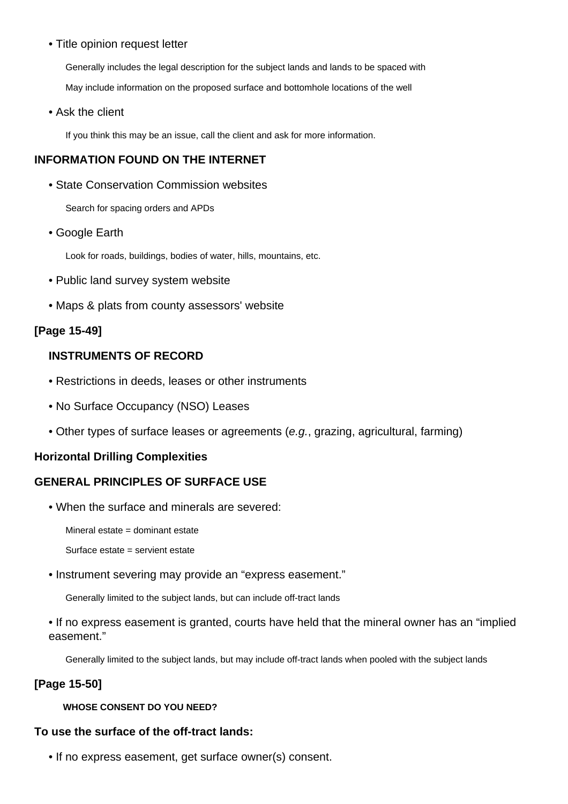#### • Title opinion request letter

Generally includes the legal description for the subject lands and lands to be spaced with

May include information on the proposed surface and bottomhole locations of the well

• Ask the client

If you think this may be an issue, call the client and ask for more information.

### **INFORMATION FOUND ON THE INTERNET**

• State Conservation Commission websites

Search for spacing orders and APDs

• Google Earth

Look for roads, buildings, bodies of water, hills, mountains, etc.

- Public land survey system website
- Maps & plats from county assessors' website

### **[Page 15-49]**

### **INSTRUMENTS OF RECORD**

- Restrictions in deeds, leases or other instruments
- No Surface Occupancy (NSO) Leases
- Other types of surface leases or agreements (e.g., grazing, agricultural, farming)

#### **Horizontal Drilling Complexities**

### **GENERAL PRINCIPLES OF SURFACE USE**

• When the surface and minerals are severed:

Mineral estate = dominant estate

Surface estate = servient estate

• Instrument severing may provide an "express easement."

Generally limited to the subject lands, but can include off-tract lands

• If no express easement is granted, courts have held that the mineral owner has an "implied easement."

Generally limited to the subject lands, but may include off-tract lands when pooled with the subject lands

### **[Page 15-50]**

**WHOSE CONSENT DO YOU NEED?**

#### **To use the surface of the off-tract lands:**

• If no express easement, get surface owner(s) consent.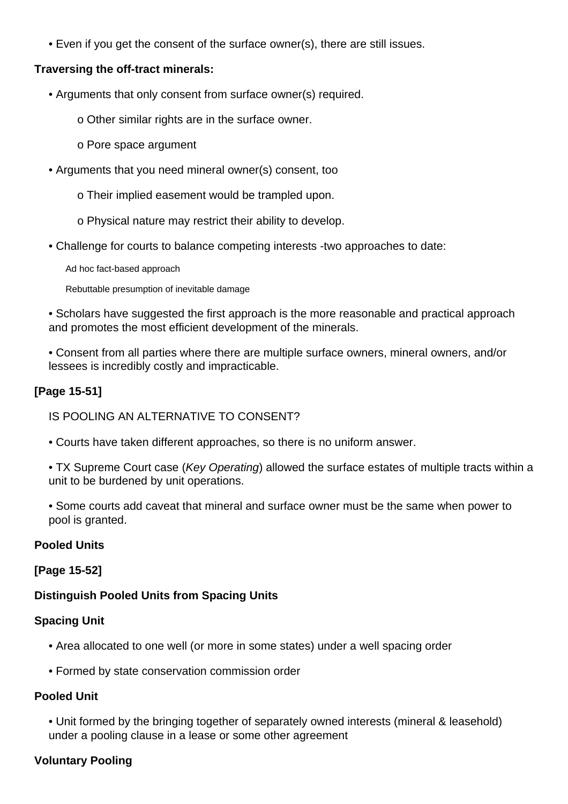• Even if you get the consent of the surface owner(s), there are still issues.

#### **Traversing the off-tract minerals:**

- Arguments that only consent from surface owner(s) required.
	- o Other similar rights are in the surface owner.
	- o Pore space argument
- Arguments that you need mineral owner(s) consent, too
	- o Their implied easement would be trampled upon.
	- o Physical nature may restrict their ability to develop.
- Challenge for courts to balance competing interests -two approaches to date:

Ad hoc fact-based approach

Rebuttable presumption of inevitable damage

• Scholars have suggested the first approach is the more reasonable and practical approach and promotes the most efficient development of the minerals.

• Consent from all parties where there are multiple surface owners, mineral owners, and/or lessees is incredibly costly and impracticable.

### **[Page 15-51]**

IS POOLING AN ALTERNATIVE TO CONSENT?

- Courts have taken different approaches, so there is no uniform answer.
- TX Supreme Court case (Key Operating) allowed the surface estates of multiple tracts within a unit to be burdened by unit operations.
- Some courts add caveat that mineral and surface owner must be the same when power to pool is granted.

### **Pooled Units**

### **[Page 15-52]**

## **Distinguish Pooled Units from Spacing Units**

## **Spacing Unit**

- Area allocated to one well (or more in some states) under a well spacing order
- Formed by state conservation commission order

## **Pooled Unit**

• Unit formed by the bringing together of separately owned interests (mineral & leasehold) under a pooling clause in a lease or some other agreement

## **Voluntary Pooling**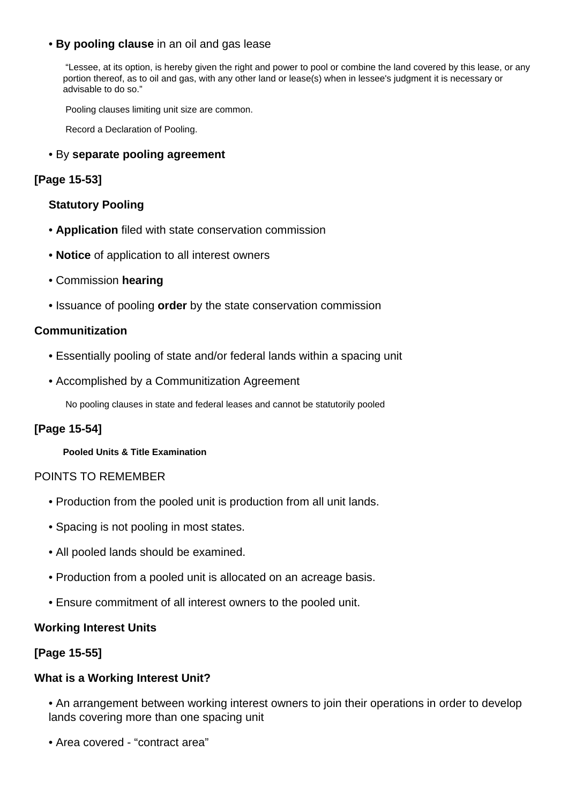### • **By pooling clause** in an oil and gas lease

 "Lessee, at its option, is hereby given the right and power to pool or combine the land covered by this lease, or any portion thereof, as to oil and gas, with any other land or lease(s) when in lessee's judgment it is necessary or advisable to do so."

Pooling clauses limiting unit size are common.

Record a Declaration of Pooling.

#### • By **separate pooling agreement**

#### **[Page 15-53]**

#### **Statutory Pooling**

- **Application** filed with state conservation commission
- **Notice** of application to all interest owners
- Commission **hearing**
- Issuance of pooling **order** by the state conservation commission

#### **Communitization**

- Essentially pooling of state and/or federal lands within a spacing unit
- Accomplished by a Communitization Agreement

No pooling clauses in state and federal leases and cannot be statutorily pooled

#### **[Page 15-54]**

#### **Pooled Units & Title Examination**

#### POINTS TO REMEMBER

- Production from the pooled unit is production from all unit lands.
- Spacing is not pooling in most states.
- All pooled lands should be examined.
- Production from a pooled unit is allocated on an acreage basis.
- Ensure commitment of all interest owners to the pooled unit.

#### **Working Interest Units**

### **[Page 15-55]**

### **What is a Working Interest Unit?**

• An arrangement between working interest owners to join their operations in order to develop lands covering more than one spacing unit

• Area covered - "contract area"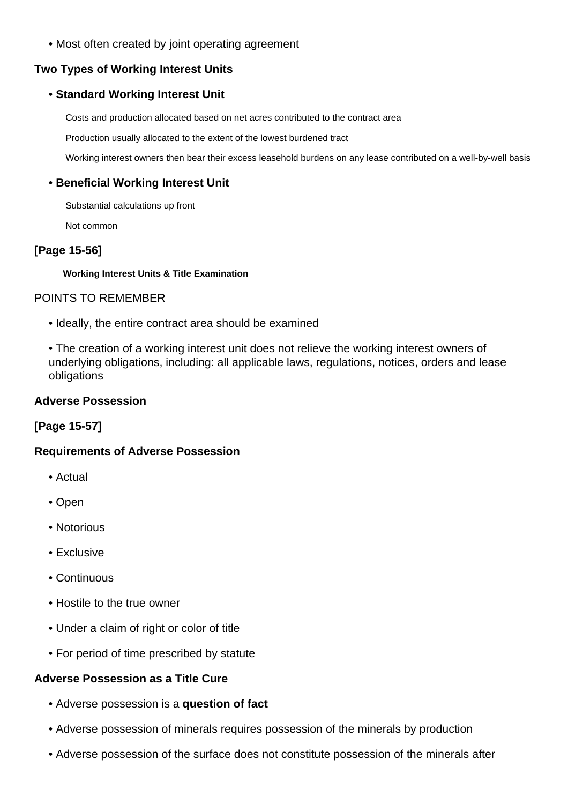• Most often created by joint operating agreement

### **Two Types of Working Interest Units**

#### • **Standard Working Interest Unit**

Costs and production allocated based on net acres contributed to the contract area

Production usually allocated to the extent of the lowest burdened tract

Working interest owners then bear their excess leasehold burdens on any lease contributed on a well-by-well basis

### • **Beneficial Working Interest Unit**

Substantial calculations up front

Not common

### **[Page 15-56]**

#### **Working Interest Units & Title Examination**

#### POINTS TO REMEMBER

• Ideally, the entire contract area should be examined

• The creation of a working interest unit does not relieve the working interest owners of underlying obligations, including: all applicable laws, regulations, notices, orders and lease obligations

#### **Adverse Possession**

### **[Page 15-57]**

#### **Requirements of Adverse Possession**

- Actual
- Open
- Notorious
- Exclusive
- Continuous
- Hostile to the true owner
- Under a claim of right or color of title
- For period of time prescribed by statute

#### **Adverse Possession as a Title Cure**

- Adverse possession is a **question of fact**
- Adverse possession of minerals requires possession of the minerals by production
- Adverse possession of the surface does not constitute possession of the minerals after